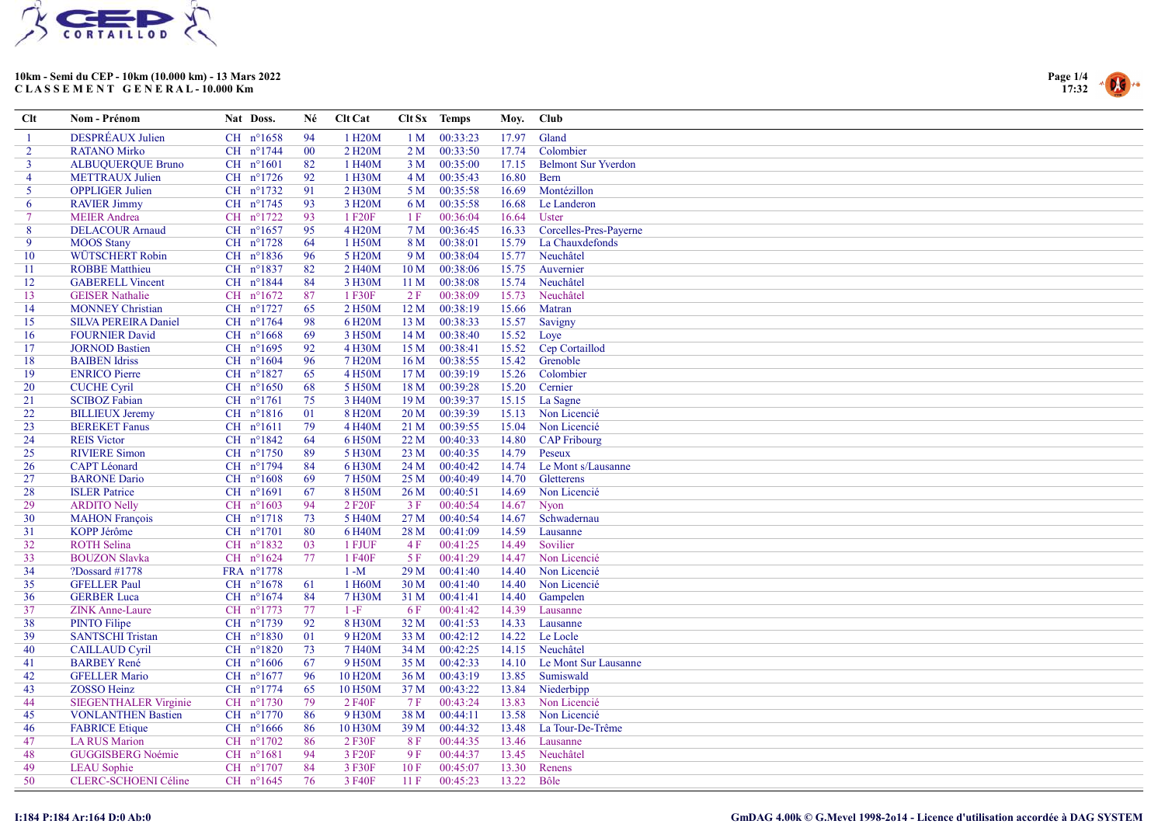



| $Cl$           | Nom - Prénom                 | Nat Doss.            | Né     | Clt Cat              |                 | Clt Sx Temps | Moy.  | Club                       |
|----------------|------------------------------|----------------------|--------|----------------------|-----------------|--------------|-------|----------------------------|
| -1             | DESPRÉAUX Julien             | CH $n^{\circ}1658$   | 94     | 1 H <sub>20</sub> M  | 1 <sub>M</sub>  | 00:33:23     | 17.97 | Gland                      |
| $\overline{2}$ | <b>RATANO Mirko</b>          | CH nº1744            | $00\,$ | 2 H <sub>20</sub> M  | 2 <sub>M</sub>  | 00:33:50     | 17.74 | Colombier                  |
| $\mathbf{3}$   | <b>ALBUQUERQUE Bruno</b>     | CH $n^{\circ}1601$   | 82     | 1 H40M               | 3 <sub>M</sub>  | 00:35:00     | 17.15 | <b>Belmont Sur Yverdon</b> |
| 4              | <b>METTRAUX</b> Julien       | CH $n^{\circ}1726$   | 92     | 1 H30M               |                 | 4 M 00:35:43 | 16.80 | <b>Bern</b>                |
| $5^{\circ}$    | <b>OPPLIGER Julien</b>       | CH nº1732            | 91     | 2 H30M               | 5 M             | 00:35:58     | 16.69 | Montézillon                |
| 6              | <b>RAVIER Jimmy</b>          | CH nº1745            | 93     | 3 H <sub>20</sub> M  | 6 M             | 00:35:58     | 16.68 | Le Landeron                |
| $\tau$         | <b>MEIER</b> Andrea          | CH nº1722            | 93     | 1 F <sub>20</sub> F  | 1F              | 00:36:04     | 16.64 | Uster                      |
| 8              | <b>DELACOUR Arnaud</b>       | CH $n^{\circ}1657$   | 95     | 4 H <sub>20</sub> M  | 7 M             | 00:36:45     | 16.33 | Corcelles-Pres-Payerne     |
| 9              | <b>MOOS Stany</b>            | CH $n^{\circ}1728$   | 64     | 1 H50M               | 8 M             | 00:38:01     | 15.79 | La Chauxdefonds            |
| 10             | WÜTSCHERT Robin              | CH n°1836            | 96     | 5 H <sub>20</sub> M  | 9 M             | 00:38:04     | 15.77 | Neuchâtel                  |
| 11             | <b>ROBBE Matthieu</b>        | CH nº1837            | 82     | 2 H <sub>40</sub> M  | 10 <sub>M</sub> | 00:38:06     | 15.75 | Auvernier                  |
| 12             | <b>GABERELL Vincent</b>      | CH $n^{\circ}1844$   | 84     | 3 H30M               | 11 M            | 00:38:08     | 15.74 | Neuchâtel                  |
| 13             | <b>GEISER Nathalie</b>       | CH $n^{\circ}1672$   | 87     | 1 F30F               | 2F              | 00:38:09     | 15.73 | Neuchâtel                  |
| 14             | <b>MONNEY Christian</b>      | CH nº1727            | 65     | 2 H <sub>50</sub> M  | 12M             | 00:38:19     | 15.66 | Matran                     |
| 15             | <b>SILVA PEREIRA Daniel</b>  | CH $n^{\circ}1764$   | 98     | 6 H <sub>20</sub> M  | 13 M            | 00:38:33     | 15.57 | Savigny                    |
| 16             | <b>FOURNIER David</b>        | $CH$ n°1668          | 69     | 3 H50M               | 14 <sub>M</sub> | 00:38:40     | 15.52 | Loye                       |
| 17             | <b>JORNOD Bastien</b>        | CH $n^{\circ}1695$   | 92     | 4 H30M               | 15 M            | 00:38:41     | 15.52 | Cep Cortaillod             |
| 18             | <b>BAIBEN</b> Idriss         | CH $n^{\circ}1604$   | 96     | 7 H <sub>20</sub> M  | 16 <sub>M</sub> | 00:38:55     | 15.42 | Grenoble                   |
| 19             | <b>ENRICO</b> Pierre         | $CH$ n°1827          | 65     | 4 H50M               | 17 M            | 00:39:19     | 15.26 | Colombier                  |
| 20             | <b>CUCHE Cyril</b>           | CH $n^{\circ}1650$   | 68     | 5 H50M               | 18 M            | 00:39:28     | 15.20 | Cernier                    |
| 21             | <b>SCIBOZ Fabian</b>         | CH $n^{\circ}1761$   | 75     | 3 H <sub>40</sub> M  | 19 M            | 00:39:37     | 15.15 | La Sagne                   |
| 22             | <b>BILLIEUX Jeremy</b>       | CH n°1816            | 01     | 8 H <sub>20</sub> M  | 20 <sub>M</sub> | 00:39:39     | 15.13 | Non Licencié               |
| 23             | <b>BEREKET</b> Fanus         | $CH$ $n^{\circ}1611$ | 79     | 4 H <sub>40</sub> M  | 21 M            | 00:39:55     | 15.04 | Non Licencié               |
| 24             | <b>REIS Victor</b>           | CH n°1842            | 64     | 6 H50M               | 22M             | 00:40:33     | 14.80 | <b>CAP Fribourg</b>        |
| 25             | <b>RIVIERE Simon</b>         | CH n°1750            | 89     | 5 H30M               | 23M             | 00:40:35     | 14.79 | Peseux                     |
| 26             | <b>CAPT</b> Léonard          | CH n°1794            | 84     | 6 H30M               | 24 M            | 00:40:42     | 14.74 | Le Mont s/Lausanne         |
| 27             | <b>BARONE</b> Dario          | $CH$ $n^{\circ}1608$ | 69     | 7 H50M               | 25 M            | 00:40:49     | 14.70 | Gletterens                 |
| 28             | <b>ISLER</b> Patrice         | CH $n^{\circ}1691$   | 67     | 8 H50M               | 26 M            | 00:40:51     | 14.69 | Non Licencié               |
| 29             | <b>ARDITO Nelly</b>          | CH $n^{\circ}1603$   | 94     | 2 F <sub>20</sub> F  | 3F              | 00:40:54     | 14.67 | Nyon                       |
| 30             | <b>MAHON</b> François        | $CH$ $n^{\circ}1718$ | 73     | 5 H40M               | 27 M            | 00:40:54     | 14.67 | Schwadernau                |
| 31             | KOPP Jérôme                  | CH $n^{\circ}1701$   | 80     | 6 H40M               | 28 M            | 00:41:09     | 14.59 | Lausanne                   |
| 32             | <b>ROTH Selina</b>           | CH $n^{\circ}1832$   | 03     | 1 FJUF               | 4F              | 00:41:25     | 14.49 | Sovilier                   |
| 33             | <b>BOUZON Slavka</b>         | CH $n^{\circ}1624$   | 77     | 1 F40F               | 5F              | 00:41:29     | 14.47 | Non Licencié               |
| 34             | ?Dossard #1778               | FRA nº1778           |        | $1 - M$              | 29 M            | 00:41:40     | 14.40 | Non Licencié               |
| 35             | <b>GFELLER Paul</b>          | CH $n^{\circ}1678$   | 61     | 1 H60M               | 30 <sub>M</sub> | 00:41:40     | 14.40 | Non Licencié               |
| 36             | <b>GERBER Luca</b>           | CH nº1674            | 84     | 7 H30M               | 31 M            | 00:41:41     | 14.40 | Gampelen                   |
| 37             | <b>ZINK Anne-Laure</b>       | CH n°1773            | 77     | $1-F$                | 6 F             | 00:41:42     | 14.39 | Lausanne                   |
| 38             | <b>PINTO Filipe</b>          | CH nº1739            | 92     | 8 H30M               | 32 M            | 00:41:53     | 14.33 | Lausanne                   |
| 39             | <b>SANTSCHI Tristan</b>      | CH $n^{\circ}1830$   | 01     | 9 H <sub>20</sub> M  | 33 M            | 00:42:12     | 14.22 | Le Locle                   |
| 40             | <b>CAILLAUD Cyril</b>        | $CH$ $n^{\circ}1820$ | 73     | 7 H40M               | 34 M            | 00:42:25     | 14.15 | Neuchâtel                  |
| 41             | <b>BARBEY René</b>           | CH $n^{\circ}1606$   | 67     | 9 H <sub>50</sub> M  | 35 M            | 00:42:33     | 14.10 | Le Mont Sur Lausanne       |
| 42             | <b>GFELLER Mario</b>         | CH $n^{\circ}1677$   | 96     | 10 H <sub>20</sub> M | 36 M            | 00:43:19     | 13.85 | Sumiswald                  |
| 43             | <b>ZOSSO Heinz</b>           | CH $n^{\circ}1774$   | 65     | 10 H50M              | 37 M            | 00:43:22     | 13.84 | Niederbipp                 |
| 44             | <b>SIEGENTHALER Virginie</b> | $CH$ $n^{\circ}1730$ | 79     | 2 F40F               | 7 F             | 00:43:24     | 13.83 | Non Licencié               |
| 45             | <b>VONLANTHEN Bastien</b>    | CH n°1770            | -86    | 9 H30M               | 38 M            | 00:44:11     | 13.58 | Non Licencié               |
| 46             | <b>FABRICE</b> Etique        | CH $n^{\circ}1666$   | 86     | 10 H30M              | 39M             | 00:44:32     | 13.48 | La Tour-De-Trême           |
| 47             | <b>LA RUS Marion</b>         | CH $n^{\circ}1702$   | 86     | 2 F30F               | 8F              | 00:44:35     | 13.46 | Lausanne                   |
| 48             | GUGGISBERG Noémie            | $CH$ $n^{\circ}1681$ | 94     | 3 F20F               | 9F              | 00:44:37     | 13.45 | Neuchâtel                  |
| 49             | <b>LEAU</b> Sophie           | CH n°1707            | 84     | 3 F30F               | 10F             | 00:45:07     | 13.30 | Renens                     |
| 50             | CLERC-SCHOENI Céline         | CH $n^{\circ}1645$   | 76     | 3 F40F               | 11F             | 00:45:23     | 13.22 | Bôle                       |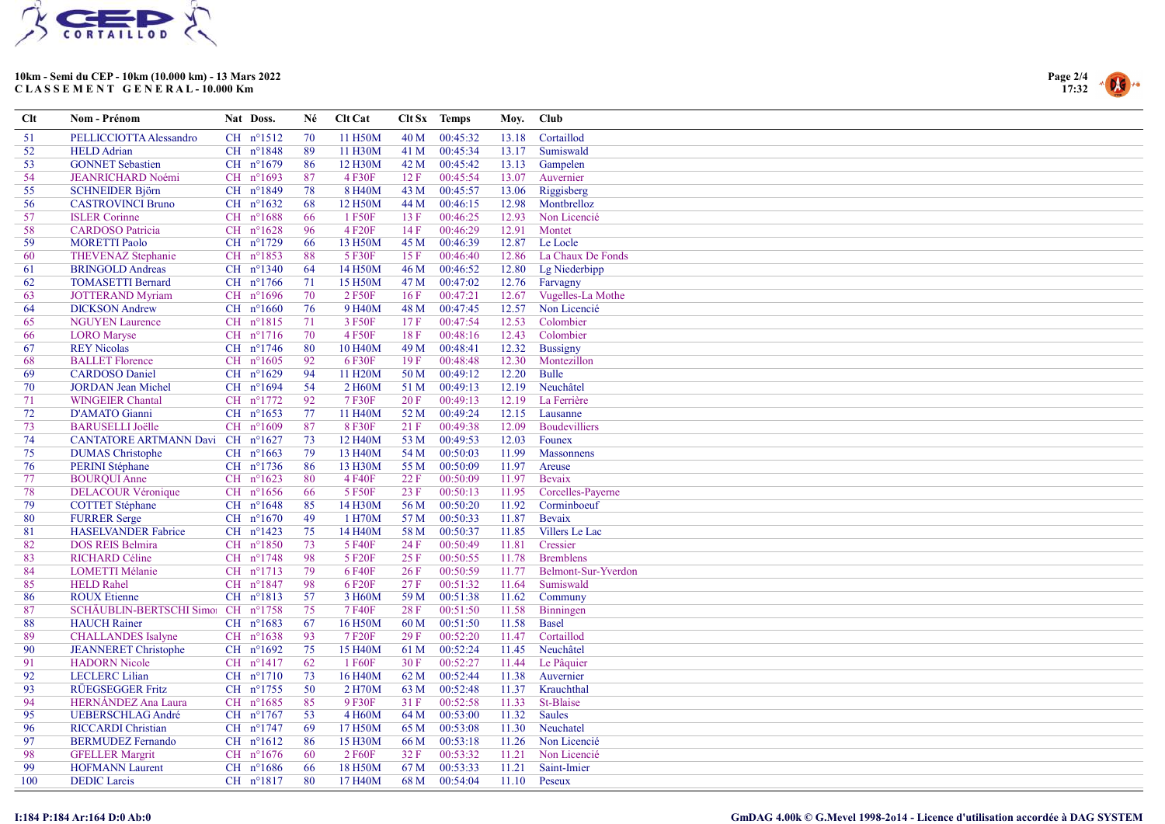



| $Cl$ | Nom - Prénom                       | Nat Doss.            | Né  | Clt Cat              |      | Clt Sx Temps | Moy.  | <b>Club</b>          |
|------|------------------------------------|----------------------|-----|----------------------|------|--------------|-------|----------------------|
| 51   | PELLICCIOTTA Alessandro            | $CH$ $n^{\circ}1512$ | 70  | 11 H50M              | 40 M | 00:45:32     | 13.18 | Cortaillod           |
| 52   | <b>HELD</b> Adrian                 | CH n°1848            | 89  | 11 H30M              | 41 M | 00:45:34     | 13.17 | Sumiswald            |
| 53   | <b>GONNET Sebastien</b>            | CH nº1679            | 86  | 12 H30M              | 42 M | 00:45:42     | 13.13 | Gampelen             |
| 54   | <b>JEANRICHARD Noémi</b>           | CH n°1693            | 87  | 4 F30F               | 12 F | 00:45:54     | 13.07 | Auvernier            |
| 55   | <b>SCHNEIDER Björn</b>             | CH n°1849            | 78  | 8 H <sub>40</sub> M  | 43 M | 00:45:57     | 13.06 | Riggisberg           |
| 56   | <b>CASTROVINCI Bruno</b>           | CH $n^{\circ}1632$   | 68  | 12 H50M              | 44 M | 00:46:15     | 12.98 | Montbrelloz          |
| 57   | <b>ISLER</b> Corinne               | $CH$ n°1688          | 66  | 1 F50F               | 13F  | 00:46:25     | 12.93 | Non Licencié         |
| 58   | <b>CARDOSO</b> Patricia            | CH $n^{\circ}1628$   | 96  | 4 F <sub>20</sub> F  | 14F  | 00:46:29     | 12.91 | Montet               |
| 59   | <b>MORETTI Paolo</b>               | CH nº1729            | 66  | 13 H50M              | 45 M | 00:46:39     | 12.87 | Le Locle             |
| 60   | <b>THEVENAZ Stephanie</b>          | CH n°1853            | 88  | 5 F30F               | 15F  | 00:46:40     | 12.86 | La Chaux De Fonds    |
| 61   | <b>BRINGOLD Andreas</b>            | CH $n^{\circ}1340$   | 64  | 14 H50M              | 46 M | 00:46:52     | 12.80 | Lg Niederbipp        |
| 62   | <b>TOMASETTI Bernard</b>           | CH $n^{\circ}1766$   | 71  | 15 H50M              | 47 M | 00:47:02     | 12.76 | Farvagny             |
| 63   | <b>JOTTERAND Myriam</b>            | CH n°1696            | 70  | 2 F50F               | 16F  | 00:47:21     | 12.67 | Vugelles-La Mothe    |
| 64   | <b>DICKSON</b> Andrew              | $CH$ $n^{\circ}1660$ | 76  | 9 H <sub>40</sub> M  | 48 M | 00:47:45     | 12.57 | Non Licencié         |
| 65   | <b>NGUYEN Laurence</b>             | CH n°1815            | 71  | 3 F50F               | 17F  | 00:47:54     | 12.53 | Colombier            |
| 66   | <b>LORO</b> Maryse                 | CH $n^{\circ}1716$   | 70  | 4 F50F               | 18F  | 00:48:16     | 12.43 | Colombier            |
| 67   | <b>REY Nicolas</b>                 | CH nº1746            | 80  | 10 H <sub>40</sub> M | 49 M | 00:48:41     | 12.32 | <b>Bussigny</b>      |
| 68   | <b>BALLET</b> Florence             | $CH$ $n^{\circ}1605$ | 92  | 6 F30F               | 19F  | 00:48:48     | 12.30 | Montezillon          |
| 69   | <b>CARDOSO</b> Daniel              | CH $n^{\circ}1629$   | 94  | 11 H <sub>20</sub> M | 50 M | 00:49:12     | 12.20 | <b>Bulle</b>         |
| 70   | <b>JORDAN</b> Jean Michel          | CH n°1694            | 54  | 2 H60M               | 51 M | 00:49:13     | 12.19 | Neuchâtel            |
| 71   | <b>WINGEIER Chantal</b>            | CH n°1772            | 92  | 7 F30F               | 20 F | 00:49:13     | 12.19 | La Ferrière          |
| 72   | D'AMATO Gianni                     | CH $n^{\circ}1653$   | 77  | 11 H <sub>40</sub> M | 52 M | 00:49:24     | 12.15 | Lausanne             |
| 73   | <b>BARUSELLI Joëlle</b>            | CH n°1609            | 87  | 8F30F                | 21 F | 00:49:38     | 12.09 | <b>Boudevilliers</b> |
| 74   | CANTATORE ARTMANN Davi CH n°1627   |                      | 73  | 12 H <sub>40</sub> M | 53 M | 00:49:53     | 12.03 | Founex               |
| 75   | <b>DUMAS</b> Christophe            | CH $n^{\circ}1663$   | 79  | 13 H40M              | 54 M | 00:50:03     | 11.99 | <b>Massonnens</b>    |
| 76   | PERINI Stéphane                    | CH nº1736            | 86  | 13 H30M              | 55 M | 00:50:09     | 11.97 | Areuse               |
| 77   | <b>BOURQUI Anne</b>                | CH $n^{\circ}1623$   | 80  | 4 F40F               | 22 F | 00:50:09     | 11.97 | Bevaix               |
| 78   | <b>DELACOUR Véronique</b>          | CH $n^{\circ}1656$   | 66  | 5 F50F               | 23 F | 00:50:13     | 11.95 | Corcelles-Payerne    |
| 79   | <b>COTTET Stéphane</b>             | $CH$ $n^{\circ}1648$ | 85  | 14 H30M              | 56 M | 00:50:20     | 11.92 | Corminboeuf          |
| 80   | <b>FURRER Serge</b>                | CH $n^{\circ}1670$   | 49  | 1 H70M               | 57 M | 00:50:33     | 11.87 | Bevaix               |
| 81   | <b>HASELVANDER Fabrice</b>         | CH nº1423            | 75  | 14 H40M              | 58 M | 00:50:37     | 11.85 | Villers Le Lac       |
| 82   | <b>DOS REIS Belmira</b>            | CH n°1850            | 73  | 5 F40F               | 24 F | 00:50:49     | 11.81 | Cressier             |
| 83   | <b>RICHARD Céline</b>              | CH n°1748            | 98  | 5 F20F               | 25 F | 00:50:55     | 11.78 | <b>Bremblens</b>     |
| 84   | <b>LOMETTI Mélanie</b>             | CH nº1713            | 79  | 6 F40F               | 26 F | 00:50:59     | 11.77 | Belmont-Sur-Yverdon  |
| 85   | <b>HELD Rahel</b>                  | CH n°1847            | -98 | 6 F <sub>20</sub> F  | 27F  | 00:51:32     | 11.64 | Sumiswald            |
| 86   | <b>ROUX Etienne</b>                | CH n°1813            | 57  | 3 H60M               | 59 M | 00:51:38     | 11.62 | Communy              |
| 87   | SCHÄUBLIN-BERTSCHI Simo: CH n°1758 |                      | 75  | 7 F40F               | 28 F | 00:51:50     | 11.58 | Binningen            |
| 88   | <b>HAUCH</b> Rainer                | CH nº1683            | 67  | 16 H50M              | 60 M | 00:51:50     | 11.58 | <b>Basel</b>         |
| 89   | <b>CHALLANDES</b> Isalyne          | CH $n^{\circ}1638$   | 93  | 7 F <sub>20</sub> F  | 29 F | 00:52:20     | 11.47 | Cortaillod           |
| 90   | <b>JEANNERET Christophe</b>        | CH n°1692            | 75  | 15 H40M              | 61 M | 00:52:24     | 11.45 | Neuchâtel            |
| 91   | <b>HADORN Nicole</b>               | $CH$ n°1417          | 62  | 1 F60F               | 30F  | 00:52:27     | 11.44 | Le Pâquier           |
| 92   | <b>LECLERC</b> Lilian              | CH $n^{\circ}1710$   | 73  | 16 H <sub>40</sub> M | 62 M | 00:52:44     | 11.38 | Auvernier            |
| 93   | RÜEGSEGGER Fritz                   | CH n°1755            | 50  | 2 H70M               | 63 M | 00:52:48     | 11.37 | Krauchthal           |
| 94   | HERNÁNDEZ Ana Laura                | CH nº1685            | 85  | 9 F30F               | 31 F | 00:52:58     | 11.33 | St-Blaise            |
| 95   | <b>UEBERSCHLAG André</b>           | CH $n^{\circ}1767$   | 53  | 4 H60M               | 64 M | 00:53:00     | 11.32 | <b>Saules</b>        |
| 96   | <b>RICCARDI Christian</b>          | CH n°1747            | 69  | 17 H50M              | 65 M | 00:53:08     | 11.30 | Neuchatel            |
| 97   | <b>BERMUDEZ</b> Fernando           | CH $n^{\circ}1612$   | 86  | 15 H30M              | 66 M | 00:53:18     | 11.26 | Non Licencié         |
| 98   | <b>GFELLER Margrit</b>             | CH $n^{\circ}1676$   | 60  | 2 F60F               | 32 F | 00:53:32     | 11.21 | Non Licencié         |
| 99   | <b>HOFMANN Laurent</b>             | CH $n^{\circ}1686$   | 66  | 18 H50M              | 67 M | 00:53:33     | 11.21 | Saint-Imier          |
| 100  | <b>DEDIC</b> Larcis                | CH n°1817            | 80  | 17 H40M              | 68 M | 00:54:04     | 11.10 | Peseux               |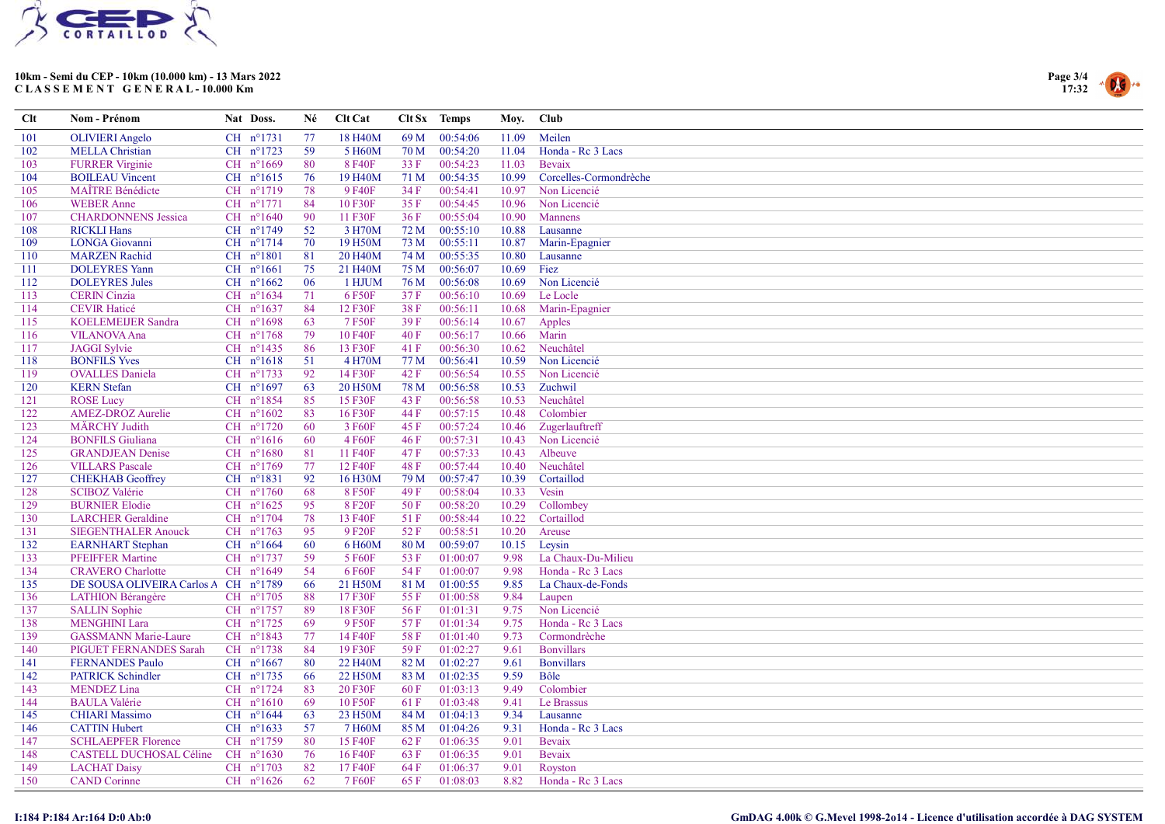



| Clt | Nom - Prénom                         | Nat Doss.            | Né  | <b>Clt Cat</b>       |      | Clt Sx Temps  | Moy.  | <b>Club</b>            |
|-----|--------------------------------------|----------------------|-----|----------------------|------|---------------|-------|------------------------|
| 101 | <b>OLIVIERI</b> Angelo               | $CH$ $n^{\circ}1731$ | 77  | 18 H <sub>40</sub> M | 69 M | 00:54:06      | 11.09 | Meilen                 |
| 102 | <b>MELLA</b> Christian               | CH nº1723            | 59  | 5 H60M               | 70 M | 00:54:20      | 11.04 | Honda - Re 3 Lacs      |
| 103 | <b>FURRER</b> Virginie               | CH n°1669            | 80  | 8 F40F               | 33 F | 00:54:23      | 11.03 | Bevaix                 |
| 104 | <b>BOILEAU Vincent</b>               | CH $n^{\circ}1615$   | 76  | 19 H <sub>40</sub> M | 71 M | 00:54:35      | 10.99 | Corcelles-Cormondrèche |
| 105 | <b>MAÎTRE Bénédicte</b>              | CH nº1719            | 78  | 9 F40F               | 34 F | 00:54:41      | 10.97 | Non Licencié           |
| 106 | <b>WEBER Anne</b>                    | CH n°1771            | 84  | 10 F30F              | 35 F | 00:54:45      | 10.96 | Non Licencié           |
| 107 | <b>CHARDONNENS Jessica</b>           | CH $n^{\circ}1640$   | 90  | 11 F30F              | 36F  | 00:55:04      | 10.90 | Mannens                |
| 108 | <b>RICKLI Hans</b>                   | CH nº1749            | 52  | 3 H70M               | 72 M | 00:55:10      | 10.88 | Lausanne               |
| 109 | <b>LONGA</b> Giovanni                | CH nº1714            | 70  | 19 H50M              | 73 M | 00:55:11      | 10.87 | Marin-Epagnier         |
| 110 | <b>MARZEN</b> Rachid                 | CH $n^{\circ}1801$   | 81  | 20 H <sub>40</sub> M | 74 M | 00:55:35      | 10.80 | Lausanne               |
| 111 | <b>DOLEYRES Yann</b>                 | CH $n^{\circ}1661$   | 75  | 21 H40M              | 75 M | 00:56:07      | 10.69 | Fiez                   |
| 112 | <b>DOLEYRES Jules</b>                | CH $n^{\circ}1662$   | 06  | 1 HJUM               | 76 M | 00:56:08      | 10.69 | Non Licencié           |
| 113 | <b>CERIN</b> Cinzia                  | CH nº1634            | 71  | 6 F50F               | 37F  | 00:56:10      | 10.69 | Le Locle               |
| 114 | <b>CEVIR Haticé</b>                  | CH nº1637            | 84  | 12 F30F              | 38F  | 00:56:11      | 10.68 | Marin-Epagnier         |
| 115 | <b>KOELEMEIJER Sandra</b>            | CH n°1698            | 63  | 7 F50F               | 39F  | 00:56:14      | 10.67 | Apples                 |
| 116 | <b>VILANOVA Ana</b>                  | CH n°1768            | 79  | 10 F40F              | 40 F | 00:56:17      | 10.66 | Marin                  |
| 117 | <b>JAGGI</b> Sylvie                  | CH $n^{\circ}$ 1435  | -86 | 13 F30F              | 41 F | 00:56:30      | 10.62 | Neuchâtel              |
| 118 | <b>BONFILS Yves</b>                  | CH n°1618            | 51  | 4 H70M               | 77 M | 00:56:41      | 10.59 | Non Licencié           |
| 119 | <b>OVALLES</b> Daniela               | CH n°1733            | 92  | 14 F30F              | 42 F | 00:56:54      | 10.55 | Non Licencié           |
| 120 | <b>KERN</b> Stefan                   | CH n°1697            | 63  | 20 H50M              | 78 M | 00:56:58      | 10.53 | Zuchwil                |
| 121 | <b>ROSE</b> Lucy                     | CH n°1854            | 85  | 15 F30F              | 43 F | 00:56:58      | 10.53 | Neuchâtel              |
| 122 | <b>AMEZ-DROZ Aurelie</b>             | $CH$ $n^{\circ}1602$ | 83  | 16F30F               | 44 F | 00:57:15      | 10.48 | Colombier              |
| 123 | MÄRCHY Judith                        | CH nº1720            | 60  | 3 F60F               | 45 F | 00:57:24      | 10.46 | Zugerlauftreff         |
| 124 | <b>BONFILS Giuliana</b>              | CH $n^{\circ}1616$   | 60  | 4 F60F               | 46 F | 00:57:31      | 10.43 | Non Licencié           |
| 125 | <b>GRANDJEAN Denise</b>              | CH n°1680            | 81  | 11 F40F              | 47 F | 00:57:33      | 10.43 | Albeuve                |
| 126 | <b>VILLARS</b> Pascale               | CH n°1769            | 77  | 12 F40F              | 48 F | 00:57:44      | 10.40 | Neuchâtel              |
| 127 | <b>CHEKHAB</b> Geoffrey              | CH nº1831            | 92  | 16 H30M              | 79 M | 00:57:47      | 10.39 | Cortaillod             |
| 128 | <b>SCIBOZ Valérie</b>                | CH $n^{\circ}1760$   | 68  | 8 F50F               | 49 F | 00:58:04      | 10.33 | Vesin                  |
| 129 | <b>BURNIER Elodie</b>                | CH $n^{\circ}1625$   | 95  | 8F20F                | 50 F | 00:58:20      | 10.29 | Collombey              |
| 130 | <b>LARCHER</b> Geraldine             | CH n°1704            | 78  | 13 F40F              | 51F  | 00:58:44      | 10.22 | Cortaillod             |
| 131 | <b>SIEGENTHALER Anouck</b>           | CH nº1763            | 95  | 9 F <sub>20</sub> F  | 52 F | 00:58:51      | 10.20 | Areuse                 |
| 132 | <b>EARNHART</b> Stephan              | CH $n^{\circ}1664$   | 60  | 6 H60M               | 80 M | 00:59:07      | 10.15 | Leysin                 |
| 133 | <b>PFEIFFER Martine</b>              | CH n°1737            | 59  | 5 F60F               | 53 F | 01:00:07      | 9.98  | La Chaux-Du-Milieu     |
| 134 | <b>CRAVERO</b> Charlotte             | CH $n^{\circ}1649$   | 54  | 6 F60F               | 54 F | 01:00:07      | 9.98  | Honda - Rc 3 Lacs      |
| 135 | DE SOUSA OLIVEIRA Carlos A CH nº1789 |                      | 66  | 21 H50M              | 81 M | 01:00:55      | 9.85  | La Chaux-de-Fonds      |
| 136 | <b>LATHION Bérangère</b>             | CH n°1705            | 88  | 17 F30F              | 55 F | 01:00:58      | 9.84  | Laupen                 |
| 137 | <b>SALLIN Sophie</b>                 | CH nº1757            | -89 | 18 F30F              | 56 F | 01:01:31      | 9.75  | Non Licencié           |
| 138 | <b>MENGHINI Lara</b>                 | CH nº1725            | 69  | 9 F50F               | 57F  | 01:01:34      | 9.75  | Honda - Rc 3 Lacs      |
| 139 | <b>GASSMANN Marie-Laure</b>          | $CH$ $n^{\circ}1843$ | 77  | 14 F40F              | 58 F | 01:01:40      | 9.73  | Cormondrèche           |
| 140 | PIGUET FERNANDES Sarah               | CH $n^{\circ}$ 1738  | 84  | 19 F30F              | 59F  | 01:02:27      | 9.61  | <b>Bonvillars</b>      |
| 141 | <b>FERNANDES Paulo</b>               | CH $n^{\circ}1667$   | 80  | 22 H <sub>40</sub> M | 82 M | 01:02:27      | 9.61  | <b>Bonvillars</b>      |
| 142 | <b>PATRICK Schindler</b>             | $CH$ n°1735          | 66  | 22 H50M              | 83 M | 01:02:35      | 9.59  | Bôle                   |
| 143 | <b>MENDEZ</b> Lina                   | CH n°1724            | 83  | 20 F30F              | 60 F | 01:03:13      | 9.49  | Colombier              |
| 144 | <b>BAULA Valérie</b>                 | CH $n^{\circ}1610$   | 69  | 10 F50F              | 61 F | 01:03:48      | 9.41  | Le Brassus             |
| 145 | <b>CHIARI</b> Massimo                | CH nº1644            | 63  | 23 H50M              | 84 M | 01:04:13      | 9.34  | Lausanne               |
| 146 | <b>CATTIN Hubert</b>                 | CH $n^{\circ}1633$   | 57  | 7 H60M               |      | 85 M 01:04:26 | 9.31  | Honda - Rc 3 Lacs      |
| 147 | <b>SCHLAEPFER Florence</b>           | CH n°1759            | 80  | 15 F40F              | 62 F | 01:06:35      | 9.01  | Bevaix                 |
| 148 | CASTELL DUCHOSAL Céline              | CH $n^{\circ}1630$   | 76  | 16 F40F              | 63F  | 01:06:35      | 9.01  | Bevaix                 |
| 149 | <b>LACHAT Daisy</b>                  | CH $n^{\circ}1703$   | 82  | 17 F40F              | 64 F | 01:06:37      | 9.01  | Royston                |
| 150 | <b>CAND</b> Corinne                  | CH $n^{\circ}1626$   | 62  | 7 F60F               | 65 F | 01:08:03      | 8.82  | Honda - Rc 3 Lacs      |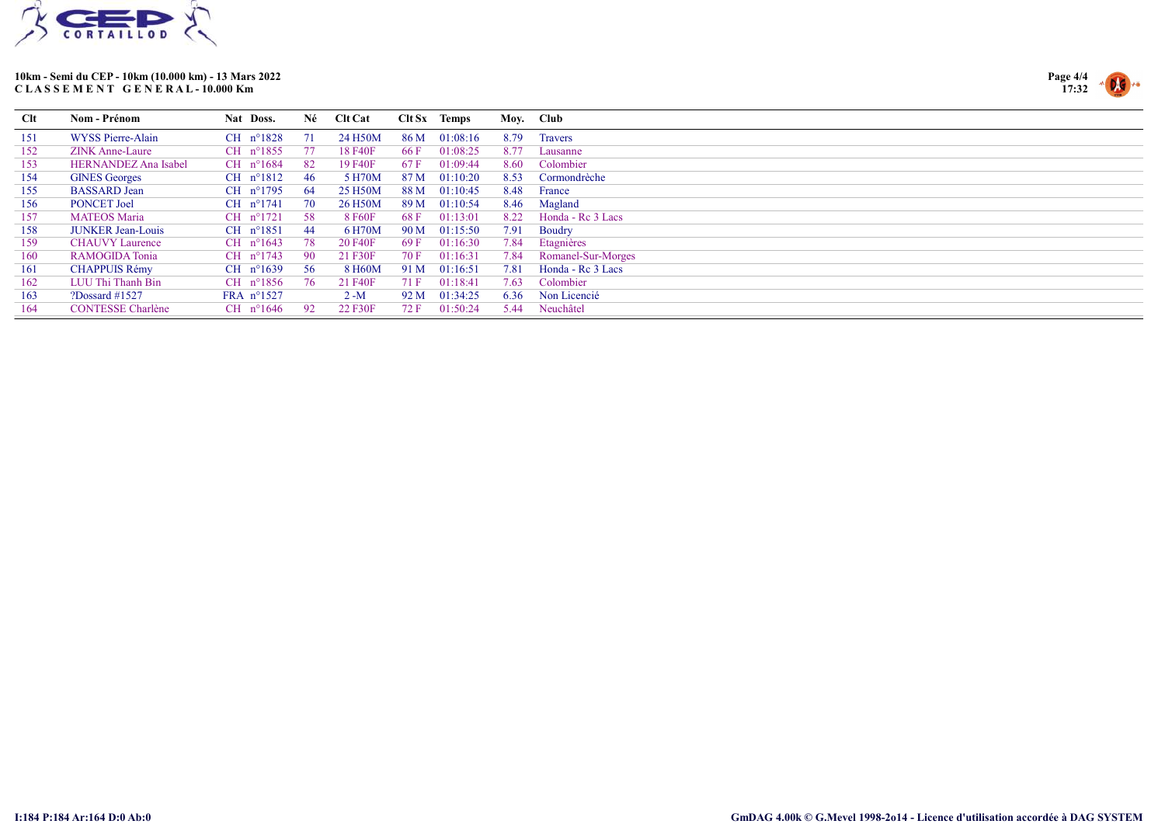



| Clt | Nom - Prénom                | Nat Doss.            | Né   | <b>Clt Cat</b> |      | $C$ lt Sx Temps |      | Moy. Club          |
|-----|-----------------------------|----------------------|------|----------------|------|-----------------|------|--------------------|
| 151 | WYSS Pierre-Alain           | $CH$ n°1828          |      | 24 H50M        | 86 M | 01:08:16        | 8.79 | <b>Travers</b>     |
| 152 | <b>ZINK Anne-Laure</b>      | CH $n^{\circ}1855$   | - 77 | 18 F40F        | 66 F | 01:08:25        | 8.77 | Lausanne           |
| 153 | <b>HERNANDEZ Ana Isabel</b> | CH $n^{\circ}1684$   | -82  | 19 F40F        | 67 F | 01:09:44        | 8.60 | Colombier          |
| 154 | <b>GINES Georges</b>        | CH $n^{\circ}1812$   | 46.  | 5 H70M         | 87 M | 01:10:20        | 8.53 | Cormondrèche       |
| 155 | <b>BASSARD</b> Jean         | CH $n^{\circ}1795$   | -64  | 25 H50M        | 88 M | 01:10:45        | 8.48 | France             |
| 156 | <b>PONCET Joel</b>          | CH $n^{\circ}1741$   | 70   | 26 H50M        | 89 M | 01:10:54        | 8.46 | Magland            |
| 157 | <b>MATEOS Maria</b>         | $CH$ $n^{\circ}1721$ | -58  | 8 F60F         | 68 F | 01:13:01        | 8.22 | Honda - Re 3 Lacs  |
| 158 | <b>JUNKER Jean-Louis</b>    | CH $n^{\circ}1851$   | -44  | 6 H70M         | 90 M | 01:15:50        | 7.91 | Boudry             |
| 159 | <b>CHAUVY Laurence</b>      | CH $n^{\circ}1643$   | 78   | 20 F40F        | 69 F | 01:16:30        | 7.84 | Etagnières         |
| 160 | RAMOGIDA Tonia              | CH $n^{\circ}1743$   | -90  | 21 F30F        | 70 F | 01:16:31        | 7.84 | Romanel-Sur-Morges |
| 161 | <b>CHAPPUIS Rémy</b>        | CH $n^{\circ}1639$   | -56  | 8 H60M         | 91 M | 01:16:51        | 7.81 | Honda - Re 3 Lacs  |
| 162 | LUU Thi Thanh Bin           | CH $n^{\circ}1856$   | -76  | 21 F40F        | 71 F | 01:18:41        | 7.63 | Colombier          |
| 163 | ?Dossard $\#1527$           | FRA $n^{\circ}1527$  |      | $2 - M$        | 92 M | 01:34:25        | 6.36 | Non Licencié       |
| 164 | <b>CONTESSE Charlène</b>    | CH $n^{\circ}1646$   | 92   | 22 F30F        | 72 F | 01:50:24        | 5.44 | Neuchâtel          |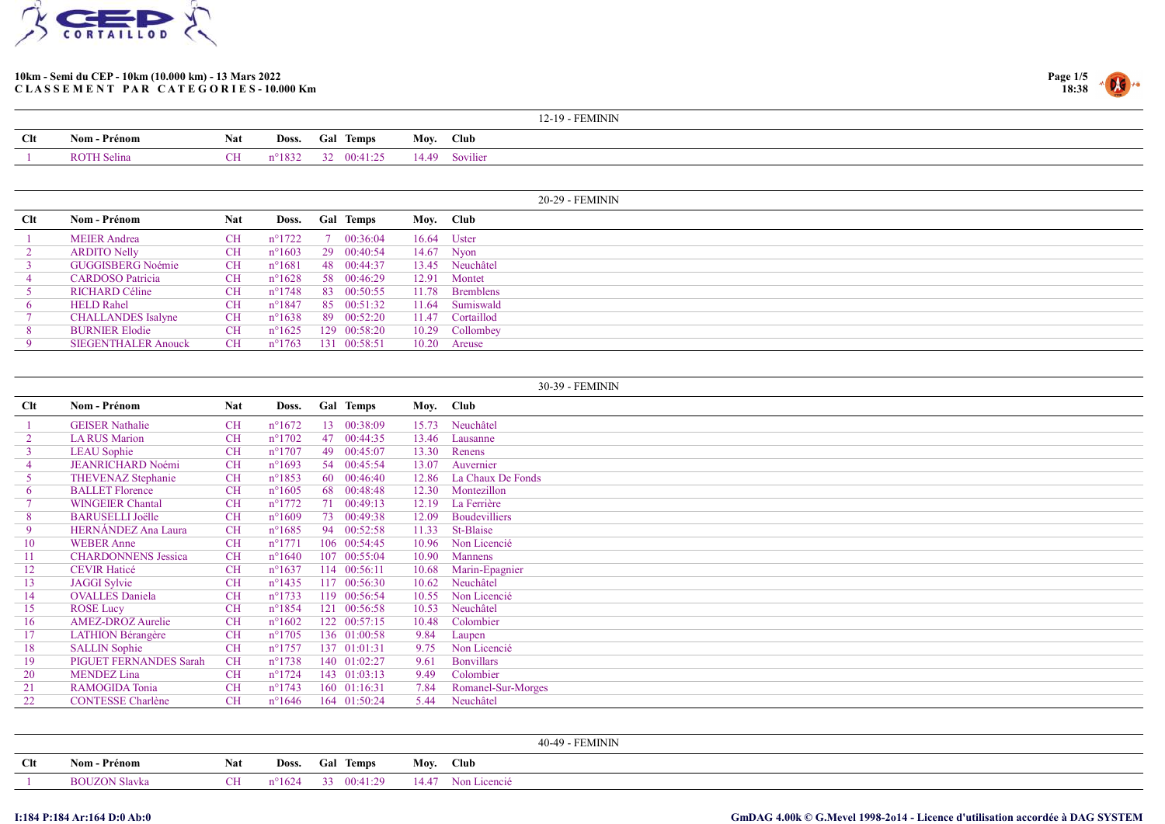



|     |                    |     |                 |                  |       | 12-19 - FEMININ |
|-----|--------------------|-----|-----------------|------------------|-------|-----------------|
| Clt | Nom - Prénom       | Nat | Doss.           | <b>Gal Temps</b> | Mov.  | <b>Club</b>     |
|     | <b>ROTH Selina</b> | CН  | $n^{\circ}1832$ | 00:41:25         | 14.49 | Sovilier        |

|     |                            |            |                 |                  |       | 20-29 - FEMININ  |
|-----|----------------------------|------------|-----------------|------------------|-------|------------------|
| Clt | Nom - Prénom               | <b>Nat</b> | Doss.           | <b>Gal Temps</b> |       | Moy. Club        |
|     | <b>MEIER</b> Andrea        | <b>CH</b>  | n°1722          | 7 00:36:04       |       | 16.64 Uster      |
|     | <b>ARDITO Nelly</b>        | <b>CH</b>  | $n^{\circ}1603$ | 29 00:40:54      |       | 14.67 Nyon       |
|     | <b>GUGGISBERG Noémie</b>   | <b>CH</b>  | $n^{\circ}1681$ | 48 00:44:37      |       | 13.45 Neuchâtel  |
|     | <b>CARDOSO</b> Patricia    | <b>CH</b>  | $n^{\circ}1628$ | 58 00:46:29      |       | 12.91 Montet     |
|     | RICHARD Céline             | <b>CH</b>  | $n^{\circ}1748$ | 83 00:50:55      |       | 11.78 Bremblens  |
|     | <b>HELD Rahel</b>          | <b>CH</b>  | $n^{\circ}1847$ | 85 00:51:32      | 11.64 | Sumiswald        |
|     | <b>CHALLANDES</b> Isalyne  | <b>CH</b>  | $n^{\circ}1638$ | 89 00:52:20      |       | 11.47 Cortaillod |
|     | <b>BURNIER Elodie</b>      | <b>CH</b>  | $n^{\circ}1625$ | 129 00:58:20     |       | 10.29 Collombey  |
|     | <b>SIEGENTHALER Anouck</b> | <b>CH</b>  | $n^{\circ}1763$ | 131 00:58:51     |       | 10.20 Areuse     |

|                |                            |            |                  |                  |                       | 30-39 - FEMININ      |
|----------------|----------------------------|------------|------------------|------------------|-----------------------|----------------------|
| Clt            | Nom - Prénom               | <b>Nat</b> | Doss.            | <b>Gal Temps</b> |                       | Moy. Club            |
|                | <b>GEISER</b> Nathalie     | <b>CH</b>  | $n^{\circ}1672$  |                  | 13 00:38:09<br>15.73  | Neuchâtel            |
| $\overline{2}$ | <b>LA RUS Marion</b>       | <b>CH</b>  | $n^{\circ}1702$  |                  | 47 00:44:35<br>13.46  | Lausanne             |
| 3 <sup>7</sup> | <b>LEAU</b> Sophie         | <b>CH</b>  | $n^{\circ}1707$  | 49               | 00:45:07<br>13.30     | Renens               |
| 4              | <b>JEANRICHARD Noémi</b>   | <b>CH</b>  | $n^{\circ}1693$  |                  | 54 00:45:54<br>13.07  | Auvernier            |
| 5 <sup>1</sup> | <b>THEVENAZ Stephanie</b>  | <b>CH</b>  | $n^{\circ}1853$  | 60               | 00:46:40<br>12.86     | La Chaux De Fonds    |
| 6              | <b>BALLET Florence</b>     | <b>CH</b>  | $n^{\circ}1605$  | 68               | 00:48:48<br>12.30     | Montezillon          |
|                | <b>WINGEIER Chantal</b>    | <b>CH</b>  | $n^{\circ}1772$  | 71               | 00:49:13<br>12.19     | La Ferrière          |
| 8              | <b>BARUSELLI Joëlle</b>    | CH         | $n^{\circ}1609$  |                  | 73 00:49:38<br>12.09  | <b>Boudevilliers</b> |
| 9              | HERNÁNDEZ Ana Laura        | <b>CH</b>  | $n^{\circ}1685$  | 94 00:52:58      | 11.33                 | St-Blaise            |
| 10             | <b>WEBER Anne</b>          | <b>CH</b>  | $n^{\circ}1771$  | 106 00:54:45     | 10.96                 | Non Licencié         |
| 11             | <b>CHARDONNENS</b> Jessica | <b>CH</b>  | $n^{\circ}1640$  | 107 00:55:04     | 10.90                 | <b>Mannens</b>       |
| 12             | <b>CEVIR Haticé</b>        | <b>CH</b>  | $n^{\circ}1637$  | 114 00:56:11     | 10.68                 | Marin-Epagnier       |
| 13             | <b>JAGGI</b> Sylvie        | <b>CH</b>  | $n^{\circ}$ 1435 | 117 00:56:30     | 10.62                 | Neuchâtel            |
| 14             | <b>OVALLES</b> Daniela     | <b>CH</b>  | $n^{\circ}1733$  | 119 00:56:54     | 10.55                 | Non Licencié         |
| 15             | <b>ROSE Lucy</b>           | <b>CH</b>  | $n^{\circ}1854$  |                  | 121 00:56:58<br>10.53 | Neuchâtel            |
| 16             | <b>AMEZ-DROZ Aurelie</b>   | <b>CH</b>  | $n^{\circ}1602$  | 122 00:57:15     | 10.48                 | Colombier            |
| 17             | <b>LATHION Bérangère</b>   | <b>CH</b>  | $n^{\circ}1705$  |                  | 136 01:00:58<br>9.84  | Laupen               |
| 18             | <b>SALLIN</b> Sophie       | <b>CH</b>  | $n^{\circ}1757$  | 137 01:01:31     | 9.75                  | Non Licencié         |
| 19             | PIGUET FERNANDES Sarah     | <b>CH</b>  | $n^{\circ}1738$  | 140 01:02:27     | 9.61                  | <b>Bonvillars</b>    |
| 20             | <b>MENDEZ</b> Lina         | <b>CH</b>  | $n^{\circ}1724$  | 143 01:03:13     | 9.49                  | Colombier            |
| 21             | <b>RAMOGIDA Tonia</b>      | <b>CH</b>  | $n^{\circ}1743$  | 160 01:16:31     | 7.84                  | Romanel-Sur-Morges   |
| 22             | <b>CONTESSE</b> Charlène   | <b>CH</b>  | $n^{\circ}1646$  | 164 01:50:24     | 5.44                  | Neuchâtel            |

|                 |                      |     |                 |              | 40-49 - FEMININ    |
|-----------------|----------------------|-----|-----------------|--------------|--------------------|
| Cl <sub>t</sub> | Nom - Prénom         | Nat | Doss.           | Temps<br>Gal | Moy. Club          |
|                 | <b>BOUZON Slavka</b> | CН  | $n^{\circ}1624$ | 33 00:41:29  | 14.47 Non Licencié |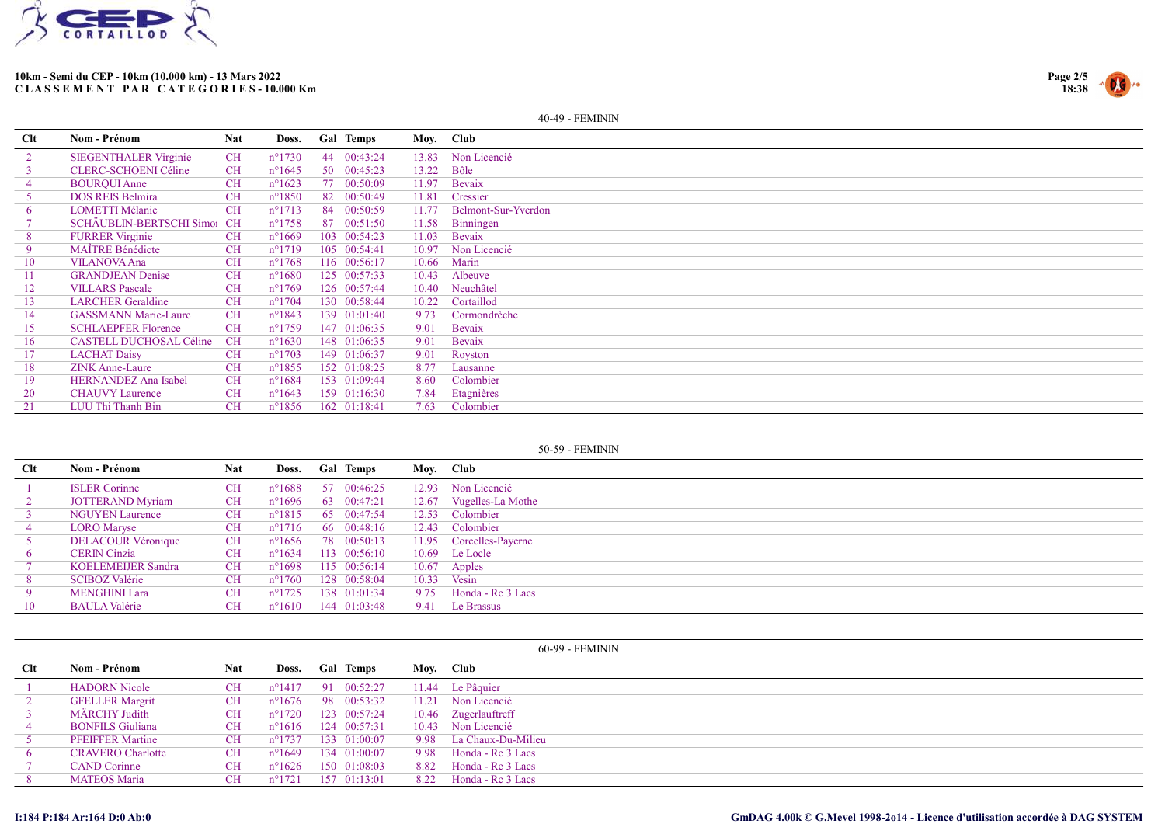



|            |                                |            |                 |    |                  |           | 40-49 - FEMININ     |
|------------|--------------------------------|------------|-----------------|----|------------------|-----------|---------------------|
| <b>Clt</b> | Nom - Prénom                   | <b>Nat</b> | Doss.           |    | <b>Gal Temps</b> | Moy. Club |                     |
| 2          | <b>SIEGENTHALER Virginie</b>   | CH         | $n^{\circ}1730$ |    | 44 00:43:24      | 13.83     | Non Licencié        |
|            | <b>CLERC-SCHOENI Céline</b>    | <b>CH</b>  | $n^{\circ}1645$ |    | 50 00:45:23      | 13.22     | Bôle                |
|            | <b>BOURQUI Anne</b>            | <b>CH</b>  | $n^{\circ}1623$ |    | 77 00:50:09      | 11.97     | Bevaix              |
|            | <b>DOS REIS Belmira</b>        | <b>CH</b>  | $n^{\circ}1850$ |    | 82 00:50:49      | 11.81     | Cressier            |
| 6          | <b>LOMETTI Mélanie</b>         | <b>CH</b>  | $n^{\circ}1713$ |    | 84 00:50:59      | 11.77     | Belmont-Sur-Yverdon |
|            | SCHÄUBLIN-BERTSCHI Simo: CH    |            | $n^{\circ}1758$ | 87 | 00:51:50         | 11.58     | Binningen           |
| 8          | <b>FURRER Virginie</b>         | <b>CH</b>  | $n^{\circ}1669$ |    | 103 00:54:23     | 11.03     | Bevaix              |
| -9         | <b>MAÏTRE Bénédicte</b>        | <b>CH</b>  | $n^{\circ}1719$ |    | 105 00:54:41     | 10.97     | Non Licencié        |
| 10         | <b>VILANOVA Ana</b>            | <b>CH</b>  | $n^{\circ}1768$ |    | 116 00:56:17     | 10.66     | Marin               |
| 11         | <b>GRANDJEAN Denise</b>        | <b>CH</b>  | $n^{\circ}1680$ |    | 125 00:57:33     | 10.43     | Albeuve             |
| 12         | <b>VILLARS</b> Pascale         | <b>CH</b>  | $n^{\circ}1769$ |    | 126 00:57:44     | 10.40     | Neuchâtel           |
| 13         | <b>LARCHER</b> Geraldine       | <b>CH</b>  | $n^{\circ}1704$ |    | 130 00:58:44     | 10.22     | Cortaillod          |
| 14         | <b>GASSMANN Marie-Laure</b>    | <b>CH</b>  | $n^{\circ}1843$ |    | 139 01:01:40     | 9.73      | Cormondrèche        |
| 15         | <b>SCHLAEPFER Florence</b>     | <b>CH</b>  | $n^{\circ}1759$ |    | 147 01:06:35     | 9.01      | Bevaix              |
| 16         | <b>CASTELL DUCHOSAL Céline</b> | <b>CH</b>  | $n^{\circ}1630$ |    | 148 01:06:35     | 9.01      | Bevaix              |
| 17         | <b>LACHAT Daisy</b>            | <b>CH</b>  | $n^{\circ}1703$ |    | 149 01:06:37     | 9.01      | Royston             |
| 18         | <b>ZINK Anne-Laure</b>         | <b>CH</b>  | $n^{\circ}1855$ |    | 152 01:08:25     | 8.77      | Lausanne            |
| 19         | HERNANDEZ Ana Isabel           | <b>CH</b>  | $n^{\circ}1684$ |    | 153 01:09:44     | 8.60      | Colombier           |
| 20         | <b>CHAUVY Laurence</b>         | <b>CH</b>  | $n^{\circ}1643$ |    | 159 01:16:30     | 7.84      | Etagnières          |
| 21         | LUU Thi Thanh Bin              | <b>CH</b>  | $n^{\circ}1856$ |    | 162 01:18:41     | 7.63      | Colombier           |

|            |                           |            |                 |                  |       | 50-59 - FEMININ         |
|------------|---------------------------|------------|-----------------|------------------|-------|-------------------------|
| <b>Clt</b> | Nom - Prénom              | <b>Nat</b> | Doss.           | <b>Gal Temps</b> |       | Moy. Club               |
|            | <b>ISLER Corinne</b>      | CH         | $n^{\circ}1688$ | 57 00:46:25      |       | 12.93 Non Licencié      |
|            | <b>JOTTERAND Myriam</b>   | CH         | $n^{\circ}1696$ | 63 00:47:21      |       | 12.67 Vugelles-La Mothe |
|            | <b>NGUYEN Laurence</b>    | <b>CH</b>  | $n^{\circ}1815$ | 65 00:47:54      | 12.53 | Colombier               |
|            | <b>LORO</b> Maryse        | CH         | $n^{\circ}1716$ | 66 00:48:16      |       | 12.43 Colombier         |
|            | <b>DELACOUR Véronique</b> | <b>CH</b>  | $n^{\circ}1656$ | 78 00:50:13      | 11.95 | Corcelles-Payerne       |
|            | <b>CERIN</b> Cinzia       | <b>CH</b>  | $n^{\circ}1634$ | 113 00:56:10     |       | 10.69 Le Locle          |
|            | <b>KOELEMEIJER Sandra</b> | <b>CH</b>  | $n^{\circ}1698$ | 115 00:56:14     | 10.67 | Apples                  |
| 8          | <b>SCIBOZ Valérie</b>     | <b>CH</b>  | $n^{\circ}1760$ | 128 00:58:04     |       | $10.33$ Vesin           |
|            | <b>MENGHINI Lara</b>      | <b>CH</b>  | $n^{\circ}1725$ | 138 01:01:34     | 9.75  | Honda - Re 3 Lacs       |
| 10         | <b>BAULA Valérie</b>      | <b>CH</b>  | $n^{\circ}1610$ | 144 01:03:48     | 9.41  | Le Brassus              |

|            |                          |            |                 |                  |       | 60-99 - FEMININ         |
|------------|--------------------------|------------|-----------------|------------------|-------|-------------------------|
| <b>Clt</b> | Nom - Prénom             | <b>Nat</b> | Doss.           | <b>Gal Temps</b> |       | Moy. Club               |
|            | <b>HADORN Nicole</b>     | CН         | $n^{\circ}1417$ | 91 00:52:27      |       | 11.44 Le Pâquier        |
|            | <b>GFELLER Margrit</b>   | CН         | $n^{\circ}1676$ | 98 00:53:32      | 11.21 | Non Licencié            |
|            | MÄRCHY Judith            | CH         | $n^{\circ}1720$ | 123 00:57:24     |       | 10.46 Zugerlauftreff    |
| 4          | <b>BONFILS Giuliana</b>  | <b>CH</b>  | $n^{\circ}1616$ | 124 00:57:31     |       | 10.43 Non Licencié      |
|            | <b>PFEIFFER Martine</b>  | <b>CH</b>  | $n^{\circ}1737$ | 133 01:00:07     |       | 9.98 La Chaux-Du-Milieu |
| 6          | <b>CRAVERO</b> Charlotte | CH         | $n^{\circ}1649$ | 134 01:00:07     | 9.98  | Honda - Re 3 Lacs       |
|            | <b>CAND</b> Corinne      | <b>CH</b>  | $n^{\circ}1626$ | 150 01:08:03     | 8.82  | Honda - Re 3 Lacs       |
|            | <b>MATEOS Maria</b>      | <b>CH</b>  | $n^{\circ}1721$ | 157 01:13:01     | 8.22  | Honda - Re 3 Lacs       |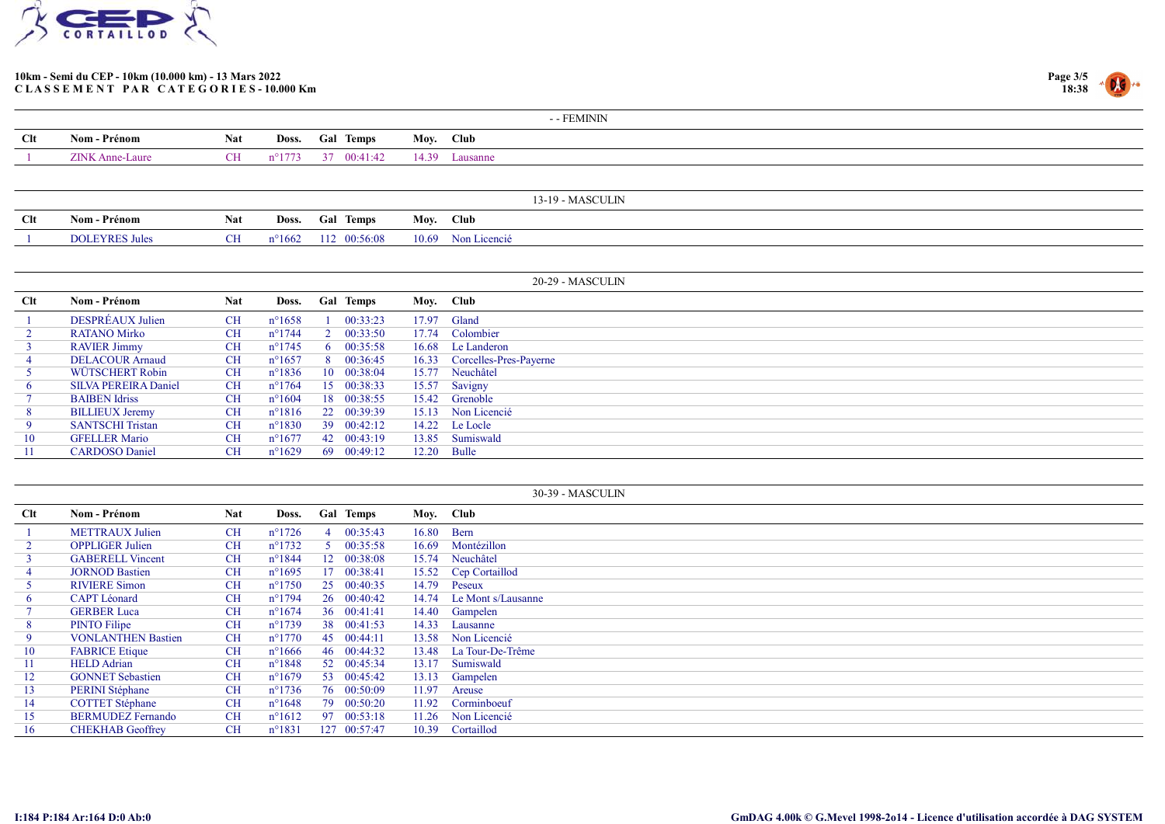



|     |                 |            |                 |                 |           | - - FEMININ    |
|-----|-----------------|------------|-----------------|-----------------|-----------|----------------|
| Clt | Nom - Prénom    | <b>Nat</b> |                 | Doss. Gal Temps | Moy. Club |                |
|     | ZINK Anne-Laure | CH         | $n^{\circ}1773$ | 37 00:41:42     |           | 14.39 Lausanne |
|     |                 |            |                 |                 |           |                |

|        |                    |            |                 |              |       | - MASCULIN<br>$-10$ |
|--------|--------------------|------------|-----------------|--------------|-------|---------------------|
| $Cl$ t | Nom - Prénom       | <b>Nat</b> | Doss.           | Temps<br>Gar | Moy   | <b>Club</b>         |
|        | <b>DOLEYRES Ju</b> | UН         | $n^{\circ}1662$ | 00:56:08     | 10.69 | Non Licencié        |

|                 |                             |            |                 |              |                    |       | 20-29 - MASCULIN             |
|-----------------|-----------------------------|------------|-----------------|--------------|--------------------|-------|------------------------------|
| Clt             | Nom - Prénom                | <b>Nat</b> | Doss.           |              | <b>Gal Temps</b>   |       | Moy. Club                    |
|                 | DESPRÉAUX Julien            | <b>CH</b>  | $n^{\circ}1658$ |              | 00:33:23           | 17.97 | Gland                        |
|                 | RATANO Mirko                | <b>CH</b>  | $n^{\circ}1744$ |              | 00:33:50           | 17.74 | Colombier                    |
|                 | <b>RAVIER Jimmy</b>         | <b>CH</b>  | $n^{\circ}1745$ | $\mathbf{p}$ | 00:35:58           | 16.68 | Le Landeron                  |
|                 | <b>DELACOUR Arnaud</b>      | <b>CH</b>  | $n^{\circ}1657$ |              | 8 00:36:45         |       | 16.33 Corcelles-Pres-Payerne |
|                 | WÜTSCHERT Robin             | <b>CH</b>  | $n^{\circ}1836$ |              | $10\quad 00:38:04$ |       | 15.77 Neuchâtel              |
| 6               | <b>SILVA PEREIRA Daniel</b> | <b>CH</b>  | $n^{\circ}1764$ |              | 15 00:38:33        |       | 15.57 Savigny                |
|                 | <b>BAIBEN Idriss</b>        | CH         | $n^{\circ}1604$ |              | 18 00:38:55        |       | 15.42 Grenoble               |
| 8               | <b>BILLIEUX Jeremy</b>      | <b>CH</b>  | $n^{\circ}1816$ |              | 22 00:39:39        |       | 15.13 Non Licencié           |
| 9               | <b>SANTSCHI Tristan</b>     | <b>CH</b>  | $n^{\circ}1830$ |              | 39 00:42:12        |       | 14.22 Le Locle               |
| 10              | <b>GFELLER Mario</b>        | CH         | $n^{\circ}1677$ |              | 42 00:43:19        |       | 13.85 Sumiswald              |
| $\overline{11}$ | <b>CARDOSO</b> Daniel       | CH         | $n^{\circ}1629$ |              | 69 00:49:12        | 12.20 | Bulle                        |

|                |                           |            |                  |    |                  |            | 30-39 - MASCULIN     |
|----------------|---------------------------|------------|------------------|----|------------------|------------|----------------------|
| Clt            | Nom - Prénom              | <b>Nat</b> | Doss.            |    | <b>Gal Temps</b> |            | Moy. Club            |
|                | <b>METTRAUX</b> Julien    | <b>CH</b>  | $n^{\circ}1726$  |    | 00:35:43         | 16.80 Bern |                      |
|                | <b>OPPLIGER Julien</b>    | <b>CH</b>  | $n^{\circ}1732$  |    | 00:35:58         | 16.69      | Montézillon          |
|                | <b>GABERELL Vincent</b>   | <b>CH</b>  | $n^{\circ}1844$  |    | 12 00:38:08      | 15.74      | Neuchâtel            |
|                | <b>JORNOD Bastien</b>     | <b>CH</b>  | $n^{\circ}1695$  | 17 | 00:38:41         |            | 15.52 Cep Cortaillod |
|                | <b>RIVIERE Simon</b>      | <b>CH</b>  | $n^{\circ}1750$  |    | 25 00:40:35      | 14.79      | Peseux               |
| 6              | <b>CAPT</b> Léonard       | <b>CH</b>  | $n^{\circ}1794$  |    | 26 00:40:42      | 14.74      | Le Mont s/Lausanne   |
|                | <b>GERBER Luca</b>        | <b>CH</b>  | $n^{\circ}1674$  |    | 36 00:41:41      |            | 14.40 Gampelen       |
| 8 <sup>1</sup> | <b>PINTO Filipe</b>       | <b>CH</b>  | $n^{\circ}1739$  |    | 38 00:41:53      |            | 14.33 Lausanne       |
| 9              | <b>VONLANTHEN Bastien</b> | <b>CH</b>  | $n^{\circ}1770$  |    | 45 00:44:11      |            | 13.58 Non Licencié   |
| 10             | <b>FABRICE Etique</b>     | <b>CH</b>  | $n^{\circ}1666$  |    | 46 00:44:32      | 13.48      | La Tour-De-Trême     |
| -11            | <b>HELD</b> Adrian        | <b>CH</b>  | $n^{\circ}1848$  |    | 52 00:45:34      | 13.17      | Sumiswald            |
| 12             | <b>GONNET Sebastien</b>   | <b>CH</b>  | $n^{\circ}1679$  |    | 53 00:45:42      | 13.13      | Gampelen             |
| 13             | <b>PERINI</b> Stéphane    | <b>CH</b>  | $n^{\circ}$ 1736 |    | 76 00:50:09      | 11.97      | Areuse               |
| 14             | <b>COTTET Stéphane</b>    | <b>CH</b>  | $n^{\circ}1648$  |    | 79 00:50:20      | 11.92      | Corminboeuf          |
| 15             | <b>BERMUDEZ Fernando</b>  | <b>CH</b>  | $n^{\circ}1612$  |    | 97 00:53:18      | 11.26      | Non Licencié         |
| 16             | <b>CHEKHAB</b> Geoffrey   | <b>CH</b>  | $n^{\circ}1831$  |    | 127 00:57:47     | 10.39      | Cortaillod           |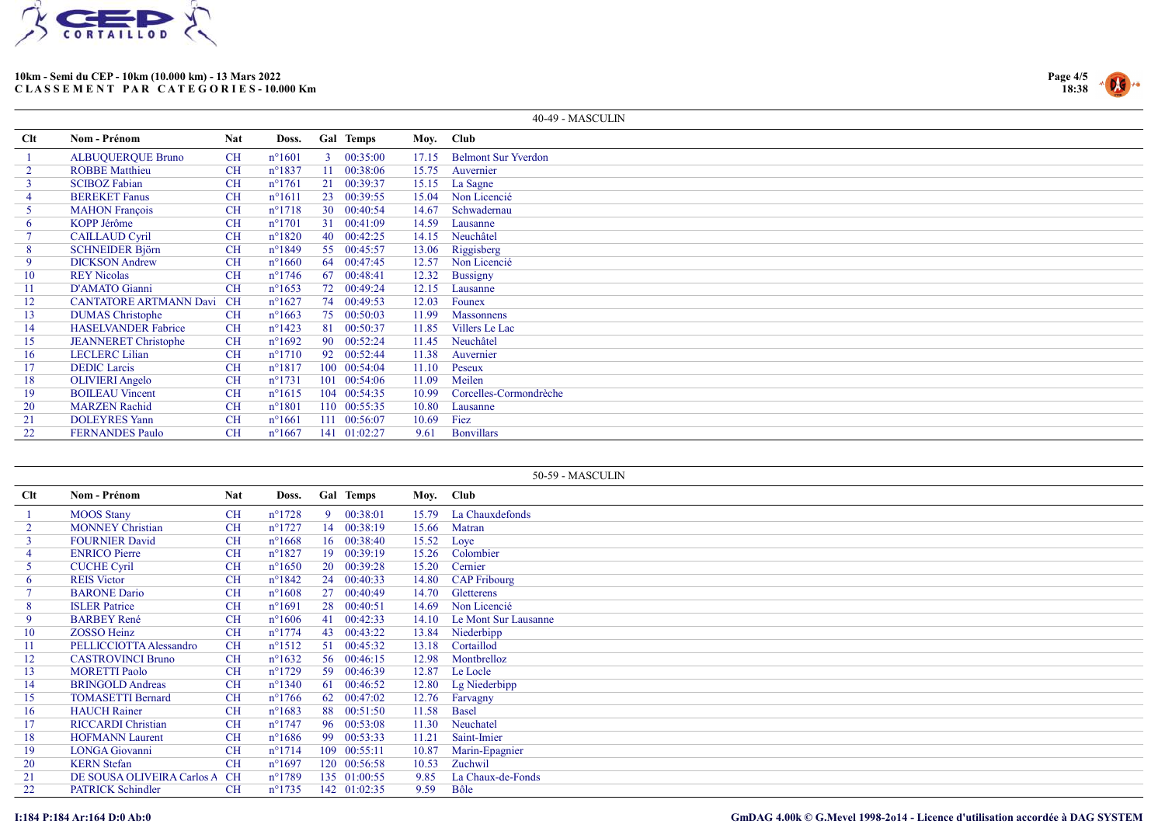



|                |                                  |            |                  |                  |       | 40-49 - MASCULIN           |
|----------------|----------------------------------|------------|------------------|------------------|-------|----------------------------|
| <b>Clt</b>     | Nom - Prénom                     | <b>Nat</b> | Doss.            | <b>Gal Temps</b> |       | Moy. Club                  |
|                | <b>ALBUQUERQUE Bruno</b>         | CH         | $n^{\circ}1601$  | 00:35:00         | 17.15 | <b>Belmont Sur Yverdon</b> |
| $\overline{2}$ | <b>ROBBE Matthieu</b>            | <b>CH</b>  | $n^{\circ}1837$  | 00:38:06         | 15.75 | Auvernier                  |
| $\mathbf{3}$   | <b>SCIBOZ Fabian</b>             | <b>CH</b>  | $n^{\circ}1761$  | 21 00:39:37      |       | 15.15 La Sagne             |
| 4              | <b>BEREKET Fanus</b>             | <b>CH</b>  | $n^{\circ}1611$  | 23 00:39:55      | 15.04 | Non Licencié               |
|                | <b>MAHON</b> François            | <b>CH</b>  | $n^{\circ}1718$  | 30 00:40:54      | 14.67 | Schwadernau                |
| 6              | KOPP Jérôme                      | <b>CH</b>  | $n^{\circ}1701$  | 31 00:41:09      | 14.59 | Lausanne                   |
|                | <b>CAILLAUD Cyril</b>            | <b>CH</b>  | $n^{\circ}1820$  | 40 00:42:25      | 14.15 | Neuchâtel                  |
| 8              | <b>SCHNEIDER Björn</b>           | <b>CH</b>  | $n^{\circ}1849$  | 55 00:45:57      | 13.06 | Riggisberg                 |
| 9              | <b>DICKSON</b> Andrew            | <b>CH</b>  | $n^{\circ}1660$  | 64 00:47:45      |       | 12.57 Non Licencié         |
| 10             | <b>REY Nicolas</b>               | <b>CH</b>  | $n^{\circ}1746$  | 67 00:48:41      | 12.32 | <b>Bussigny</b>            |
| 11             | D'AMATO Gianni                   | <b>CH</b>  | $n^{\circ}1653$  | 72 00:49:24      | 12.15 | Lausanne                   |
| 12             | <b>CANTATORE ARTMANN Davi CH</b> |            | $n^{\circ}1627$  | 74 00:49:53      | 12.03 | Founex                     |
| 13             | <b>DUMAS</b> Christophe          | CH         | $n^{\circ}1663$  | 75 00:50:03      | 11.99 | <b>Massonnens</b>          |
| 14             | <b>HASELVANDER Fabrice</b>       | CH         | $n^{\circ}$ 1423 | 81 00:50:37      | 11.85 | Villers Le Lac             |
| 15             | <b>JEANNERET</b> Christophe      | <b>CH</b>  | $n^{\circ}1692$  | 90 00:52:24      | 11.45 | Neuchâtel                  |
| 16             | <b>LECLERC Lilian</b>            | <b>CH</b>  | $n^{\circ}1710$  | 92 00:52:44      | 11.38 | Auvernier                  |
| 17             | <b>DEDIC</b> Larcis              | <b>CH</b>  | $n^{\circ}1817$  | 100 00:54:04     | 11.10 | Peseux                     |
| 18             | <b>OLIVIERI</b> Angelo           | <b>CH</b>  | $n^{\circ}1731$  | 101 00:54:06     | 11.09 | Meilen                     |
| 19             | <b>BOILEAU Vincent</b>           | <b>CH</b>  | $n^{\circ}1615$  | 104 00:54:35     | 10.99 | Corcelles-Cormondrèche     |
| 20             | <b>MARZEN</b> Rachid             | <b>CH</b>  | $n^{\circ}1801$  | 110 00:55:35     | 10.80 | Lausanne                   |
| 21             | <b>DOLEYRES Yann</b>             | <b>CH</b>  | $n^{\circ}1661$  | 111 00:56:07     | 10.69 | Fiez                       |
| 22             | <b>FERNANDES Paulo</b>           | <b>CH</b>  | $n^{\circ}1667$  | 141 01:02:27     | 9.61  | <b>Bonvillars</b>          |

|     |                            |            |                  |    |              |       | 50-59 - MASCULIN      |
|-----|----------------------------|------------|------------------|----|--------------|-------|-----------------------|
| Clt | Nom - Prénom               | <b>Nat</b> | Doss.            |    | Gal Temps    |       | Moy. Club             |
|     | <b>MOOS</b> Stany          | <b>CH</b>  | $n^{\circ}1728$  |    | 9 00:38:01   |       | 15.79 La Chauxdefonds |
|     | <b>MONNEY Christian</b>    | <b>CH</b>  | $n^{\circ}1727$  |    | 14 00:38:19  |       | 15.66 Matran          |
|     | <b>FOURNIER David</b>      | <b>CH</b>  | $n^{\circ}1668$  |    | 16 00:38:40  |       | 15.52 Loye            |
|     | <b>ENRICO</b> Pierre       | <b>CH</b>  | $n^{\circ}1827$  |    | 19 00:39:19  |       | 15.26 Colombier       |
|     | <b>CUCHE Cyril</b>         | <b>CH</b>  | $n^{\circ}1650$  |    | 20 00:39:28  | 15.20 | Cernier               |
|     | <b>REIS</b> Victor         | <b>CH</b>  | $n^{\circ}1842$  |    | 24 00:40:33  |       | 14.80 CAP Fribourg    |
|     | <b>BARONE Dario</b>        | <b>CH</b>  | $n^{\circ}1608$  |    | 27 00:40:49  | 14.70 | Gletterens            |
| 8   | <b>ISLER</b> Patrice       | <b>CH</b>  | $n^{\circ}1691$  |    | 28 00:40:51  | 14.69 | Non Licencié          |
| 9   | <b>BARBEY René</b>         | <b>CH</b>  | $n^{\circ}1606$  |    | 41 00:42:33  | 14.10 | Le Mont Sur Lausanne  |
| 10  | <b>ZOSSO Heinz</b>         | <b>CH</b>  | $n^{\circ}1774$  |    | 43 00:43:22  | 13.84 | Niederbipp            |
| 11  | PELLICCIOTTA Alessandro    | <b>CH</b>  | $n^{\circ}1512$  |    | 51 00:45:32  | 13.18 | Cortaillod            |
| 12  | <b>CASTROVINCI Bruno</b>   | <b>CH</b>  | $n^{\circ}1632$  |    | 56 00:46:15  | 12.98 | Montbrelloz           |
| 13  | <b>MORETTI Paolo</b>       | <b>CH</b>  | $n^{\circ}1729$  |    | 59 00:46:39  | 12.87 | Le Locle              |
| 14  | <b>BRINGOLD</b> Andreas    | <b>CH</b>  | $n^{\circ}1340$  |    | 61 00:46:52  | 12.80 | Lg Niederbipp         |
| 15  | <b>TOMASETTI Bernard</b>   | <b>CH</b>  | $n^{\circ}1766$  | 62 | 00:47:02     | 12.76 | Farvagny              |
| 16  | <b>HAUCH Rainer</b>        | <b>CH</b>  | $n^{\circ}1683$  |    | 88 00:51:50  | 11.58 | <b>Basel</b>          |
| 17  | <b>RICCARDI</b> Christian  | <b>CH</b>  | $n^{\circ}1747$  |    | 96 00:53:08  | 11.30 | Neuchatel             |
| 18  | <b>HOFMANN Laurent</b>     | <b>CH</b>  | $n^{\circ}1686$  |    | 99 00:53:33  | 11.21 | Saint-Imier           |
| 19  | <b>LONGA</b> Giovanni      | <b>CH</b>  | $n^{\circ}1714$  |    | 109 00:55:11 | 10.87 | Marin-Epagnier        |
| 20  | <b>KERN</b> Stefan         | <b>CH</b>  | $n^{\circ}1697$  |    | 120 00:56:58 | 10.53 | Zuchwil               |
| 21  | DE SOUSA OLIVEIRA Carlos A | <b>CH</b>  | $n^{\circ}1789$  |    | 135 01:00:55 | 9.85  | La Chaux-de-Fonds     |
| 22  | <b>PATRICK Schindler</b>   | <b>CH</b>  | $n^{\circ}$ 1735 |    | 142 01:02:35 | 9.59  | Bôle                  |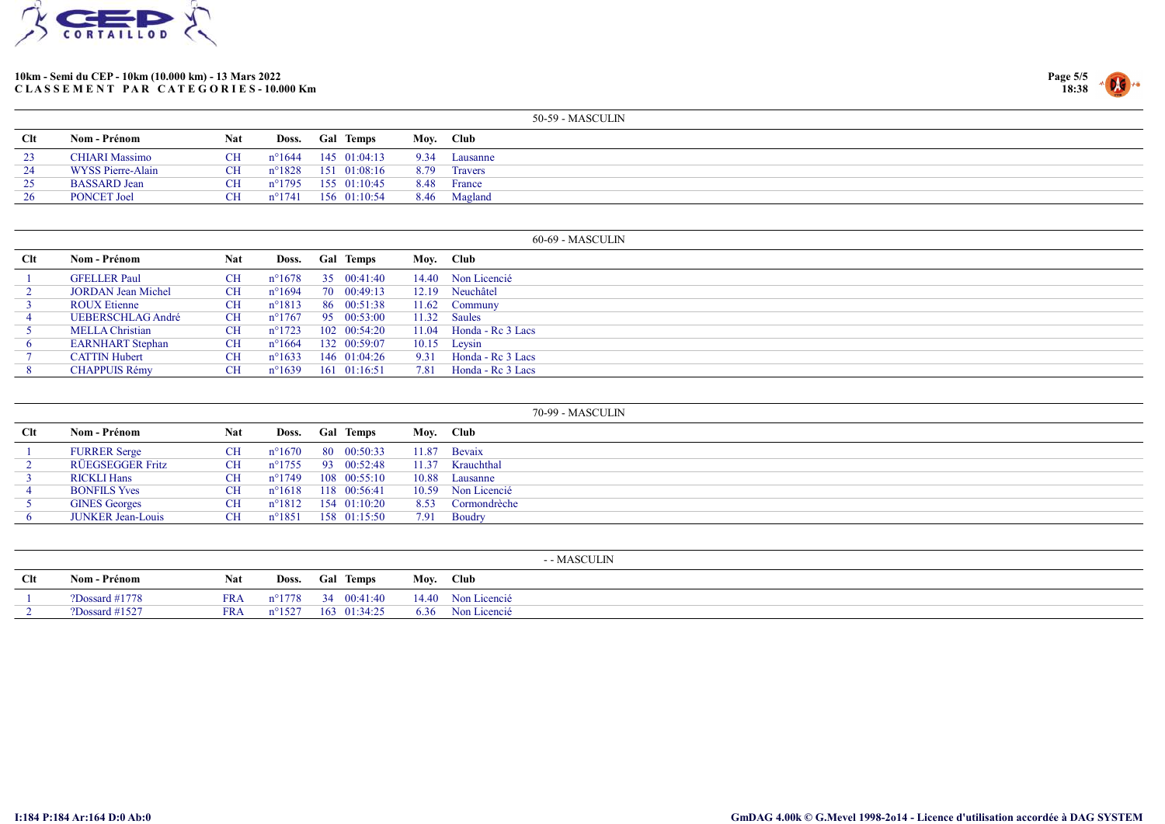



|            |                       |            |                 |                     |      | 50-59 - MASCULIN |
|------------|-----------------------|------------|-----------------|---------------------|------|------------------|
| <b>Clt</b> | Nom - Prénom          | <b>Nat</b> | Doss.           | <b>Gal Temps</b>    |      | Mov. Club        |
|            | <b>CHIARI</b> Massimo | CH.        | $n^{\circ}1644$ | 145 01:04:13        | 9.34 | Lausanne         |
| 24         | WYSS Pierre-Alain     | CH.        |                 | n°1828 151 01:08:16 | 8.79 | Travers          |
| 25         | <b>BASSARD</b> Jean   | CH.        | n°1795          | 155 01:10:45        |      | 8.48 France      |
|            | <b>PONCET Joel</b>    | CН         | $n^{\circ}1741$ | 156 01:10:54        |      | 8.46 Magland     |

|     |                           |            |                 |                  |      | 60-69 - MASCULIN          |
|-----|---------------------------|------------|-----------------|------------------|------|---------------------------|
| Clt | Nom - Prénom              | <b>Nat</b> | Doss.           | <b>Gal Temps</b> |      | Moy. Club                 |
|     | <b>GFELLER Paul</b>       | <b>CH</b>  | $n^{\circ}1678$ | 35 00:41:40      |      | 14.40 Non Licencié        |
|     | <b>JORDAN Jean Michel</b> | CH         | $n^{\circ}1694$ | 70 00:49:13      |      | 12.19 Neuchâtel           |
|     | <b>ROUX Etienne</b>       | CH         | $n^{\circ}1813$ | 86 00:51:38      |      | 11.62 Communy             |
|     | <b>UEBERSCHLAG André</b>  | CH         | $n^{\circ}1767$ | 95 00:53:00      |      | 11.32 Saules              |
|     | <b>MELLA</b> Christian    | <b>CH</b>  | $n^{\circ}1723$ | 102 00:54:20     |      | $11.04$ Honda - Rc 3 Lacs |
|     | <b>EARNHART</b> Stephan   | <b>CH</b>  | $n^{\circ}1664$ | 132 00:59:07     |      | $10.15$ Leysin            |
|     | <b>CATTIN Hubert</b>      | <b>CH</b>  | $n^{\circ}1633$ | 146 01:04:26     | 9.31 | Honda - Re 3 Lacs         |
|     | <b>CHAPPUIS Rémy</b>      | <b>CH</b>  | $n^{\circ}1639$ | 161 01:16:51     | 7.81 | Honda - Re 3 Lacs         |

|     |                          |            |                  |                  |           | 70-99 - MASCULIN   |
|-----|--------------------------|------------|------------------|------------------|-----------|--------------------|
| Clt | Nom - Prénom             | <b>Nat</b> | Doss.            | <b>Gal Temps</b> | Moy. Club |                    |
|     | <b>FURRER Serge</b>      | <b>CH</b>  | $n^{\circ}1670$  | 80 00:50:33      | 11.87     | <b>Bevaix</b>      |
|     | RÜEGSEGGER Fritz         | <b>CH</b>  | $n^{\circ}$ 1755 | 93 00:52:48      | 11.37     | Krauchthal         |
|     | <b>RICKLI Hans</b>       | <b>CH</b>  | $n^{\circ}1749$  | 108 00:55:10     | 10.88     | Lausanne           |
| -4  | <b>BONFILS Yves</b>      | <b>CH</b>  | $n^{\circ}1618$  | 118 00:56:41     |           | 10.59 Non Licencié |
|     | <b>GINES</b> Georges     | <b>CH</b>  | $n^{\circ}1812$  | 154 01:10:20     | 8.53      | Cormondrèche       |
|     | <b>JUNKER Jean-Louis</b> | CH         | $n^{\circ}1851$  | 158 01:15:50     | 7.91      | Boudry             |

|     |                   |            |                 |                    |           | - - MASCULIN       |
|-----|-------------------|------------|-----------------|--------------------|-----------|--------------------|
| Clt | Nom - Prénom      | <b>Nat</b> | Doss.           | <b>Gal Temps</b>   | Moy. Club |                    |
|     | $2D$ ossard #1778 | <b>FRA</b> |                 | n°1778 34 00:41:40 |           | 14.40 Non Licencié |
|     | $2$ Dossard #1527 | FR A       | $n^{\circ}1527$ | 163 01:34:25       |           | 6.36 Non Licencié  |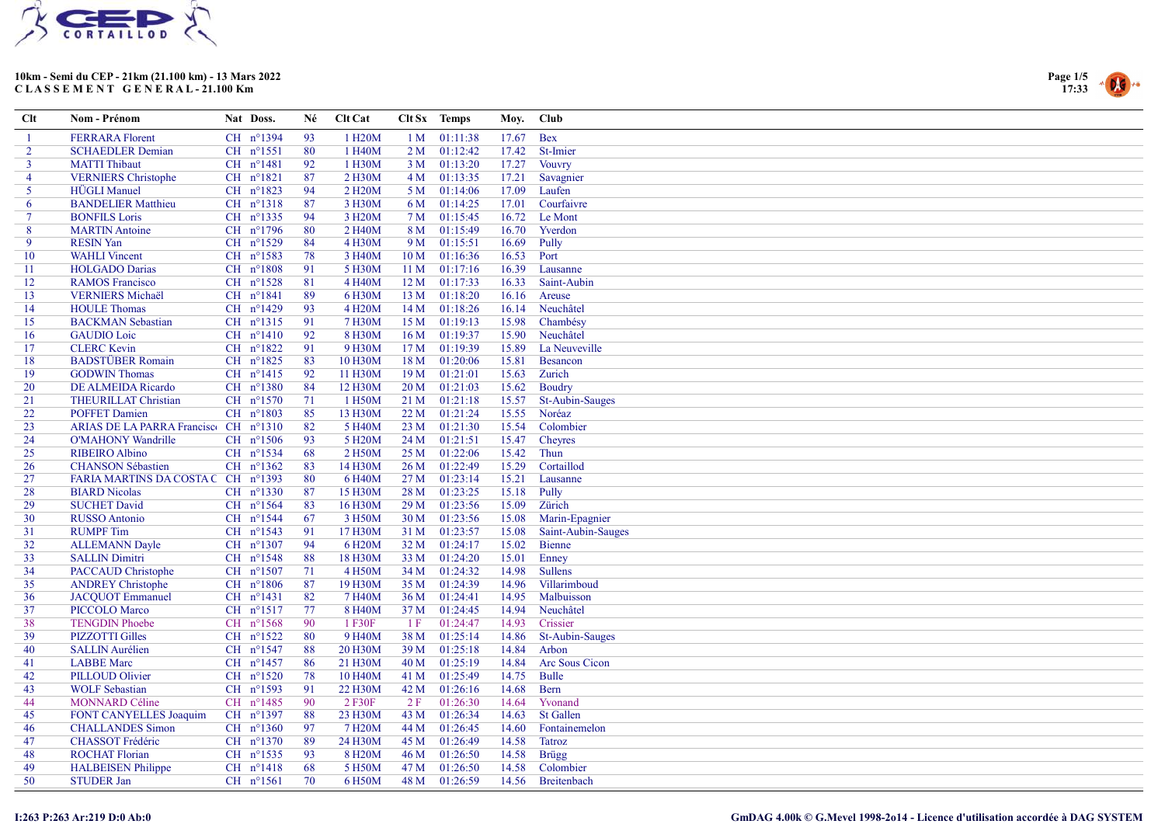



| Clt            | Nom - Prénom                          | Nat Doss.            | Né | Clt Cat              |                 | Clt Sx Temps  | Moy.  | Club               |
|----------------|---------------------------------------|----------------------|----|----------------------|-----------------|---------------|-------|--------------------|
|                | <b>FERRARA Florent</b>                | CH n°1394            | 93 | 1 H <sub>20</sub> M  | 1 <sub>M</sub>  | 01:11:38      | 17.67 | <b>Bex</b>         |
| $\overline{2}$ | <b>SCHAEDLER Demian</b>               | CH nº1551            | 80 | 1 H40M               |                 | 2 M 01:12:42  | 17.42 | St-Imier           |
| 3              | <b>MATTI Thibaut</b>                  | $CH$ $n^{\circ}1481$ | 92 | 1 H30M               | 3 <sub>M</sub>  | 01:13:20      | 17.27 | <b>Vouvry</b>      |
| 4              | <b>VERNIERS</b> Christophe            | CH n°1821            | 87 | 2 H30M               |                 | 4 M 01:13:35  | 17.21 | Savagnier          |
| 5              | <b>HÜGLI</b> Manuel                   | CH $n^{\circ}1823$   | 94 | 2 H <sub>20</sub> M  |                 | 5 M 01:14:06  | 17.09 | Laufen             |
| 6              | <b>BANDELIER Matthieu</b>             | CH nº1318            | 87 | 3 H30M               |                 | 6 M 01:14:25  | 17.01 | Courfaivre         |
| 7              | <b>BONFILS Loris</b>                  | CH nº1335            | 94 | 3 H <sub>20</sub> M  | 7 M             | 01:15:45      | 16.72 | Le Mont            |
| 8              | <b>MARTIN</b> Antoine                 | CH n°1796            | 80 | 2 H <sub>40</sub> M  |                 | 8 M 01:15:49  | 16.70 | Yverdon            |
| 9              | <b>RESIN Yan</b>                      | CH n°1529            | 84 | 4 H30M               | 9 M             | 01:15:51      | 16.69 | Pully              |
| 10             | <b>WAHLI</b> Vincent                  | CH nº1583            | 78 | 3 H <sub>40</sub> M  | 10 <sub>M</sub> | 01:16:36      | 16.53 | Port               |
| 11             | <b>HOLGADO</b> Darias                 | $CH$ $n^{\circ}1808$ | 91 | 5 H30M               | 11 <sub>M</sub> | 01:17:16      | 16.39 | Lausanne           |
| 12             | <b>RAMOS</b> Francisco                | CH nº1528            | 81 | 4 H40M               | 12 M            | 01:17:33      | 16.33 | Saint-Aubin        |
| 13             | <b>VERNIERS</b> Michaël               | CH n°1841            | 89 | 6 H30M               | 13 M            | 01:18:20      | 16.16 | Areuse             |
| 14             | <b>HOULE Thomas</b>                   | CH nº1429            | 93 | 4 H <sub>20</sub> M  | 14 M            | 01:18:26      | 16.14 | Neuchâtel          |
| 15             | <b>BACKMAN</b> Sebastian              | CH nº1315            | 91 | 7 H30M               |                 | 15 M 01:19:13 | 15.98 | Chambésy           |
| 16             | <b>GAUDIO</b> Loic                    | $CH$ $n^{\circ}1410$ | 92 | 8 H30M               | 16M             | 01:19:37      | 15.90 | Neuchâtel          |
| 17             | <b>CLERC Kevin</b>                    | CH n°1822            | 91 | 9 H30M               |                 | 17 M 01:19:39 | 15.89 | La Neuveville      |
| 18             | <b>BADSTÜBER Romain</b>               | CH n°1825            | 83 | 10 H30M              | 18 M            | 01:20:06      | 15.81 | Besancon           |
| 19             | <b>GODWIN</b> Thomas                  | $CH$ $n^{\circ}1415$ | 92 | 11 H30M              | 19 <sub>M</sub> | 01:21:01      | 15.63 | Zurich             |
| 20             | <b>DE ALMEIDA Ricardo</b>             | CH n°1380            | 84 | 12 H30M              | 20 <sub>M</sub> | 01:21:03      | 15.62 | Boudry             |
| 21             | <b>THEURILLAT Christian</b>           | CH $n^{\circ}1570$   | 71 | 1 H50M               | 21 M            | 01:21:18      | 15.57 | St-Aubin-Sauges    |
| 22             | <b>POFFET Damien</b>                  | CH $n^{\circ}1803$   | 85 | 13 H30M              | 22 M            | 01:21:24      | 15.55 | Noréaz             |
| 23             | ARIAS DE LA PARRA Francisco CH nº1310 |                      | 82 | 5 H40M               | 23 M            | 01:21:30      | 15.54 | Colombier          |
| 24             | <b>O'MAHONY Wandrille</b>             | CH $n^{\circ}1506$   | 93 | 5 H <sub>20</sub> M  | 24 M            | 01:21:51      | 15.47 | Cheyres            |
| 25             | <b>RIBEIRO</b> Albino                 | CH nº1534            | 68 | 2 H50M               | 25 M            | 01:22:06      | 15.42 | Thun               |
| 26             | <b>CHANSON Sébastien</b>              | CH $n^{\circ}1362$   | 83 | 14 H30M              |                 | 26 M 01:22:49 | 15.29 | Cortaillod         |
| 27             | FARIA MARTINS DA COSTA C CH nº1393    |                      | 80 | 6 H <sub>40</sub> M  | 27 <sub>M</sub> | 01:23:14      | 15.21 | Lausanne           |
| 28             | <b>BIARD Nicolas</b>                  | CH $n^{\circ}$ 1330  | 87 | 15 H30M              | 28 M            | 01:23:25      | 15.18 | Pully              |
| 29             | <b>SUCHET David</b>                   | CH $n^{\circ}1564$   | 83 | 16 H30M              | 29 <sub>M</sub> | 01:23:56      | 15.09 | Zürich             |
| 30             | <b>RUSSO</b> Antonio                  | CH nº1544            | 67 | 3 H50M               | 30 M            | 01:23:56      | 15.08 | Marin-Epagnier     |
| 31             | <b>RUMPF</b> Tim                      | CH nº1543            | 91 | 17 H30M              | 31 M            | 01:23:57      | 15.08 | Saint-Aubin-Sauges |
| 32             | <b>ALLEMANN Dayle</b>                 | CH $n^{\circ}1307$   | 94 | 6 H <sub>20</sub> M  | 32M             | 01:24:17      | 15.02 | Bienne             |
| 33             | <b>SALLIN Dimitri</b>                 | CH nº1548            | 88 | 18 H30M              |                 | 33 M 01:24:20 | 15.01 | Enney              |
| 34             | <b>PACCAUD Christophe</b>             | CH nº1507            | 71 | 4 H50M               | 34 M            | 01:24:32      | 14.98 | <b>Sullens</b>     |
| 35             | <b>ANDREY Christophe</b>              | CH $n^{\circ}1806$   | 87 | 19 H30M              |                 | 35 M 01:24:39 | 14.96 | Villarimboud       |
| 36             | <b>JACQUOT</b> Emmanuel               | CH nº1431            | 82 | 7 H <sub>40</sub> M  | 36 M            | 01:24:41      | 14.95 | Malbuisson         |
| 37             | PICCOLO Marco                         | $CH$ n°1517          | 77 | 8 H <sub>40</sub> M  |                 | 37 M 01:24:45 | 14.94 | Neuchâtel          |
| 38             | <b>TENGDIN Phoebe</b>                 | CH $n^{\circ}1568$   | 90 | 1 F30F               | 1F              | 01:24:47      | 14.93 | Crissier           |
| 39             | <b>PIZZOTTI Gilles</b>                | CH nº1522            | 80 | 9 H <sub>40</sub> M  | 38 M            | 01:25:14      | 14.86 | St-Aubin-Sauges    |
| 40             | <b>SALLIN Aurélien</b>                | CH nº1547            | 88 | 20 H30M              | 39 M            | 01:25:18      | 14.84 | Arbon              |
| 41             | <b>LABBE</b> Marc                     | CH nº1457            | 86 | 21 H30M              | 40 M            | 01:25:19      | 14.84 | Arc Sous Cicon     |
| 42             | <b>PILLOUD Olivier</b>                | CH $n^{\circ}1520$   | 78 | 10 H <sub>40</sub> M | 41 M            | 01:25:49      | 14.75 | Bulle              |
| 43             | <b>WOLF</b> Sebastian                 | CH $n^{\circ}1593$   | 91 | 22 H30M              | 42 M            | 01:26:16      | 14.68 | <b>Bern</b>        |
| 44             | <b>MONNARD Céline</b>                 | CH nº1485            | 90 | 2 F30F               | 2F              | 01:26:30      | 14.64 | Yvonand            |
| 45             | FONT CANYELLES Joaquim                | CH nº1397            | 88 | 23 H30M              | 43 M            | 01:26:34      | 14.63 | St Gallen          |
| 46             | <b>CHALLANDES Simon</b>               | CH nº1360            | 97 | 7 H <sub>20</sub> M  | 44 M            | 01:26:45      | 14.60 | Fontainemelon      |
| 47             | <b>CHASSOT</b> Frédéric               | CH nº1370            | 89 | 24 H30M              | 45 M            | 01:26:49      | 14.58 | <b>Tatroz</b>      |
| 48             | <b>ROCHAT Florian</b>                 | CH $n^{\circ}$ 1535  | 93 | 8 H <sub>20</sub> M  | 46 M            | 01:26:50      | 14.58 | <b>Brügg</b>       |
| 49             | <b>HALBEISEN</b> Philippe             | $CH$ $n^{\circ}1418$ | 68 | 5 H50M               | 47 M            | 01:26:50      | 14.58 | Colombier          |
| 50             | <b>STUDER Jan</b>                     | CH $n^{\circ}1561$   | 70 | 6 H50M               | 48 M            | 01:26:59      | 14.56 | Breitenbach        |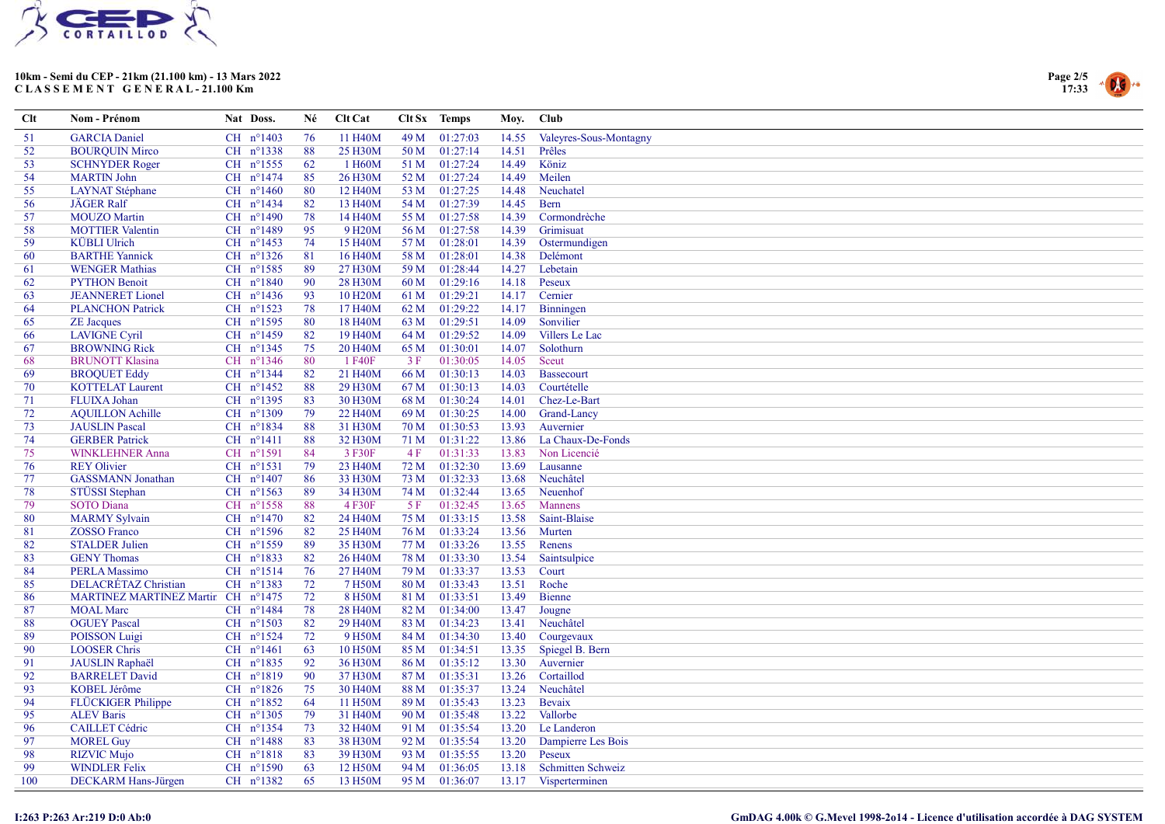



| $Cl$ | Nom - Prénom                       | Nat Doss.            | Né | Clt Cat              |      | Clt Sx Temps  | Moy.  | Club                   |
|------|------------------------------------|----------------------|----|----------------------|------|---------------|-------|------------------------|
| 51   | <b>GARCIA</b> Daniel               | CH nº1403            | 76 | 11 H <sub>40</sub> M | 49 M | 01:27:03      | 14.55 | Valeyres-Sous-Montagny |
| 52   | <b>BOUROUIN Mirco</b>              | CH nº1338            | 88 | 25 H30M              | 50 M | 01:27:14      | 14.51 | Prêles                 |
| 53   | <b>SCHNYDER Roger</b>              | CH $n^{\circ}$ 1555  | 62 | 1 H60M               | 51 M | 01:27:24      | 14.49 | Köniz                  |
| 54   | <b>MARTIN John</b>                 | $CH$ n°1474          | 85 | 26 H30M              |      | 52 M 01:27:24 | 14.49 | Meilen                 |
| 55   | <b>LAYNAT</b> Stéphane             | CH $n^{\circ}1460$   | 80 | 12 H <sub>40</sub> M | 53 M | 01:27:25      | 14.48 | Neuchatel              |
| 56   | JÄGER Ralf                         | CH n°1434            | 82 | 13 H40M              |      | 54 M 01:27:39 | 14.45 | <b>Bern</b>            |
| 57   | <b>MOUZO</b> Martin                | CH n°1490            | 78 | 14 H40M              | 55 M | 01:27:58      | 14.39 | Cormondrèche           |
| 58   | <b>MOTTIER Valentin</b>            | CH nº1489            | 95 | 9 H <sub>20</sub> M  |      | 56 M 01:27:58 | 14.39 | Grimisuat              |
| 59   | <b>KÜBLI</b> Ulrich                | CH nº1453            | 74 | 15 H40M              | 57 M | 01:28:01      | 14.39 | Ostermundigen          |
| 60   | <b>BARTHE Yannick</b>              | CH $n^{\circ}$ 1326  | 81 | 16 H <sub>40</sub> M | 58 M | 01:28:01      | 14.38 | Delémont               |
| 61   | <b>WENGER Mathias</b>              | CH $n^{\circ}1585$   | 89 | 27 H30M              | 59 M | 01:28:44      | 14.27 | Lebetain               |
| 62   | <b>PYTHON Benoit</b>               | CH n°1840            | 90 | 28 H30M              | 60 M | 01:29:16      | 14.18 | Peseux                 |
| 63   | <b>JEANNERET</b> Lionel            | CH nº1436            | 93 | 10 H <sub>20</sub> M | 61 M | 01:29:21      | 14.17 | Cernier                |
| 64   | <b>PLANCHON Patrick</b>            | CH nº1523            | 78 | 17 H <sub>40</sub> M | 62 M | 01:29:22      | 14.17 | Binningen              |
| 65   | <b>ZE</b> Jacques                  | CH nº1595            | 80 | 18 H <sub>40</sub> M |      | 63 M 01:29:51 | 14.09 | Sonvilier              |
| 66   | <b>LAVIGNE Cyril</b>               | CH n°1459            | 82 | 19 H <sub>40</sub> M | 64 M | 01:29:52      | 14.09 | Villers Le Lac         |
| 67   | <b>BROWNING Rick</b>               | $CH$ n°1345          | 75 | 20 H <sub>40</sub> M |      | 65 M 01:30:01 | 14.07 | Solothurn              |
| 68   | <b>BRUNOTT Klasina</b>             | CH nº1346            | 80 | 1 F40F               | 3F   | 01:30:05      | 14.05 | Sceut                  |
| 69   | <b>BROQUET Eddy</b>                | CH nº1344            | 82 | 21 H40M              | 66 M | 01:30:13      | 14.03 | Bassecourt             |
| 70   | <b>KOTTELAT Laurent</b>            | CH nº1452            | 88 | 29 H30M              | 67 M | 01:30:13      | 14.03 | Courtételle            |
| 71   | FLUIXA Johan                       | CH nº1395            | 83 | 30 H30M              | 68 M | 01:30:24      | 14.01 | Chez-Le-Bart           |
| 72   | <b>AQUILLON Achille</b>            | $CH$ $n^{\circ}1309$ | 79 | 22 H <sub>40</sub> M | 69 M | 01:30:25      | 14.00 | Grand-Lancy            |
| 73   | <b>JAUSLIN</b> Pascal              | CH nº1834            | 88 | 31 H30M              | 70 M | 01:30:53      | 13.93 | Auvernier              |
| 74   | <b>GERBER Patrick</b>              | CH nº1411            | 88 | 32 H30M              | 71 M | 01:31:22      | 13.86 | La Chaux-De-Fonds      |
| 75   | <b>WINKLEHNER Anna</b>             | CH n°1591            | 84 | 3 F30F               | 4F   | 01:31:33      | 13.83 | Non Licencié           |
| 76   | <b>REY Olivier</b>                 | CH nº1531            | 79 | 23 H40M              | 72 M | 01:32:30      | 13.69 | Lausanne               |
| 77   | <b>GASSMANN</b> Jonathan           | CH $n^{\circ}1407$   | 86 | 33 H30M              | 73 M | 01:32:33      | 13.68 | Neuchâtel              |
| 78   | STÜSSI Stephan                     | CH $n^{\circ}1563$   | 89 | 34 H30M              | 74 M | 01:32:44      | 13.65 | Neuenhof               |
| 79   | <b>SOTO</b> Diana                  | CH nº1558            | 88 | 4 F30F               | 5 F  | 01:32:45      | 13.65 | Mannens                |
| 80   | <b>MARMY</b> Sylvain               | CH $n^{\circ}1470$   | 82 | 24 H40M              | 75 M | 01:33:15      | 13.58 | Saint-Blaise           |
| 81   | <b>ZOSSO Franco</b>                | CH $n^{\circ}1596$   | 82 | 25 H40M              |      | 76 M 01:33:24 | 13.56 | Murten                 |
| 82   | <b>STALDER Julien</b>              | CH n°1559            | 89 | 35 H30M              | 77 M | 01:33:26      | 13.55 | Renens                 |
| 83   | <b>GENY</b> Thomas                 | CH $n^{\circ}1833$   | 82 | 26 H <sub>40</sub> M |      | 78 M 01:33:30 | 13.54 | Saintsulpice           |
| 84   | <b>PERLA Massimo</b>               | CH nº1514            | 76 | 27 H40M              | 79 M | 01:33:37      | 13.53 | Court                  |
| 85   | DELACRÉTAZ Christian               | CH n°1383            | 72 | 7 H50M               | 80 M | 01:33:43      | 13.51 | Roche                  |
| 86   | MARTINEZ MARTINEZ Martin CH n°1475 |                      | 72 | 8 H50M               | 81 M | 01:33:51      | 13.49 | Bienne                 |
| 87   | <b>MOAL</b> Marc                   | CH nº1484            | 78 | 28 H <sub>40</sub> M | 82 M | 01:34:00      | 13.47 | Jougne                 |
| 88   | <b>OGUEY Pascal</b>                | CH $n^{\circ}1503$   | 82 | 29 H40M              | 83 M | 01:34:23      | 13.41 | Neuchâtel              |
| 89   | <b>POISSON Luigi</b>               | CH n°1524            | 72 | 9 H50M               | 84 M | 01:34:30      | 13.40 | Courgevaux             |
| 90   | <b>LOOSER Chris</b>                | $CH$ $n^{\circ}1461$ | 63 | 10 H50M              |      | 85 M 01:34:51 | 13.35 | Spiegel B. Bern        |
| 91   | <b>JAUSLIN Raphaël</b>             | CH nº1835            | 92 | 36 H30M              | 86 M | 01:35:12      | 13.30 | Auvernier              |
| 92   | <b>BARRELET</b> David              | CH nº1819            | 90 | 37 H30M              | 87 M | 01:35:31      | 13.26 | Cortaillod             |
| 93   | <b>KOBEL Jérôme</b>                | CH $n^{\circ}1826$   | 75 | 30 H <sub>40</sub> M | 88 M | 01:35:37      | 13.24 | Neuchâtel              |
| 94   | <b>FLÜCKIGER Philippe</b>          | CH n°1852            | 64 | 11 H <sub>50</sub> M |      | 89 M 01:35:43 | 13.23 | Bevaix                 |
| 95   | <b>ALEV Baris</b>                  | $CH$ n°1305          | 79 | 31 H40M              | 90 M | 01:35:48      | 13.22 | Vallorbe               |
| 96   | <b>CAILLET</b> Cédric              | CH nº1354            | 73 | 32 H40M              | 91 M | 01:35:54      | 13.20 | Le Landeron            |
| 97   | <b>MOREL Guy</b>                   | CH $n^{\circ}1488$   | 83 | 38 H30M              | 92 M | 01:35:54      | 13.20 | Dampierre Les Bois     |
| 98   | <b>RIZVIC Mujo</b>                 | CH nº1818            | 83 | 39 H30M              | 93 M | 01:35:55      | 13.20 | Peseux                 |
| 99   | <b>WINDLER Felix</b>               | CH $n^{\circ}1590$   | 63 | 12 H50M              | 94 M | 01:36:05      | 13.18 | Schmitten Schweiz      |
| 100  | DECKARM Hans-Jürgen                | CH nº1382            | 65 | 13 H50M              | 95 M | 01:36:07      |       | 13.17 Visperterminen   |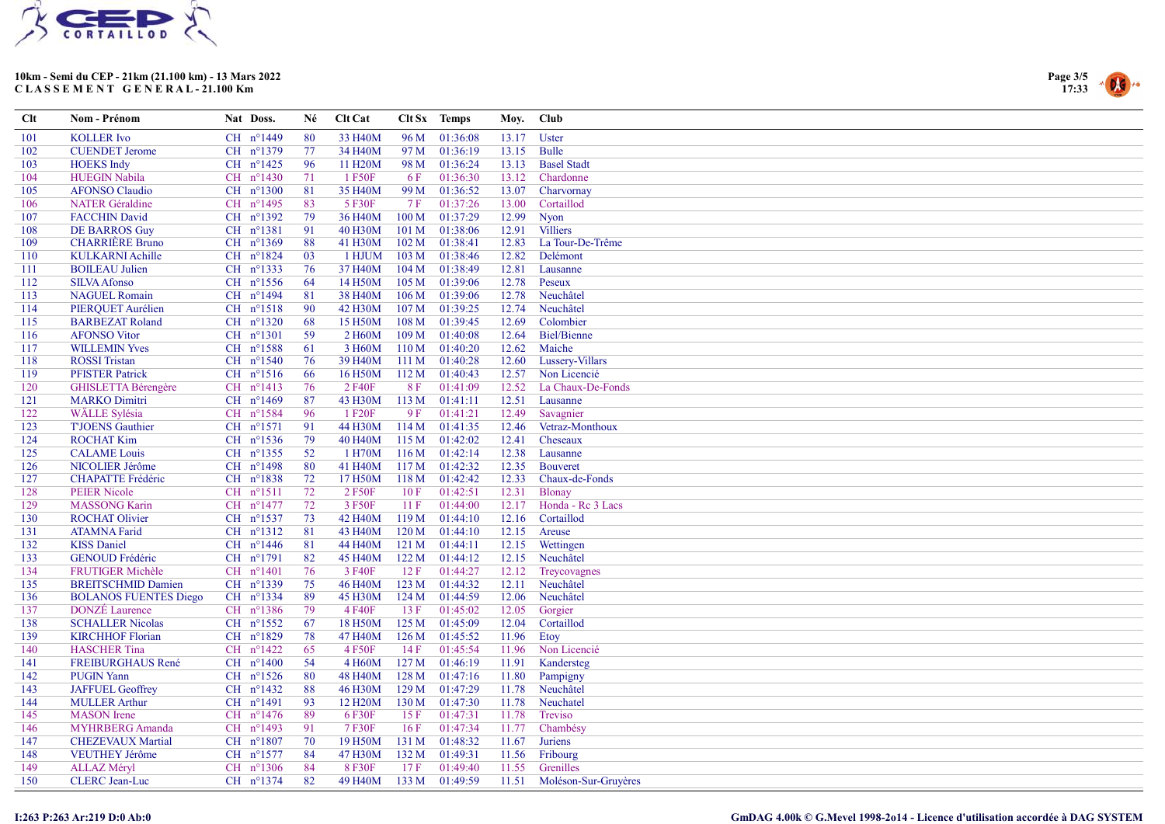



| Clt | Nom - Prénom                 | Nat Doss.            | Né  | Clt Cat              |                  | Clt Sx Temps | Moy.  | <b>Club</b>          |
|-----|------------------------------|----------------------|-----|----------------------|------------------|--------------|-------|----------------------|
| 101 | <b>KOLLER</b> Ivo            | CH nº1449            | 80  | 33 H40M              | 96 M             | 01:36:08     | 13.17 | Uster                |
| 102 | <b>CUENDET Jerome</b>        | CH nº1379            | 77  | 34 H40M              | 97 M             | 01:36:19     | 13.15 | <b>Bulle</b>         |
| 103 | <b>HOEKS</b> Indy            | CH n°1425            | 96  | 11 H <sub>20</sub> M | 98 M             | 01:36:24     | 13.13 | <b>Basel Stadt</b>   |
| 104 | <b>HUEGIN Nabila</b>         | CH n°1430            | 71  | 1 F50F               | 6F               | 01:36:30     | 13.12 | Chardonne            |
| 105 | <b>AFONSO Claudio</b>        | CH n°1300            | 81  | 35 H40M              | 99 M             | 01:36:52     | 13.07 | Charvornay           |
| 106 | <b>NATER</b> Géraldine       | CH nº1495            | 83  | 5 F30F               | 7 F              | 01:37:26     | 13.00 | Cortaillod           |
| 107 | <b>FACCHIN David</b>         | CH nº1392            | 79  | 36 H <sub>40</sub> M | 100 <sub>M</sub> | 01:37:29     | 12.99 | <b>Nyon</b>          |
| 108 | <b>DE BARROS Guy</b>         | $CH$ $n^{\circ}1381$ | 91  | 40 H30M              | 101 <sub>M</sub> | 01:38:06     | 12.91 | <b>Villiers</b>      |
| 109 | <b>CHARRIERE Bruno</b>       | CH $n^{\circ}1369$   | 88  | 41 H30M              | 102 M            | 01:38:41     | 12.83 | La Tour-De-Trême     |
| 110 | <b>KULKARNI Achille</b>      | CH nº1824            | 03  | 1 HJUM               | 103 M            | 01:38:46     | 12.82 | Delémont             |
| 111 | <b>BOILEAU</b> Julien        | CH $n^{\circ}$ 1333  | 76  | 37 H40M              | 104 M            | 01:38:49     | 12.81 | Lausanne             |
| 112 | <b>SILVA Afonso</b>          | $CH$ $n^{\circ}1556$ | 64  | 14 H50M              | 105 <sub>M</sub> | 01:39:06     | 12.78 | Peseux               |
| 113 | <b>NAGUEL Romain</b>         | CH n°1494            | 81  | 38 H40M              | 106 M            | 01:39:06     | 12.78 | Neuchâtel            |
| 114 | PIERQUET Aurélien            | $CH$ $n^{\circ}1518$ | 90  | 42 H30M              | 107 <sub>M</sub> | 01:39:25     | 12.74 | Neuchâtel            |
| 115 | <b>BARBEZAT Roland</b>       | CH n°1320            | 68  | 15 H50M              | 108 <sub>M</sub> | 01:39:45     | 12.69 | Colombier            |
| 116 | <b>AFONSO Vitor</b>          | CH n°1301            | 59  | 2 H <sub>60</sub> M  | 109 <sub>M</sub> | 01:40:08     | 12.64 | <b>Biel/Bienne</b>   |
| 117 | <b>WILLEMIN Yves</b>         | CH nº1588            | 61  | 3 H60M               | 110 M            | 01:40:20     | 12.62 | Maiche               |
| 118 | <b>ROSSI</b> Tristan         | CH $n^{\circ}1540$   | 76  | 39 H40M              | 111M             | 01:40:28     | 12.60 | Lussery-Villars      |
| 119 | <b>PFISTER Patrick</b>       | $CH$ $n^{\circ}1516$ | 66  | 16 H50M              | 112M             | 01:40:43     | 12.57 | Non Licencié         |
| 120 | GHISLETTA Bérengère          | CH nº1413            | 76  | 2 F40F               | <b>8F</b>        | 01:41:09     | 12.52 | La Chaux-De-Fonds    |
| 121 | <b>MARKO</b> Dimitri         | CH $n^{\circ}1469$   | 87  | 43 H30M              | 113M             | 01:41:11     | 12.51 | Lausanne             |
| 122 | <b>WÄLLE Sylésia</b>         | $CH$ n°1584          | 96  | 1 F20F               | 9 F              | 01:41:21     | 12.49 | Savagnier            |
| 123 | <b>TJOENS</b> Gauthier       | CH nº1571            | 91  | 44 H30M              | 114M             | 01:41:35     | 12.46 | Vetraz-Monthoux      |
| 124 | <b>ROCHAT Kim</b>            | CH nº1536            | 79  | 40 H <sub>40</sub> M | 115M             | 01:42:02     | 12.41 | Cheseaux             |
| 125 | <b>CALAME</b> Louis          | CH nº1355            | 52  | 1 H70M               | 116M             | 01:42:14     | 12.38 | Lausanne             |
| 126 | NICOLIER Jérôme              | CH n°1498            | -80 | 41 H40M              | 117M             | 01:42:32     | 12.35 | <b>Bouveret</b>      |
| 127 | <b>CHAPATTE Frédéric</b>     | CH nº1838            | 72  | 17 H50M              | 118M             | 01:42:42     | 12.33 | Chaux-de-Fonds       |
| 128 | <b>PEIER Nicole</b>          | CH nº1511            | 72  | 2 F50F               | 10F              | 01:42:51     | 12.31 | Blonay               |
| 129 | <b>MASSONG Karin</b>         | $CH$ n°1477          | 72  | 3 F50F               | 11F              | 01:44:00     | 12.17 | Honda - Rc 3 Lacs    |
| 130 | <b>ROCHAT Olivier</b>        | CH nº1537            | 73  | 42 H40M              | 119 <sub>M</sub> | 01:44:10     | 12.16 | Cortaillod           |
| 131 | <b>ATAMNA Farid</b>          | CH nº1312            | 81  | 43 H40M              | 120 <sub>M</sub> | 01:44:10     | 12.15 | Areuse               |
| 132 | <b>KISS Daniel</b>           | CH $n^{\circ}$ 1446  | 81  | 44 H40M              | 121 M            | 01:44:11     | 12.15 | Wettingen            |
| 133 | <b>GENOUD Frédéric</b>       | CH n°1791            | 82  | 45 H40M              | 122M             | 01:44:12     | 12.15 | Neuchâtel            |
| 134 | <b>FRUTIGER Michèle</b>      | CH n°1401            | 76  | 3 F40F               | 12F              | 01:44:27     | 12.12 | Treycovagnes         |
| 135 | <b>BREITSCHMID Damien</b>    | CH nº1339            | 75  | 46 H <sub>40</sub> M | 123M             | 01:44:32     | 12.11 | Neuchâtel            |
| 136 | <b>BOLANOS FUENTES Diego</b> | CH nº1334            | 89  | 45 H30M              | 124M             | 01:44:59     | 12.06 | Neuchâtel            |
| 137 | <b>DONZÉ</b> Laurence        | CH nº1386            | 79  | 4 F40F               | 13 F             | 01:45:02     | 12.05 | Gorgier              |
| 138 | <b>SCHALLER Nicolas</b>      | CH nº1552            | 67  | 18 H50M              | 125 M            | 01:45:09     | 12.04 | Cortaillod           |
| 139 | <b>KIRCHHOF Florian</b>      | CH $n^{\circ}1829$   | 78  | 47 H40M              | 126 M            | 01:45:52     | 11.96 | Etoy                 |
| 140 | <b>HASCHER</b> Tina          | CH nº1422            | 65  | 4 F50F               | 14F              | 01:45:54     | 11.96 | Non Licencié         |
| 141 | <b>FREIBURGHAUS René</b>     | CH $n^{\circ}1400$   | 54  | 4 H60M               | 127 <sub>M</sub> | 01:46:19     | 11.91 | Kandersteg           |
| 142 | <b>PUGIN Yann</b>            | CH $n^{\circ}1526$   | 80  | 48 H <sub>40</sub> M | 128 M            | 01:47:16     | 11.80 | Pampigny             |
| 143 | <b>JAFFUEL Geoffrey</b>      | CH nº1432            | 88  | 46 H30M              | 129 <sub>M</sub> | 01:47:29     | 11.78 | Neuchâtel            |
| 144 | <b>MULLER Arthur</b>         | CH n°1491            | 93  | 12 H <sub>20</sub> M | 130 M            | 01:47:30     | 11.78 | Neuchatel            |
| 145 | <b>MASON</b> Irene           | CH $n^{\circ}1476$   | 89  | 6 F30F               | 15F              | 01:47:31     | 11.78 | Treviso              |
| 146 | MYHRBERG Amanda              | CH nº1493            | 91  | 7 F30F               | 16F              | 01:47:34     | 11.77 | Chambésy             |
| 147 | <b>CHEZEVAUX Martial</b>     | CH n°1807            | 70  | 19 H50M              | 131 M            | 01:48:32     | 11.67 | <b>Juriens</b>       |
| 148 | VEUTHEY Jérôme               | CH nº1577            | 84  | 47 H30M              | 132 M            | 01:49:31     | 11.56 | Fribourg             |
| 149 | <b>ALLAZ Méryl</b>           | CH $n^{\circ}1306$   | 84  | 8 F30F               | 17F              | 01:49:40     | 11.55 | Grenilles            |
| 150 | <b>CLERC</b> Jean-Luc        | CH nº1374            | 82  | 49 H <sub>40</sub> M | 133 M            | 01:49:59     | 11.51 | Moléson-Sur-Gruyères |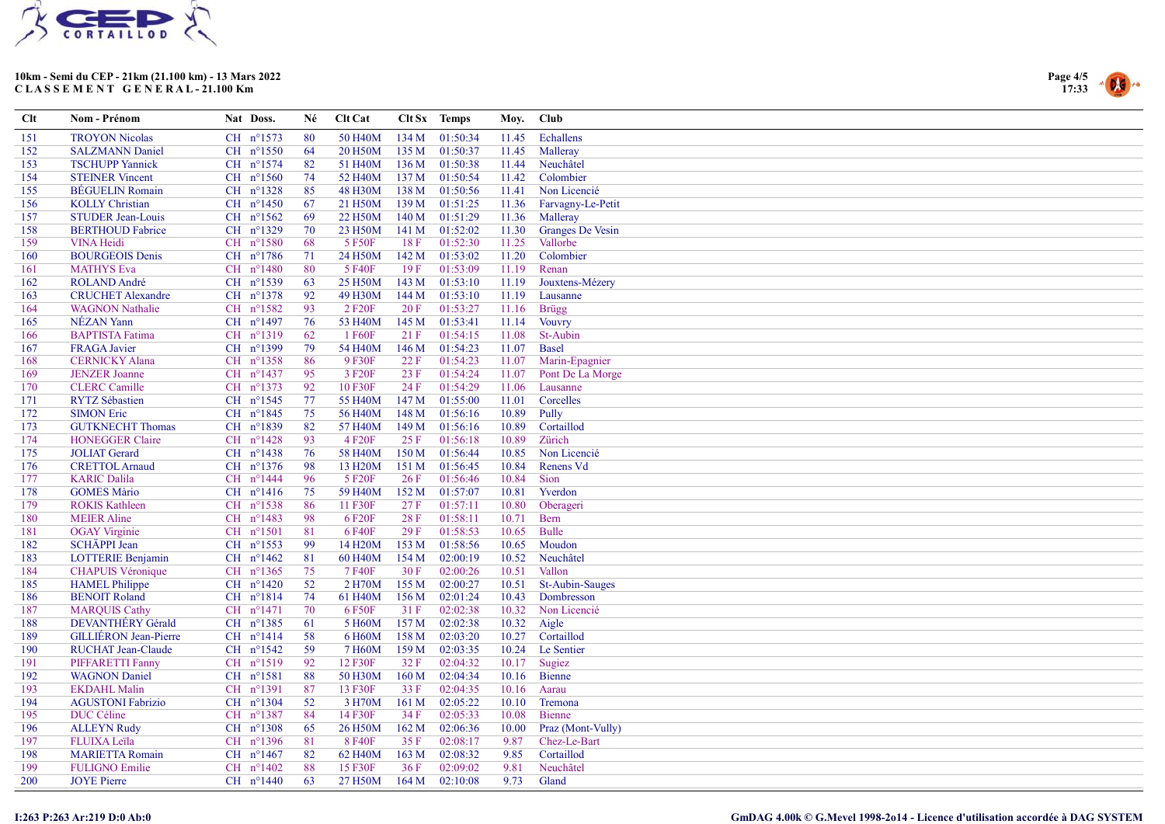



| Echallens<br><b>TROYON Nicolas</b><br>CH nº1573<br>80<br>50 H <sub>40</sub> M<br>134M<br>01:50:34<br>11.45<br>151<br>CH nº1550<br>135 M<br>152<br><b>SALZMANN Daniel</b><br>64<br>20 H <sub>50</sub> M<br>01:50:37<br>11.45<br>Malleray<br>CH nº1574<br>11.44<br>Neuchâtel<br>153<br><b>TSCHUPP Yannick</b><br>82<br>51 H <sub>40</sub> M<br>136 M<br>01:50:38<br>CH $n^{\circ}1560$<br><b>STEINER Vincent</b><br>74<br>52 H40M<br>137M<br>01:50:54<br>11.42<br>Colombier<br>154<br><b>BÉGUELIN</b> Romain<br>CH nº1328<br>48 H30M<br>138 M<br>01:50:56<br>Non Licencié<br>155<br>85<br>11.41<br><b>KOLLY</b> Christian<br>CH $n^{\circ}$ 1450<br>21 H50M<br>139 M<br>01:51:25<br>156<br>-67<br>11.36<br>Farvagny-Le-Petit<br>CH $n^{\circ}1562$<br>69<br>140 M<br>157<br><b>STUDER Jean-Louis</b><br>22 H50M<br>01:51:29<br>11.36<br>Malleray<br>158<br><b>BERTHOUD Fabrice</b><br>CH nº1329<br>70<br>23 H50M<br>141 M<br>01:52:02<br>Granges De Vesin<br>11.30<br>$CH$ $n^{\circ}1580$<br><b>VINA Heidi</b><br>68<br>5 F50F<br>18 F<br>01:52:30<br>11.25<br>Vallorbe<br>159<br>142 M<br>Colombier<br>160<br><b>BOURGEOIS Denis</b><br>CH n°1786<br>71<br>24 H50M<br>01:53:02<br>11.20<br>CH n°1480<br>80<br>5 F40F<br>19F<br>Renan<br><b>MATHYS Eva</b><br>01:53:09<br>11.19<br>161<br>CH nº1539<br>25 H50M<br>143 M<br>Jouxtens-Mézery<br>162<br><b>ROLAND</b> André<br>63<br>01:53:10<br>11.19<br>CH nº1378<br>144 M<br>163<br><b>CRUCHET Alexandre</b><br>92<br>49 H30M<br>01:53:10<br>11.19<br>Lausanne<br><b>WAGNON Nathalie</b><br>CH n°1582<br>93<br>2 F <sub>20</sub> F<br>20F<br>01:53:27<br>11.16<br><b>Brügg</b><br>164<br>NÉZAN Yann<br>CH n°1497<br>76<br>53 H40M<br>145M<br>01:53:41<br><b>Vouvry</b><br>165<br>11.14<br><b>BAPTISTA Fatima</b><br>CH nº1319<br>62<br>1 F60F<br>21 F<br>01:54:15<br>11.08<br>St-Aubin<br>166<br>CH n°1399<br>79<br>54 H40M<br>146 M<br>01:54:23<br><b>Basel</b><br>167<br><b>FRAGA</b> Javier<br>11.07<br><b>CERNICKY Alana</b><br>CH nº1358<br>86<br>9 F30F<br>22F<br>01:54:23<br>Marin-Epagnier<br>168<br>11.07<br>CH $n^{\circ}1437$<br>95<br>169<br><b>JENZER</b> Joanne<br>3 F <sub>20</sub> F<br>23 F<br>01:54:24<br>Pont De La Morge<br>11.07<br>CH n°1373<br>92<br><b>CLERC</b> Camille<br>10 F30F<br>24 F<br>01:54:29<br>11.06<br>Lausanne<br>170<br><b>RYTZ</b> Sébastien<br>CH $n^{\circ}1545$<br>77<br>147 M<br>Corcelles<br>171<br>55 H40M<br>01:55:00<br>11.01<br>CH n°1845<br>148 M<br>Pully<br>172<br><b>SIMON Eric</b><br>75<br>56 H <sub>40</sub> M<br>01:56:16<br>10.89<br>CH n°1839<br>82<br>Cortaillod<br>173<br><b>GUTKNECHT Thomas</b><br>57 H40M<br>149 M<br>01:56:16<br>10.89<br>CH $n^{\circ}1428$<br>Zürich<br><b>HONEGGER Claire</b><br>93<br>4 F20F<br>25F<br>01:56:18<br>174<br>10.89<br><b>JOLIAT</b> Gerard<br>CH nº1438<br>76<br>58 H40M<br>150M<br>01:56:44<br>10.85<br>Non Licencié<br>175<br><b>CRETTOL Arnaud</b><br>CH $n^{\circ}1376$<br>98<br>13 H <sub>20</sub> M<br>151 M<br>01:56:45<br>10.84<br>Renens Vd<br>176<br><b>KARIC Dalila</b><br>CH nº1444<br>96<br>5 F20F<br>26F<br>01:56:46<br>10.84<br>Sion<br>177<br>CH $n^{\circ}1416$<br>75<br>59 H40M<br>152 M<br>Yverdon<br>178<br><b>GOMES Màrio</b><br>01:57:07<br>10.81<br>CH $n^{\circ}1538$<br>86<br>179<br><b>ROKIS Kathleen</b><br>11 F30F<br>27F<br>01:57:11<br>10.80<br>Oberageri<br>CH nº1483<br>98<br>28 F<br>180<br><b>MEIER Aline</b><br>6 F20F<br>01:58:11<br>10.71<br><b>Bern</b><br>$CH$ $n^{\circ}1501$<br>6 F40F<br>29F<br><b>Bulle</b><br>181<br><b>OGAY</b> Virginie<br>81<br>01:58:53<br>10.65<br>182<br>SCHÄPPI Jean<br>CH nº1553<br>99<br>14 H <sub>20</sub> M<br>153M<br>01:58:56<br>10.65<br>Moudon<br>CH $n^{\circ}1462$<br>81<br>154M<br>02:00:19<br>Neuchâtel<br>183<br><b>LOTTERIE Benjamin</b><br>60 H <sub>40</sub> M<br>10.52<br><b>CHAPUIS Véronique</b><br>$CH$ n°1365<br>75<br>7 F40F<br>30 F<br>02:00:26<br>Vallon<br>184<br>10.51<br><b>HAMEL Philippe</b><br>CH $n^{\circ}1420$<br>52<br>2 H70M<br>155 M<br>02:00:27<br>185<br>10.51<br><b>St-Aubin-Sauges</b><br><b>BENOIT Roland</b><br>CH nº1814<br>74<br>61 H40M<br>156M<br>02:01:24<br>10.43<br>Dombresson<br>186<br>187<br><b>MARQUIS Cathy</b><br>CH nº1471<br>70<br>6 F50F<br>31F<br>02:02:38<br>Non Licencié<br>10.32<br>CH nº1385<br>DEVANTHÉRY Gérald<br>61<br>5 H60M<br>157M<br>02:02:38<br>10.32<br>Aigle<br>188<br>$CH$ $n^{\circ}1414$<br>58<br>Cortaillod<br>189<br><b>GILLIERON</b> Jean-Pierre<br>6 H60M<br>158 M<br>02:03:20<br>10.27<br>$CH$ $n^{\circ}1542$<br>59<br>159 M<br>Le Sentier<br>190<br><b>RUCHAT Jean-Claude</b><br>7 H60M<br>02:03:35<br>10.24<br>CH nº1519<br>92<br>12 F30F<br>32 F<br>02:04:32<br>191<br><b>PIFFARETTI Fanny</b><br>10.17<br>Sugiez<br>CH nº1581<br>160 M<br>192<br><b>WAGNON</b> Daniel<br>88<br>50 H30M<br>02:04:34<br>10.16<br>Bienne<br><b>EKDAHL Malin</b><br>CH n°1391<br>87<br>13 F30F<br>33 F<br>02:04:35<br>193<br>10.16<br>Aarau<br><b>AGUSTONI Fabrizio</b><br>CH n°1304<br>52<br>3 H70M<br>161 M<br>02:05:22<br>Tremona<br>194<br>10.10<br>DUC Céline<br>CH n°1387<br>84<br>14 F30F<br>34 F<br>02:05:33<br>195<br>10.08<br><b>Bienne</b><br><b>ALLEYN Rudy</b><br>$CH$ $n^{\circ}1308$<br>65<br>26 H50M<br>162 M<br>02:06:36<br>196<br>10.00<br>Praz (Mont-Vully)<br>CH n°1396<br>81<br>8 F40F<br>35 F<br>02:08:17<br>9.87<br>Chez-Le-Bart<br>197<br>FLUIXA Leïla<br>CH $n^{\circ}1467$<br>163 M<br>Cortaillod<br>82<br>62 H40M<br>02:08:32<br>9.85<br>198<br><b>MARIETTA Romain</b><br>88<br>36F<br>Neuchâtel<br>199<br><b>FULIGNO Emilie</b><br>CH $n^{\circ}1402$<br>15 F30F<br>02:09:02<br>9.81 | $Cl$ t | Nom - Prénom       | Nat Doss. | Né | Clt Cat |      | Clt Sx Temps | Moy. | Club  |
|---------------------------------------------------------------------------------------------------------------------------------------------------------------------------------------------------------------------------------------------------------------------------------------------------------------------------------------------------------------------------------------------------------------------------------------------------------------------------------------------------------------------------------------------------------------------------------------------------------------------------------------------------------------------------------------------------------------------------------------------------------------------------------------------------------------------------------------------------------------------------------------------------------------------------------------------------------------------------------------------------------------------------------------------------------------------------------------------------------------------------------------------------------------------------------------------------------------------------------------------------------------------------------------------------------------------------------------------------------------------------------------------------------------------------------------------------------------------------------------------------------------------------------------------------------------------------------------------------------------------------------------------------------------------------------------------------------------------------------------------------------------------------------------------------------------------------------------------------------------------------------------------------------------------------------------------------------------------------------------------------------------------------------------------------------------------------------------------------------------------------------------------------------------------------------------------------------------------------------------------------------------------------------------------------------------------------------------------------------------------------------------------------------------------------------------------------------------------------------------------------------------------------------------------------------------------------------------------------------------------------------------------------------------------------------------------------------------------------------------------------------------------------------------------------------------------------------------------------------------------------------------------------------------------------------------------------------------------------------------------------------------------------------------------------------------------------------------------------------------------------------------------------------------------------------------------------------------------------------------------------------------------------------------------------------------------------------------------------------------------------------------------------------------------------------------------------------------------------------------------------------------------------------------------------------------------------------------------------------------------------------------------------------------------------------------------------------------------------------------------------------------------------------------------------------------------------------------------------------------------------------------------------------------------------------------------------------------------------------------------------------------------------------------------------------------------------------------------------------------------------------------------------------------------------------------------------------------------------------------------------------------------------------------------------------------------------------------------------------------------------------------------------------------------------------------------------------------------------------------------------------------------------------------------------------------------------------------------------------------------------------------------------------------------------------------------------------------------------------------------------------------------------------------------------------------------------------------------------------------------------------------------------------------------------------------------------------------------------------------------------------------------------------------------------------------------------------------------------------------------------------------------------------------------------------------------------------------------------------------------------------------------------------------------------------------------------------------------------------------------------------------------------------------------------------------------------------------------------------------------------------------------------------------------------------------------------------------------------------|--------|--------------------|-----------|----|---------|------|--------------|------|-------|
|                                                                                                                                                                                                                                                                                                                                                                                                                                                                                                                                                                                                                                                                                                                                                                                                                                                                                                                                                                                                                                                                                                                                                                                                                                                                                                                                                                                                                                                                                                                                                                                                                                                                                                                                                                                                                                                                                                                                                                                                                                                                                                                                                                                                                                                                                                                                                                                                                                                                                                                                                                                                                                                                                                                                                                                                                                                                                                                                                                                                                                                                                                                                                                                                                                                                                                                                                                                                                                                                                                                                                                                                                                                                                                                                                                                                                                                                                                                                                                                                                                                                                                                                                                                                                                                                                                                                                                                                                                                                                                                                                                                                                                                                                                                                                                                                                                                                                                                                                                                                                                                                                                                                                                                                                                                                                                                                                                                                                                                                                                                                                                                                         |        |                    |           |    |         |      |              |      |       |
|                                                                                                                                                                                                                                                                                                                                                                                                                                                                                                                                                                                                                                                                                                                                                                                                                                                                                                                                                                                                                                                                                                                                                                                                                                                                                                                                                                                                                                                                                                                                                                                                                                                                                                                                                                                                                                                                                                                                                                                                                                                                                                                                                                                                                                                                                                                                                                                                                                                                                                                                                                                                                                                                                                                                                                                                                                                                                                                                                                                                                                                                                                                                                                                                                                                                                                                                                                                                                                                                                                                                                                                                                                                                                                                                                                                                                                                                                                                                                                                                                                                                                                                                                                                                                                                                                                                                                                                                                                                                                                                                                                                                                                                                                                                                                                                                                                                                                                                                                                                                                                                                                                                                                                                                                                                                                                                                                                                                                                                                                                                                                                                                         |        |                    |           |    |         |      |              |      |       |
|                                                                                                                                                                                                                                                                                                                                                                                                                                                                                                                                                                                                                                                                                                                                                                                                                                                                                                                                                                                                                                                                                                                                                                                                                                                                                                                                                                                                                                                                                                                                                                                                                                                                                                                                                                                                                                                                                                                                                                                                                                                                                                                                                                                                                                                                                                                                                                                                                                                                                                                                                                                                                                                                                                                                                                                                                                                                                                                                                                                                                                                                                                                                                                                                                                                                                                                                                                                                                                                                                                                                                                                                                                                                                                                                                                                                                                                                                                                                                                                                                                                                                                                                                                                                                                                                                                                                                                                                                                                                                                                                                                                                                                                                                                                                                                                                                                                                                                                                                                                                                                                                                                                                                                                                                                                                                                                                                                                                                                                                                                                                                                                                         |        |                    |           |    |         |      |              |      |       |
|                                                                                                                                                                                                                                                                                                                                                                                                                                                                                                                                                                                                                                                                                                                                                                                                                                                                                                                                                                                                                                                                                                                                                                                                                                                                                                                                                                                                                                                                                                                                                                                                                                                                                                                                                                                                                                                                                                                                                                                                                                                                                                                                                                                                                                                                                                                                                                                                                                                                                                                                                                                                                                                                                                                                                                                                                                                                                                                                                                                                                                                                                                                                                                                                                                                                                                                                                                                                                                                                                                                                                                                                                                                                                                                                                                                                                                                                                                                                                                                                                                                                                                                                                                                                                                                                                                                                                                                                                                                                                                                                                                                                                                                                                                                                                                                                                                                                                                                                                                                                                                                                                                                                                                                                                                                                                                                                                                                                                                                                                                                                                                                                         |        |                    |           |    |         |      |              |      |       |
|                                                                                                                                                                                                                                                                                                                                                                                                                                                                                                                                                                                                                                                                                                                                                                                                                                                                                                                                                                                                                                                                                                                                                                                                                                                                                                                                                                                                                                                                                                                                                                                                                                                                                                                                                                                                                                                                                                                                                                                                                                                                                                                                                                                                                                                                                                                                                                                                                                                                                                                                                                                                                                                                                                                                                                                                                                                                                                                                                                                                                                                                                                                                                                                                                                                                                                                                                                                                                                                                                                                                                                                                                                                                                                                                                                                                                                                                                                                                                                                                                                                                                                                                                                                                                                                                                                                                                                                                                                                                                                                                                                                                                                                                                                                                                                                                                                                                                                                                                                                                                                                                                                                                                                                                                                                                                                                                                                                                                                                                                                                                                                                                         |        |                    |           |    |         |      |              |      |       |
|                                                                                                                                                                                                                                                                                                                                                                                                                                                                                                                                                                                                                                                                                                                                                                                                                                                                                                                                                                                                                                                                                                                                                                                                                                                                                                                                                                                                                                                                                                                                                                                                                                                                                                                                                                                                                                                                                                                                                                                                                                                                                                                                                                                                                                                                                                                                                                                                                                                                                                                                                                                                                                                                                                                                                                                                                                                                                                                                                                                                                                                                                                                                                                                                                                                                                                                                                                                                                                                                                                                                                                                                                                                                                                                                                                                                                                                                                                                                                                                                                                                                                                                                                                                                                                                                                                                                                                                                                                                                                                                                                                                                                                                                                                                                                                                                                                                                                                                                                                                                                                                                                                                                                                                                                                                                                                                                                                                                                                                                                                                                                                                                         |        |                    |           |    |         |      |              |      |       |
|                                                                                                                                                                                                                                                                                                                                                                                                                                                                                                                                                                                                                                                                                                                                                                                                                                                                                                                                                                                                                                                                                                                                                                                                                                                                                                                                                                                                                                                                                                                                                                                                                                                                                                                                                                                                                                                                                                                                                                                                                                                                                                                                                                                                                                                                                                                                                                                                                                                                                                                                                                                                                                                                                                                                                                                                                                                                                                                                                                                                                                                                                                                                                                                                                                                                                                                                                                                                                                                                                                                                                                                                                                                                                                                                                                                                                                                                                                                                                                                                                                                                                                                                                                                                                                                                                                                                                                                                                                                                                                                                                                                                                                                                                                                                                                                                                                                                                                                                                                                                                                                                                                                                                                                                                                                                                                                                                                                                                                                                                                                                                                                                         |        |                    |           |    |         |      |              |      |       |
|                                                                                                                                                                                                                                                                                                                                                                                                                                                                                                                                                                                                                                                                                                                                                                                                                                                                                                                                                                                                                                                                                                                                                                                                                                                                                                                                                                                                                                                                                                                                                                                                                                                                                                                                                                                                                                                                                                                                                                                                                                                                                                                                                                                                                                                                                                                                                                                                                                                                                                                                                                                                                                                                                                                                                                                                                                                                                                                                                                                                                                                                                                                                                                                                                                                                                                                                                                                                                                                                                                                                                                                                                                                                                                                                                                                                                                                                                                                                                                                                                                                                                                                                                                                                                                                                                                                                                                                                                                                                                                                                                                                                                                                                                                                                                                                                                                                                                                                                                                                                                                                                                                                                                                                                                                                                                                                                                                                                                                                                                                                                                                                                         |        |                    |           |    |         |      |              |      |       |
|                                                                                                                                                                                                                                                                                                                                                                                                                                                                                                                                                                                                                                                                                                                                                                                                                                                                                                                                                                                                                                                                                                                                                                                                                                                                                                                                                                                                                                                                                                                                                                                                                                                                                                                                                                                                                                                                                                                                                                                                                                                                                                                                                                                                                                                                                                                                                                                                                                                                                                                                                                                                                                                                                                                                                                                                                                                                                                                                                                                                                                                                                                                                                                                                                                                                                                                                                                                                                                                                                                                                                                                                                                                                                                                                                                                                                                                                                                                                                                                                                                                                                                                                                                                                                                                                                                                                                                                                                                                                                                                                                                                                                                                                                                                                                                                                                                                                                                                                                                                                                                                                                                                                                                                                                                                                                                                                                                                                                                                                                                                                                                                                         |        |                    |           |    |         |      |              |      |       |
|                                                                                                                                                                                                                                                                                                                                                                                                                                                                                                                                                                                                                                                                                                                                                                                                                                                                                                                                                                                                                                                                                                                                                                                                                                                                                                                                                                                                                                                                                                                                                                                                                                                                                                                                                                                                                                                                                                                                                                                                                                                                                                                                                                                                                                                                                                                                                                                                                                                                                                                                                                                                                                                                                                                                                                                                                                                                                                                                                                                                                                                                                                                                                                                                                                                                                                                                                                                                                                                                                                                                                                                                                                                                                                                                                                                                                                                                                                                                                                                                                                                                                                                                                                                                                                                                                                                                                                                                                                                                                                                                                                                                                                                                                                                                                                                                                                                                                                                                                                                                                                                                                                                                                                                                                                                                                                                                                                                                                                                                                                                                                                                                         |        |                    |           |    |         |      |              |      |       |
|                                                                                                                                                                                                                                                                                                                                                                                                                                                                                                                                                                                                                                                                                                                                                                                                                                                                                                                                                                                                                                                                                                                                                                                                                                                                                                                                                                                                                                                                                                                                                                                                                                                                                                                                                                                                                                                                                                                                                                                                                                                                                                                                                                                                                                                                                                                                                                                                                                                                                                                                                                                                                                                                                                                                                                                                                                                                                                                                                                                                                                                                                                                                                                                                                                                                                                                                                                                                                                                                                                                                                                                                                                                                                                                                                                                                                                                                                                                                                                                                                                                                                                                                                                                                                                                                                                                                                                                                                                                                                                                                                                                                                                                                                                                                                                                                                                                                                                                                                                                                                                                                                                                                                                                                                                                                                                                                                                                                                                                                                                                                                                                                         |        |                    |           |    |         |      |              |      |       |
|                                                                                                                                                                                                                                                                                                                                                                                                                                                                                                                                                                                                                                                                                                                                                                                                                                                                                                                                                                                                                                                                                                                                                                                                                                                                                                                                                                                                                                                                                                                                                                                                                                                                                                                                                                                                                                                                                                                                                                                                                                                                                                                                                                                                                                                                                                                                                                                                                                                                                                                                                                                                                                                                                                                                                                                                                                                                                                                                                                                                                                                                                                                                                                                                                                                                                                                                                                                                                                                                                                                                                                                                                                                                                                                                                                                                                                                                                                                                                                                                                                                                                                                                                                                                                                                                                                                                                                                                                                                                                                                                                                                                                                                                                                                                                                                                                                                                                                                                                                                                                                                                                                                                                                                                                                                                                                                                                                                                                                                                                                                                                                                                         |        |                    |           |    |         |      |              |      |       |
|                                                                                                                                                                                                                                                                                                                                                                                                                                                                                                                                                                                                                                                                                                                                                                                                                                                                                                                                                                                                                                                                                                                                                                                                                                                                                                                                                                                                                                                                                                                                                                                                                                                                                                                                                                                                                                                                                                                                                                                                                                                                                                                                                                                                                                                                                                                                                                                                                                                                                                                                                                                                                                                                                                                                                                                                                                                                                                                                                                                                                                                                                                                                                                                                                                                                                                                                                                                                                                                                                                                                                                                                                                                                                                                                                                                                                                                                                                                                                                                                                                                                                                                                                                                                                                                                                                                                                                                                                                                                                                                                                                                                                                                                                                                                                                                                                                                                                                                                                                                                                                                                                                                                                                                                                                                                                                                                                                                                                                                                                                                                                                                                         |        |                    |           |    |         |      |              |      |       |
|                                                                                                                                                                                                                                                                                                                                                                                                                                                                                                                                                                                                                                                                                                                                                                                                                                                                                                                                                                                                                                                                                                                                                                                                                                                                                                                                                                                                                                                                                                                                                                                                                                                                                                                                                                                                                                                                                                                                                                                                                                                                                                                                                                                                                                                                                                                                                                                                                                                                                                                                                                                                                                                                                                                                                                                                                                                                                                                                                                                                                                                                                                                                                                                                                                                                                                                                                                                                                                                                                                                                                                                                                                                                                                                                                                                                                                                                                                                                                                                                                                                                                                                                                                                                                                                                                                                                                                                                                                                                                                                                                                                                                                                                                                                                                                                                                                                                                                                                                                                                                                                                                                                                                                                                                                                                                                                                                                                                                                                                                                                                                                                                         |        |                    |           |    |         |      |              |      |       |
|                                                                                                                                                                                                                                                                                                                                                                                                                                                                                                                                                                                                                                                                                                                                                                                                                                                                                                                                                                                                                                                                                                                                                                                                                                                                                                                                                                                                                                                                                                                                                                                                                                                                                                                                                                                                                                                                                                                                                                                                                                                                                                                                                                                                                                                                                                                                                                                                                                                                                                                                                                                                                                                                                                                                                                                                                                                                                                                                                                                                                                                                                                                                                                                                                                                                                                                                                                                                                                                                                                                                                                                                                                                                                                                                                                                                                                                                                                                                                                                                                                                                                                                                                                                                                                                                                                                                                                                                                                                                                                                                                                                                                                                                                                                                                                                                                                                                                                                                                                                                                                                                                                                                                                                                                                                                                                                                                                                                                                                                                                                                                                                                         |        |                    |           |    |         |      |              |      |       |
|                                                                                                                                                                                                                                                                                                                                                                                                                                                                                                                                                                                                                                                                                                                                                                                                                                                                                                                                                                                                                                                                                                                                                                                                                                                                                                                                                                                                                                                                                                                                                                                                                                                                                                                                                                                                                                                                                                                                                                                                                                                                                                                                                                                                                                                                                                                                                                                                                                                                                                                                                                                                                                                                                                                                                                                                                                                                                                                                                                                                                                                                                                                                                                                                                                                                                                                                                                                                                                                                                                                                                                                                                                                                                                                                                                                                                                                                                                                                                                                                                                                                                                                                                                                                                                                                                                                                                                                                                                                                                                                                                                                                                                                                                                                                                                                                                                                                                                                                                                                                                                                                                                                                                                                                                                                                                                                                                                                                                                                                                                                                                                                                         |        |                    |           |    |         |      |              |      |       |
|                                                                                                                                                                                                                                                                                                                                                                                                                                                                                                                                                                                                                                                                                                                                                                                                                                                                                                                                                                                                                                                                                                                                                                                                                                                                                                                                                                                                                                                                                                                                                                                                                                                                                                                                                                                                                                                                                                                                                                                                                                                                                                                                                                                                                                                                                                                                                                                                                                                                                                                                                                                                                                                                                                                                                                                                                                                                                                                                                                                                                                                                                                                                                                                                                                                                                                                                                                                                                                                                                                                                                                                                                                                                                                                                                                                                                                                                                                                                                                                                                                                                                                                                                                                                                                                                                                                                                                                                                                                                                                                                                                                                                                                                                                                                                                                                                                                                                                                                                                                                                                                                                                                                                                                                                                                                                                                                                                                                                                                                                                                                                                                                         |        |                    |           |    |         |      |              |      |       |
|                                                                                                                                                                                                                                                                                                                                                                                                                                                                                                                                                                                                                                                                                                                                                                                                                                                                                                                                                                                                                                                                                                                                                                                                                                                                                                                                                                                                                                                                                                                                                                                                                                                                                                                                                                                                                                                                                                                                                                                                                                                                                                                                                                                                                                                                                                                                                                                                                                                                                                                                                                                                                                                                                                                                                                                                                                                                                                                                                                                                                                                                                                                                                                                                                                                                                                                                                                                                                                                                                                                                                                                                                                                                                                                                                                                                                                                                                                                                                                                                                                                                                                                                                                                                                                                                                                                                                                                                                                                                                                                                                                                                                                                                                                                                                                                                                                                                                                                                                                                                                                                                                                                                                                                                                                                                                                                                                                                                                                                                                                                                                                                                         |        |                    |           |    |         |      |              |      |       |
|                                                                                                                                                                                                                                                                                                                                                                                                                                                                                                                                                                                                                                                                                                                                                                                                                                                                                                                                                                                                                                                                                                                                                                                                                                                                                                                                                                                                                                                                                                                                                                                                                                                                                                                                                                                                                                                                                                                                                                                                                                                                                                                                                                                                                                                                                                                                                                                                                                                                                                                                                                                                                                                                                                                                                                                                                                                                                                                                                                                                                                                                                                                                                                                                                                                                                                                                                                                                                                                                                                                                                                                                                                                                                                                                                                                                                                                                                                                                                                                                                                                                                                                                                                                                                                                                                                                                                                                                                                                                                                                                                                                                                                                                                                                                                                                                                                                                                                                                                                                                                                                                                                                                                                                                                                                                                                                                                                                                                                                                                                                                                                                                         |        |                    |           |    |         |      |              |      |       |
|                                                                                                                                                                                                                                                                                                                                                                                                                                                                                                                                                                                                                                                                                                                                                                                                                                                                                                                                                                                                                                                                                                                                                                                                                                                                                                                                                                                                                                                                                                                                                                                                                                                                                                                                                                                                                                                                                                                                                                                                                                                                                                                                                                                                                                                                                                                                                                                                                                                                                                                                                                                                                                                                                                                                                                                                                                                                                                                                                                                                                                                                                                                                                                                                                                                                                                                                                                                                                                                                                                                                                                                                                                                                                                                                                                                                                                                                                                                                                                                                                                                                                                                                                                                                                                                                                                                                                                                                                                                                                                                                                                                                                                                                                                                                                                                                                                                                                                                                                                                                                                                                                                                                                                                                                                                                                                                                                                                                                                                                                                                                                                                                         |        |                    |           |    |         |      |              |      |       |
|                                                                                                                                                                                                                                                                                                                                                                                                                                                                                                                                                                                                                                                                                                                                                                                                                                                                                                                                                                                                                                                                                                                                                                                                                                                                                                                                                                                                                                                                                                                                                                                                                                                                                                                                                                                                                                                                                                                                                                                                                                                                                                                                                                                                                                                                                                                                                                                                                                                                                                                                                                                                                                                                                                                                                                                                                                                                                                                                                                                                                                                                                                                                                                                                                                                                                                                                                                                                                                                                                                                                                                                                                                                                                                                                                                                                                                                                                                                                                                                                                                                                                                                                                                                                                                                                                                                                                                                                                                                                                                                                                                                                                                                                                                                                                                                                                                                                                                                                                                                                                                                                                                                                                                                                                                                                                                                                                                                                                                                                                                                                                                                                         |        |                    |           |    |         |      |              |      |       |
|                                                                                                                                                                                                                                                                                                                                                                                                                                                                                                                                                                                                                                                                                                                                                                                                                                                                                                                                                                                                                                                                                                                                                                                                                                                                                                                                                                                                                                                                                                                                                                                                                                                                                                                                                                                                                                                                                                                                                                                                                                                                                                                                                                                                                                                                                                                                                                                                                                                                                                                                                                                                                                                                                                                                                                                                                                                                                                                                                                                                                                                                                                                                                                                                                                                                                                                                                                                                                                                                                                                                                                                                                                                                                                                                                                                                                                                                                                                                                                                                                                                                                                                                                                                                                                                                                                                                                                                                                                                                                                                                                                                                                                                                                                                                                                                                                                                                                                                                                                                                                                                                                                                                                                                                                                                                                                                                                                                                                                                                                                                                                                                                         |        |                    |           |    |         |      |              |      |       |
|                                                                                                                                                                                                                                                                                                                                                                                                                                                                                                                                                                                                                                                                                                                                                                                                                                                                                                                                                                                                                                                                                                                                                                                                                                                                                                                                                                                                                                                                                                                                                                                                                                                                                                                                                                                                                                                                                                                                                                                                                                                                                                                                                                                                                                                                                                                                                                                                                                                                                                                                                                                                                                                                                                                                                                                                                                                                                                                                                                                                                                                                                                                                                                                                                                                                                                                                                                                                                                                                                                                                                                                                                                                                                                                                                                                                                                                                                                                                                                                                                                                                                                                                                                                                                                                                                                                                                                                                                                                                                                                                                                                                                                                                                                                                                                                                                                                                                                                                                                                                                                                                                                                                                                                                                                                                                                                                                                                                                                                                                                                                                                                                         |        |                    |           |    |         |      |              |      |       |
|                                                                                                                                                                                                                                                                                                                                                                                                                                                                                                                                                                                                                                                                                                                                                                                                                                                                                                                                                                                                                                                                                                                                                                                                                                                                                                                                                                                                                                                                                                                                                                                                                                                                                                                                                                                                                                                                                                                                                                                                                                                                                                                                                                                                                                                                                                                                                                                                                                                                                                                                                                                                                                                                                                                                                                                                                                                                                                                                                                                                                                                                                                                                                                                                                                                                                                                                                                                                                                                                                                                                                                                                                                                                                                                                                                                                                                                                                                                                                                                                                                                                                                                                                                                                                                                                                                                                                                                                                                                                                                                                                                                                                                                                                                                                                                                                                                                                                                                                                                                                                                                                                                                                                                                                                                                                                                                                                                                                                                                                                                                                                                                                         |        |                    |           |    |         |      |              |      |       |
|                                                                                                                                                                                                                                                                                                                                                                                                                                                                                                                                                                                                                                                                                                                                                                                                                                                                                                                                                                                                                                                                                                                                                                                                                                                                                                                                                                                                                                                                                                                                                                                                                                                                                                                                                                                                                                                                                                                                                                                                                                                                                                                                                                                                                                                                                                                                                                                                                                                                                                                                                                                                                                                                                                                                                                                                                                                                                                                                                                                                                                                                                                                                                                                                                                                                                                                                                                                                                                                                                                                                                                                                                                                                                                                                                                                                                                                                                                                                                                                                                                                                                                                                                                                                                                                                                                                                                                                                                                                                                                                                                                                                                                                                                                                                                                                                                                                                                                                                                                                                                                                                                                                                                                                                                                                                                                                                                                                                                                                                                                                                                                                                         |        |                    |           |    |         |      |              |      |       |
|                                                                                                                                                                                                                                                                                                                                                                                                                                                                                                                                                                                                                                                                                                                                                                                                                                                                                                                                                                                                                                                                                                                                                                                                                                                                                                                                                                                                                                                                                                                                                                                                                                                                                                                                                                                                                                                                                                                                                                                                                                                                                                                                                                                                                                                                                                                                                                                                                                                                                                                                                                                                                                                                                                                                                                                                                                                                                                                                                                                                                                                                                                                                                                                                                                                                                                                                                                                                                                                                                                                                                                                                                                                                                                                                                                                                                                                                                                                                                                                                                                                                                                                                                                                                                                                                                                                                                                                                                                                                                                                                                                                                                                                                                                                                                                                                                                                                                                                                                                                                                                                                                                                                                                                                                                                                                                                                                                                                                                                                                                                                                                                                         |        |                    |           |    |         |      |              |      |       |
|                                                                                                                                                                                                                                                                                                                                                                                                                                                                                                                                                                                                                                                                                                                                                                                                                                                                                                                                                                                                                                                                                                                                                                                                                                                                                                                                                                                                                                                                                                                                                                                                                                                                                                                                                                                                                                                                                                                                                                                                                                                                                                                                                                                                                                                                                                                                                                                                                                                                                                                                                                                                                                                                                                                                                                                                                                                                                                                                                                                                                                                                                                                                                                                                                                                                                                                                                                                                                                                                                                                                                                                                                                                                                                                                                                                                                                                                                                                                                                                                                                                                                                                                                                                                                                                                                                                                                                                                                                                                                                                                                                                                                                                                                                                                                                                                                                                                                                                                                                                                                                                                                                                                                                                                                                                                                                                                                                                                                                                                                                                                                                                                         |        |                    |           |    |         |      |              |      |       |
|                                                                                                                                                                                                                                                                                                                                                                                                                                                                                                                                                                                                                                                                                                                                                                                                                                                                                                                                                                                                                                                                                                                                                                                                                                                                                                                                                                                                                                                                                                                                                                                                                                                                                                                                                                                                                                                                                                                                                                                                                                                                                                                                                                                                                                                                                                                                                                                                                                                                                                                                                                                                                                                                                                                                                                                                                                                                                                                                                                                                                                                                                                                                                                                                                                                                                                                                                                                                                                                                                                                                                                                                                                                                                                                                                                                                                                                                                                                                                                                                                                                                                                                                                                                                                                                                                                                                                                                                                                                                                                                                                                                                                                                                                                                                                                                                                                                                                                                                                                                                                                                                                                                                                                                                                                                                                                                                                                                                                                                                                                                                                                                                         |        |                    |           |    |         |      |              |      |       |
|                                                                                                                                                                                                                                                                                                                                                                                                                                                                                                                                                                                                                                                                                                                                                                                                                                                                                                                                                                                                                                                                                                                                                                                                                                                                                                                                                                                                                                                                                                                                                                                                                                                                                                                                                                                                                                                                                                                                                                                                                                                                                                                                                                                                                                                                                                                                                                                                                                                                                                                                                                                                                                                                                                                                                                                                                                                                                                                                                                                                                                                                                                                                                                                                                                                                                                                                                                                                                                                                                                                                                                                                                                                                                                                                                                                                                                                                                                                                                                                                                                                                                                                                                                                                                                                                                                                                                                                                                                                                                                                                                                                                                                                                                                                                                                                                                                                                                                                                                                                                                                                                                                                                                                                                                                                                                                                                                                                                                                                                                                                                                                                                         |        |                    |           |    |         |      |              |      |       |
|                                                                                                                                                                                                                                                                                                                                                                                                                                                                                                                                                                                                                                                                                                                                                                                                                                                                                                                                                                                                                                                                                                                                                                                                                                                                                                                                                                                                                                                                                                                                                                                                                                                                                                                                                                                                                                                                                                                                                                                                                                                                                                                                                                                                                                                                                                                                                                                                                                                                                                                                                                                                                                                                                                                                                                                                                                                                                                                                                                                                                                                                                                                                                                                                                                                                                                                                                                                                                                                                                                                                                                                                                                                                                                                                                                                                                                                                                                                                                                                                                                                                                                                                                                                                                                                                                                                                                                                                                                                                                                                                                                                                                                                                                                                                                                                                                                                                                                                                                                                                                                                                                                                                                                                                                                                                                                                                                                                                                                                                                                                                                                                                         |        |                    |           |    |         |      |              |      |       |
|                                                                                                                                                                                                                                                                                                                                                                                                                                                                                                                                                                                                                                                                                                                                                                                                                                                                                                                                                                                                                                                                                                                                                                                                                                                                                                                                                                                                                                                                                                                                                                                                                                                                                                                                                                                                                                                                                                                                                                                                                                                                                                                                                                                                                                                                                                                                                                                                                                                                                                                                                                                                                                                                                                                                                                                                                                                                                                                                                                                                                                                                                                                                                                                                                                                                                                                                                                                                                                                                                                                                                                                                                                                                                                                                                                                                                                                                                                                                                                                                                                                                                                                                                                                                                                                                                                                                                                                                                                                                                                                                                                                                                                                                                                                                                                                                                                                                                                                                                                                                                                                                                                                                                                                                                                                                                                                                                                                                                                                                                                                                                                                                         |        |                    |           |    |         |      |              |      |       |
|                                                                                                                                                                                                                                                                                                                                                                                                                                                                                                                                                                                                                                                                                                                                                                                                                                                                                                                                                                                                                                                                                                                                                                                                                                                                                                                                                                                                                                                                                                                                                                                                                                                                                                                                                                                                                                                                                                                                                                                                                                                                                                                                                                                                                                                                                                                                                                                                                                                                                                                                                                                                                                                                                                                                                                                                                                                                                                                                                                                                                                                                                                                                                                                                                                                                                                                                                                                                                                                                                                                                                                                                                                                                                                                                                                                                                                                                                                                                                                                                                                                                                                                                                                                                                                                                                                                                                                                                                                                                                                                                                                                                                                                                                                                                                                                                                                                                                                                                                                                                                                                                                                                                                                                                                                                                                                                                                                                                                                                                                                                                                                                                         |        |                    |           |    |         |      |              |      |       |
|                                                                                                                                                                                                                                                                                                                                                                                                                                                                                                                                                                                                                                                                                                                                                                                                                                                                                                                                                                                                                                                                                                                                                                                                                                                                                                                                                                                                                                                                                                                                                                                                                                                                                                                                                                                                                                                                                                                                                                                                                                                                                                                                                                                                                                                                                                                                                                                                                                                                                                                                                                                                                                                                                                                                                                                                                                                                                                                                                                                                                                                                                                                                                                                                                                                                                                                                                                                                                                                                                                                                                                                                                                                                                                                                                                                                                                                                                                                                                                                                                                                                                                                                                                                                                                                                                                                                                                                                                                                                                                                                                                                                                                                                                                                                                                                                                                                                                                                                                                                                                                                                                                                                                                                                                                                                                                                                                                                                                                                                                                                                                                                                         |        |                    |           |    |         |      |              |      |       |
|                                                                                                                                                                                                                                                                                                                                                                                                                                                                                                                                                                                                                                                                                                                                                                                                                                                                                                                                                                                                                                                                                                                                                                                                                                                                                                                                                                                                                                                                                                                                                                                                                                                                                                                                                                                                                                                                                                                                                                                                                                                                                                                                                                                                                                                                                                                                                                                                                                                                                                                                                                                                                                                                                                                                                                                                                                                                                                                                                                                                                                                                                                                                                                                                                                                                                                                                                                                                                                                                                                                                                                                                                                                                                                                                                                                                                                                                                                                                                                                                                                                                                                                                                                                                                                                                                                                                                                                                                                                                                                                                                                                                                                                                                                                                                                                                                                                                                                                                                                                                                                                                                                                                                                                                                                                                                                                                                                                                                                                                                                                                                                                                         |        |                    |           |    |         |      |              |      |       |
|                                                                                                                                                                                                                                                                                                                                                                                                                                                                                                                                                                                                                                                                                                                                                                                                                                                                                                                                                                                                                                                                                                                                                                                                                                                                                                                                                                                                                                                                                                                                                                                                                                                                                                                                                                                                                                                                                                                                                                                                                                                                                                                                                                                                                                                                                                                                                                                                                                                                                                                                                                                                                                                                                                                                                                                                                                                                                                                                                                                                                                                                                                                                                                                                                                                                                                                                                                                                                                                                                                                                                                                                                                                                                                                                                                                                                                                                                                                                                                                                                                                                                                                                                                                                                                                                                                                                                                                                                                                                                                                                                                                                                                                                                                                                                                                                                                                                                                                                                                                                                                                                                                                                                                                                                                                                                                                                                                                                                                                                                                                                                                                                         |        |                    |           |    |         |      |              |      |       |
|                                                                                                                                                                                                                                                                                                                                                                                                                                                                                                                                                                                                                                                                                                                                                                                                                                                                                                                                                                                                                                                                                                                                                                                                                                                                                                                                                                                                                                                                                                                                                                                                                                                                                                                                                                                                                                                                                                                                                                                                                                                                                                                                                                                                                                                                                                                                                                                                                                                                                                                                                                                                                                                                                                                                                                                                                                                                                                                                                                                                                                                                                                                                                                                                                                                                                                                                                                                                                                                                                                                                                                                                                                                                                                                                                                                                                                                                                                                                                                                                                                                                                                                                                                                                                                                                                                                                                                                                                                                                                                                                                                                                                                                                                                                                                                                                                                                                                                                                                                                                                                                                                                                                                                                                                                                                                                                                                                                                                                                                                                                                                                                                         |        |                    |           |    |         |      |              |      |       |
|                                                                                                                                                                                                                                                                                                                                                                                                                                                                                                                                                                                                                                                                                                                                                                                                                                                                                                                                                                                                                                                                                                                                                                                                                                                                                                                                                                                                                                                                                                                                                                                                                                                                                                                                                                                                                                                                                                                                                                                                                                                                                                                                                                                                                                                                                                                                                                                                                                                                                                                                                                                                                                                                                                                                                                                                                                                                                                                                                                                                                                                                                                                                                                                                                                                                                                                                                                                                                                                                                                                                                                                                                                                                                                                                                                                                                                                                                                                                                                                                                                                                                                                                                                                                                                                                                                                                                                                                                                                                                                                                                                                                                                                                                                                                                                                                                                                                                                                                                                                                                                                                                                                                                                                                                                                                                                                                                                                                                                                                                                                                                                                                         |        |                    |           |    |         |      |              |      |       |
|                                                                                                                                                                                                                                                                                                                                                                                                                                                                                                                                                                                                                                                                                                                                                                                                                                                                                                                                                                                                                                                                                                                                                                                                                                                                                                                                                                                                                                                                                                                                                                                                                                                                                                                                                                                                                                                                                                                                                                                                                                                                                                                                                                                                                                                                                                                                                                                                                                                                                                                                                                                                                                                                                                                                                                                                                                                                                                                                                                                                                                                                                                                                                                                                                                                                                                                                                                                                                                                                                                                                                                                                                                                                                                                                                                                                                                                                                                                                                                                                                                                                                                                                                                                                                                                                                                                                                                                                                                                                                                                                                                                                                                                                                                                                                                                                                                                                                                                                                                                                                                                                                                                                                                                                                                                                                                                                                                                                                                                                                                                                                                                                         |        |                    |           |    |         |      |              |      |       |
|                                                                                                                                                                                                                                                                                                                                                                                                                                                                                                                                                                                                                                                                                                                                                                                                                                                                                                                                                                                                                                                                                                                                                                                                                                                                                                                                                                                                                                                                                                                                                                                                                                                                                                                                                                                                                                                                                                                                                                                                                                                                                                                                                                                                                                                                                                                                                                                                                                                                                                                                                                                                                                                                                                                                                                                                                                                                                                                                                                                                                                                                                                                                                                                                                                                                                                                                                                                                                                                                                                                                                                                                                                                                                                                                                                                                                                                                                                                                                                                                                                                                                                                                                                                                                                                                                                                                                                                                                                                                                                                                                                                                                                                                                                                                                                                                                                                                                                                                                                                                                                                                                                                                                                                                                                                                                                                                                                                                                                                                                                                                                                                                         |        |                    |           |    |         |      |              |      |       |
|                                                                                                                                                                                                                                                                                                                                                                                                                                                                                                                                                                                                                                                                                                                                                                                                                                                                                                                                                                                                                                                                                                                                                                                                                                                                                                                                                                                                                                                                                                                                                                                                                                                                                                                                                                                                                                                                                                                                                                                                                                                                                                                                                                                                                                                                                                                                                                                                                                                                                                                                                                                                                                                                                                                                                                                                                                                                                                                                                                                                                                                                                                                                                                                                                                                                                                                                                                                                                                                                                                                                                                                                                                                                                                                                                                                                                                                                                                                                                                                                                                                                                                                                                                                                                                                                                                                                                                                                                                                                                                                                                                                                                                                                                                                                                                                                                                                                                                                                                                                                                                                                                                                                                                                                                                                                                                                                                                                                                                                                                                                                                                                                         |        |                    |           |    |         |      |              |      |       |
|                                                                                                                                                                                                                                                                                                                                                                                                                                                                                                                                                                                                                                                                                                                                                                                                                                                                                                                                                                                                                                                                                                                                                                                                                                                                                                                                                                                                                                                                                                                                                                                                                                                                                                                                                                                                                                                                                                                                                                                                                                                                                                                                                                                                                                                                                                                                                                                                                                                                                                                                                                                                                                                                                                                                                                                                                                                                                                                                                                                                                                                                                                                                                                                                                                                                                                                                                                                                                                                                                                                                                                                                                                                                                                                                                                                                                                                                                                                                                                                                                                                                                                                                                                                                                                                                                                                                                                                                                                                                                                                                                                                                                                                                                                                                                                                                                                                                                                                                                                                                                                                                                                                                                                                                                                                                                                                                                                                                                                                                                                                                                                                                         |        |                    |           |    |         |      |              |      |       |
|                                                                                                                                                                                                                                                                                                                                                                                                                                                                                                                                                                                                                                                                                                                                                                                                                                                                                                                                                                                                                                                                                                                                                                                                                                                                                                                                                                                                                                                                                                                                                                                                                                                                                                                                                                                                                                                                                                                                                                                                                                                                                                                                                                                                                                                                                                                                                                                                                                                                                                                                                                                                                                                                                                                                                                                                                                                                                                                                                                                                                                                                                                                                                                                                                                                                                                                                                                                                                                                                                                                                                                                                                                                                                                                                                                                                                                                                                                                                                                                                                                                                                                                                                                                                                                                                                                                                                                                                                                                                                                                                                                                                                                                                                                                                                                                                                                                                                                                                                                                                                                                                                                                                                                                                                                                                                                                                                                                                                                                                                                                                                                                                         |        |                    |           |    |         |      |              |      |       |
|                                                                                                                                                                                                                                                                                                                                                                                                                                                                                                                                                                                                                                                                                                                                                                                                                                                                                                                                                                                                                                                                                                                                                                                                                                                                                                                                                                                                                                                                                                                                                                                                                                                                                                                                                                                                                                                                                                                                                                                                                                                                                                                                                                                                                                                                                                                                                                                                                                                                                                                                                                                                                                                                                                                                                                                                                                                                                                                                                                                                                                                                                                                                                                                                                                                                                                                                                                                                                                                                                                                                                                                                                                                                                                                                                                                                                                                                                                                                                                                                                                                                                                                                                                                                                                                                                                                                                                                                                                                                                                                                                                                                                                                                                                                                                                                                                                                                                                                                                                                                                                                                                                                                                                                                                                                                                                                                                                                                                                                                                                                                                                                                         |        |                    |           |    |         |      |              |      |       |
|                                                                                                                                                                                                                                                                                                                                                                                                                                                                                                                                                                                                                                                                                                                                                                                                                                                                                                                                                                                                                                                                                                                                                                                                                                                                                                                                                                                                                                                                                                                                                                                                                                                                                                                                                                                                                                                                                                                                                                                                                                                                                                                                                                                                                                                                                                                                                                                                                                                                                                                                                                                                                                                                                                                                                                                                                                                                                                                                                                                                                                                                                                                                                                                                                                                                                                                                                                                                                                                                                                                                                                                                                                                                                                                                                                                                                                                                                                                                                                                                                                                                                                                                                                                                                                                                                                                                                                                                                                                                                                                                                                                                                                                                                                                                                                                                                                                                                                                                                                                                                                                                                                                                                                                                                                                                                                                                                                                                                                                                                                                                                                                                         |        |                    |           |    |         |      |              |      |       |
|                                                                                                                                                                                                                                                                                                                                                                                                                                                                                                                                                                                                                                                                                                                                                                                                                                                                                                                                                                                                                                                                                                                                                                                                                                                                                                                                                                                                                                                                                                                                                                                                                                                                                                                                                                                                                                                                                                                                                                                                                                                                                                                                                                                                                                                                                                                                                                                                                                                                                                                                                                                                                                                                                                                                                                                                                                                                                                                                                                                                                                                                                                                                                                                                                                                                                                                                                                                                                                                                                                                                                                                                                                                                                                                                                                                                                                                                                                                                                                                                                                                                                                                                                                                                                                                                                                                                                                                                                                                                                                                                                                                                                                                                                                                                                                                                                                                                                                                                                                                                                                                                                                                                                                                                                                                                                                                                                                                                                                                                                                                                                                                                         |        |                    |           |    |         |      |              |      |       |
|                                                                                                                                                                                                                                                                                                                                                                                                                                                                                                                                                                                                                                                                                                                                                                                                                                                                                                                                                                                                                                                                                                                                                                                                                                                                                                                                                                                                                                                                                                                                                                                                                                                                                                                                                                                                                                                                                                                                                                                                                                                                                                                                                                                                                                                                                                                                                                                                                                                                                                                                                                                                                                                                                                                                                                                                                                                                                                                                                                                                                                                                                                                                                                                                                                                                                                                                                                                                                                                                                                                                                                                                                                                                                                                                                                                                                                                                                                                                                                                                                                                                                                                                                                                                                                                                                                                                                                                                                                                                                                                                                                                                                                                                                                                                                                                                                                                                                                                                                                                                                                                                                                                                                                                                                                                                                                                                                                                                                                                                                                                                                                                                         |        |                    |           |    |         |      |              |      |       |
|                                                                                                                                                                                                                                                                                                                                                                                                                                                                                                                                                                                                                                                                                                                                                                                                                                                                                                                                                                                                                                                                                                                                                                                                                                                                                                                                                                                                                                                                                                                                                                                                                                                                                                                                                                                                                                                                                                                                                                                                                                                                                                                                                                                                                                                                                                                                                                                                                                                                                                                                                                                                                                                                                                                                                                                                                                                                                                                                                                                                                                                                                                                                                                                                                                                                                                                                                                                                                                                                                                                                                                                                                                                                                                                                                                                                                                                                                                                                                                                                                                                                                                                                                                                                                                                                                                                                                                                                                                                                                                                                                                                                                                                                                                                                                                                                                                                                                                                                                                                                                                                                                                                                                                                                                                                                                                                                                                                                                                                                                                                                                                                                         |        |                    |           |    |         |      |              |      |       |
|                                                                                                                                                                                                                                                                                                                                                                                                                                                                                                                                                                                                                                                                                                                                                                                                                                                                                                                                                                                                                                                                                                                                                                                                                                                                                                                                                                                                                                                                                                                                                                                                                                                                                                                                                                                                                                                                                                                                                                                                                                                                                                                                                                                                                                                                                                                                                                                                                                                                                                                                                                                                                                                                                                                                                                                                                                                                                                                                                                                                                                                                                                                                                                                                                                                                                                                                                                                                                                                                                                                                                                                                                                                                                                                                                                                                                                                                                                                                                                                                                                                                                                                                                                                                                                                                                                                                                                                                                                                                                                                                                                                                                                                                                                                                                                                                                                                                                                                                                                                                                                                                                                                                                                                                                                                                                                                                                                                                                                                                                                                                                                                                         |        |                    |           |    |         |      |              |      |       |
|                                                                                                                                                                                                                                                                                                                                                                                                                                                                                                                                                                                                                                                                                                                                                                                                                                                                                                                                                                                                                                                                                                                                                                                                                                                                                                                                                                                                                                                                                                                                                                                                                                                                                                                                                                                                                                                                                                                                                                                                                                                                                                                                                                                                                                                                                                                                                                                                                                                                                                                                                                                                                                                                                                                                                                                                                                                                                                                                                                                                                                                                                                                                                                                                                                                                                                                                                                                                                                                                                                                                                                                                                                                                                                                                                                                                                                                                                                                                                                                                                                                                                                                                                                                                                                                                                                                                                                                                                                                                                                                                                                                                                                                                                                                                                                                                                                                                                                                                                                                                                                                                                                                                                                                                                                                                                                                                                                                                                                                                                                                                                                                                         |        |                    |           |    |         |      |              |      |       |
|                                                                                                                                                                                                                                                                                                                                                                                                                                                                                                                                                                                                                                                                                                                                                                                                                                                                                                                                                                                                                                                                                                                                                                                                                                                                                                                                                                                                                                                                                                                                                                                                                                                                                                                                                                                                                                                                                                                                                                                                                                                                                                                                                                                                                                                                                                                                                                                                                                                                                                                                                                                                                                                                                                                                                                                                                                                                                                                                                                                                                                                                                                                                                                                                                                                                                                                                                                                                                                                                                                                                                                                                                                                                                                                                                                                                                                                                                                                                                                                                                                                                                                                                                                                                                                                                                                                                                                                                                                                                                                                                                                                                                                                                                                                                                                                                                                                                                                                                                                                                                                                                                                                                                                                                                                                                                                                                                                                                                                                                                                                                                                                                         | 200    | <b>JOYE</b> Pierre | CH nº1440 | 63 | 27 H50M | 164M | 02:10:08     | 9.73 | Gland |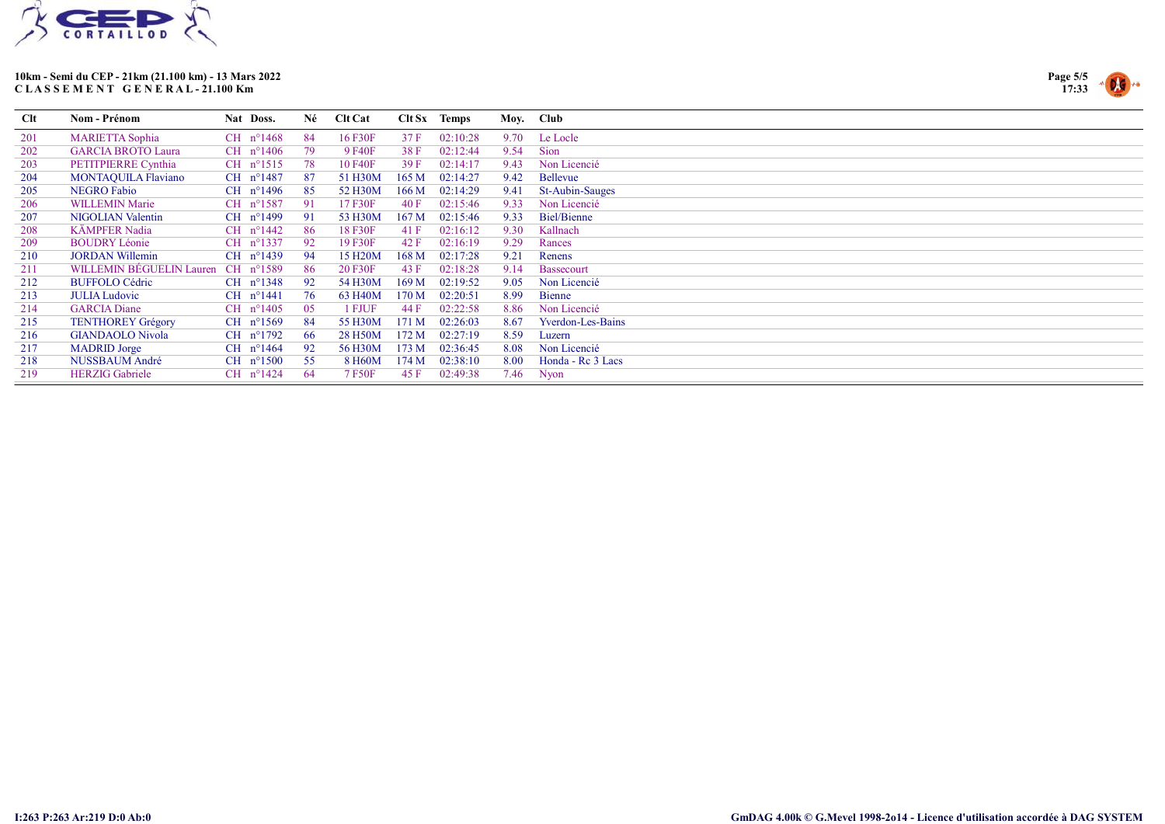



| <b>Clt</b> | Nom - Prénom                    | Nat Doss.            | Né  | <b>Clt Cat</b>       |       | $Clt Sx$ Temps | Moy. Club |                        |
|------------|---------------------------------|----------------------|-----|----------------------|-------|----------------|-----------|------------------------|
| 201        | <b>MARIETTA Sophia</b>          | CH $n^{\circ}1468$   | -84 | 16 F30F              | 37 F  | 02:10:28       | 9.70      | Le Locle               |
| 202        | <b>GARCIA BROTO Laura</b>       | $CH$ n°1406          | 79  | 9 F40F               | 38 F  | 02:12:44       | 9.54      | Sion                   |
| 203        | PETITPIERRE Cynthia             | CH $n^{\circ}1515$   | 78  | 10 F40F              | 39F   | 02:14:17       | 9.43      | Non Licencié           |
| 204        | <b>MONTAQUILA Flaviano</b>      | CH $n^{\circ}$ 1487  | -87 | 51 H30M              | 165 M | 02:14:27       | 9.42      | Bellevue               |
| 205        | <b>NEGRO Fabio</b>              | CH $n^{\circ}$ 1496  | 85  | 52 H30M              | 166 M | 02:14:29       | 9.41      | <b>St-Aubin-Sauges</b> |
| 206        | <b>WILLEMIN Marie</b>           | $CH$ n°1587          | -91 | 17 F30F              | 40F   | 02:15:46       | 9.33      | Non Licencié           |
| 207        | <b>NIGOLIAN Valentin</b>        | CH n°1499            | 91  | 53 H30M              | 167 M | 02:15:46       | 9.33      | <b>Biel/Bienne</b>     |
| 208        | <b>KÄMPFER Nadia</b>            | $CH$ n°1442          | 86  | 18 F30F              | 41 F  | 02:16:12       | 9.30      | Kallnach               |
| 209        | <b>BOUDRY Léonie</b>            | $CH$ n°1337          | -92 | 19 F30F              | 42 F  | 02:16:19       | 9.29      | Rances                 |
| 210        | <b>JORDAN Willemin</b>          | $CH$ n°1439          | -94 | 15 H <sub>20</sub> M | 168 M | 02:17:28       | 9.21      | Renens                 |
| 211        | <b>WILLEMIN BEGUELIN Lauren</b> | $CH$ n°1589          | 86  | 20 F30F              | 43 F  | 02:18:28       | 9.14      | Bassecourt             |
| 212        | <b>BUFFOLO Cédric</b>           | $CH$ n°1348          | 92  | 54 H30M              | 169 M | 02:19:52       | 9.05      | Non Licencié           |
| 213        | <b>JULIA Ludovic</b>            | $CH$ n°1441          | 76  | 63 H40M              | 170 M | 02:20:51       | 8.99      | <b>Bienne</b>          |
| 214        | <b>GARCIA Diane</b>             | $CH$ n°1405          | 05  | 1 FJUF               | 44 F  | 02:22:58       | 8.86      | Non Licencié           |
| 215        | <b>TENTHOREY Grégory</b>        | CH $n^{\circ}1569$   | -84 | 55 H30M              | 171 M | 02:26:03       | 8.67      | Yverdon-Les-Bains      |
| 216        | <b>GIANDAOLO Nivola</b>         | $CH$ n°1792          | -66 | 28 H50M              | 172 M | 02:27:19       | 8.59      | Luzern                 |
| 217        | <b>MADRID</b> Jorge             | CH $n^{\circ}$ 1464  | 92  | 56 H30M              | 173 M | 02:36:45       | 8.08      | Non Licencié           |
| 218        | NUSSBAUM André                  | $CH$ $n^{\circ}1500$ | 55  | 8 H60M               | 174 M | 02:38:10       | 8.00      | Honda - Re 3 Lacs      |
| 219        | <b>HERZIG</b> Gabriele          | $CH$ n°1424          | 64  | 7 F50F               | 45 F  | 02:49:38       | 7.46      | Nyon                   |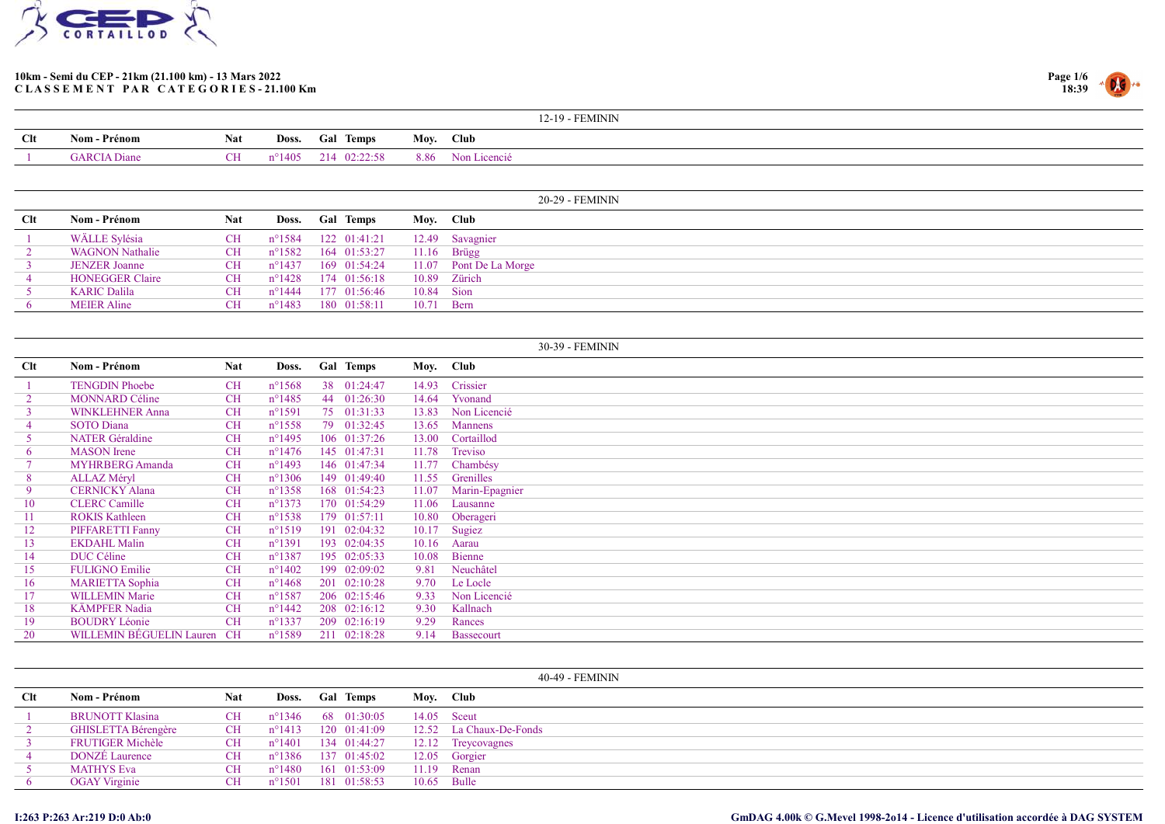



|     |                     |            |                 |                 | 12-19 - FEMININ   |
|-----|---------------------|------------|-----------------|-----------------|-------------------|
| Clt | Nom - Prénom        | <b>Nat</b> |                 | Doss. Gal Temps | Moy. Club         |
|     | <b>GARCIA</b> Diane | $\Gamma$   | $n^{\circ}1405$ | 214 02:22:58    | 8.86 Non Licencié |

|     |                        |            |                  |                              |       | 20-29 - FEMININ        |
|-----|------------------------|------------|------------------|------------------------------|-------|------------------------|
| Clt | Nom - Prénom           | <b>Nat</b> | Doss.            | <b>Gal Temps</b>             | Moy.  | Club                   |
|     | WÄLLE Sylésia          | <b>CH</b>  |                  | n°1584 122 01:41:21          |       | 12.49 Savagnier        |
|     | <b>WAGNON Nathalie</b> | <b>CH</b>  |                  | $n^{\circ}1582$ 164 01:53:27 |       | $11.16$ Brügg          |
|     | <b>JENZER Joanne</b>   | <b>CH</b>  | $n^{\circ}$ 1437 | 169 01:54:24                 |       | 11.07 Pont De La Morge |
|     | <b>HONEGGER Claire</b> | <b>CH</b>  | $n^{\circ}$ 1428 | 174 01:56:18                 |       | 10.89 Zürich           |
|     | <b>KARIC Dalila</b>    | <b>CH</b>  | $n^{\circ}$ 1444 | 177 01:56:46                 | 10.84 | Sion                   |
|     | <b>MEIER Aline</b>     | CH.        | $n^{\circ}$ 1483 | $180 \quad 01:58:11$         | 10.71 | Bern                   |

|     |                          |           |                  |                  |           | 30-39 - FEMININ   |
|-----|--------------------------|-----------|------------------|------------------|-----------|-------------------|
| Clt | Nom - Prénom             | Nat       | Doss.            | <b>Gal Temps</b> | Moy. Club |                   |
|     | <b>TENGDIN Phoebe</b>    | <b>CH</b> | $n^{\circ}1568$  | 38 01:24:47      | 14.93     | Crissier          |
|     | <b>MONNARD Céline</b>    | <b>CH</b> | $n^{\circ}$ 1485 | 44 01:26:30      | 14.64     | Yvonand           |
| 3   | <b>WINKLEHNER Anna</b>   | <b>CH</b> | $n^{\circ}1591$  | 75 01:31:33      | 13.83     | Non Licencié      |
|     | <b>SOTO</b> Diana        | <b>CH</b> | $n^{\circ}$ 1558 | 79 01:32:45      | 13.65     | <b>Mannens</b>    |
| 5   | <b>NATER</b> Géraldine   | <b>CH</b> | $n^{\circ}$ 1495 | 106 01:37:26     | 13.00     | Cortaillod        |
| 6   | <b>MASON</b> Irene       | <b>CH</b> | $n^{\circ}$ 1476 | 145 01:47:31     | 11.78     | Treviso           |
|     | <b>MYHRBERG</b> Amanda   | <b>CH</b> | $n^{\circ}$ 1493 | 146 01:47:34     | 11.77     | Chambésy          |
| 8   | <b>ALLAZ Méryl</b>       | <b>CH</b> | $n^{\circ}1306$  | 149 01:49:40     | 11.55     | Grenilles         |
| 9   | <b>CERNICKY Alana</b>    | <b>CH</b> | $n^{\circ}$ 1358 | 168 01:54:23     | 11.07     | Marin-Epagnier    |
| 10  | <b>CLERC</b> Camille     | <b>CH</b> | $n^{\circ}1373$  | 170 01:54:29     | 11.06     | Lausanne          |
| 11  | <b>ROKIS Kathleen</b>    | <b>CH</b> | $n^{\circ}$ 1538 | 179 01:57:11     | 10.80     | Oberageri         |
| 12  | PIFFARETTI Fanny         | <b>CH</b> | $n^{\circ}1519$  | 191 02:04:32     | 10.17     | Sugiez            |
| 13  | <b>EKDAHL Malin</b>      | <b>CH</b> | $n^{\circ}1391$  | 193 02:04:35     | 10.16     | Aarau             |
| 14  | DUC Céline               | <b>CH</b> | $n^{\circ}$ 1387 | 195 02:05:33     | 10.08     | Bienne            |
| 15  | <b>FULIGNO Emilie</b>    | <b>CH</b> | $n^{\circ}$ 1402 | 199 02:09:02     | 9.81      | Neuchâtel         |
| 16  | <b>MARIETTA Sophia</b>   | <b>CH</b> | $n^{\circ}$ 1468 | 201 02:10:28     | 9.70      | Le Locle          |
| 17  | <b>WILLEMIN Marie</b>    | <b>CH</b> | $n^{\circ}1587$  | 206 02:15:46     | 9.33      | Non Licencié      |
| 18  | <b>KÄMPFER Nadia</b>     | <b>CH</b> | $n^{\circ}$ 1442 | 208 02:16:12     | 9.30      | Kallnach          |
| 19  | <b>BOUDRY Léonie</b>     | <b>CH</b> | $n^{\circ}1337$  | 209 02:16:19     | 9.29      | Rances            |
| 20  | WILLEMIN BEGUELIN Lauren | CH        | $n^{\circ}1589$  | 211 02:18:28     | 9.14      | <b>Bassecourt</b> |

|              |                         |            |                  |                  |              |               | 40-49 - FEMININ         |
|--------------|-------------------------|------------|------------------|------------------|--------------|---------------|-------------------------|
| $_{\rm Clt}$ | Nom - Prénom            | <b>Nat</b> | Doss.            | <b>Gal Temps</b> |              | Moy. Club     |                         |
|              | <b>BRUNOTT Klasina</b>  | <b>CH</b>  | $n^{\circ}$ 1346 |                  | 68 01:30:05  | $14.05$ Sceut |                         |
|              | GHISLETTA Bérengère     | <b>CH</b>  | $n^{\circ}1413$  |                  | 120 01:41:09 |               | 12.52 La Chaux-De-Fonds |
|              | <b>FRUTIGER Michèle</b> | <b>CH</b>  | $n^{\circ}1401$  |                  | 134 01:44:27 |               | 12.12 Treycovagnes      |
| 4            | <b>DONZE</b> Laurence   | <b>CH</b>  | $n^{\circ}1386$  |                  | 137 01:45:02 |               | 12.05 Gorgier           |
|              | <b>MATHYS Eva</b>       | <b>CH</b>  | $n^{\circ}1480$  |                  | 161 01:53:09 |               | $11.19$ Renan           |
|              | <b>OGAY</b> Virginie    | <b>CH</b>  | $n^{\circ}1501$  |                  | 181 01:58:53 | 10.65 Bulle   |                         |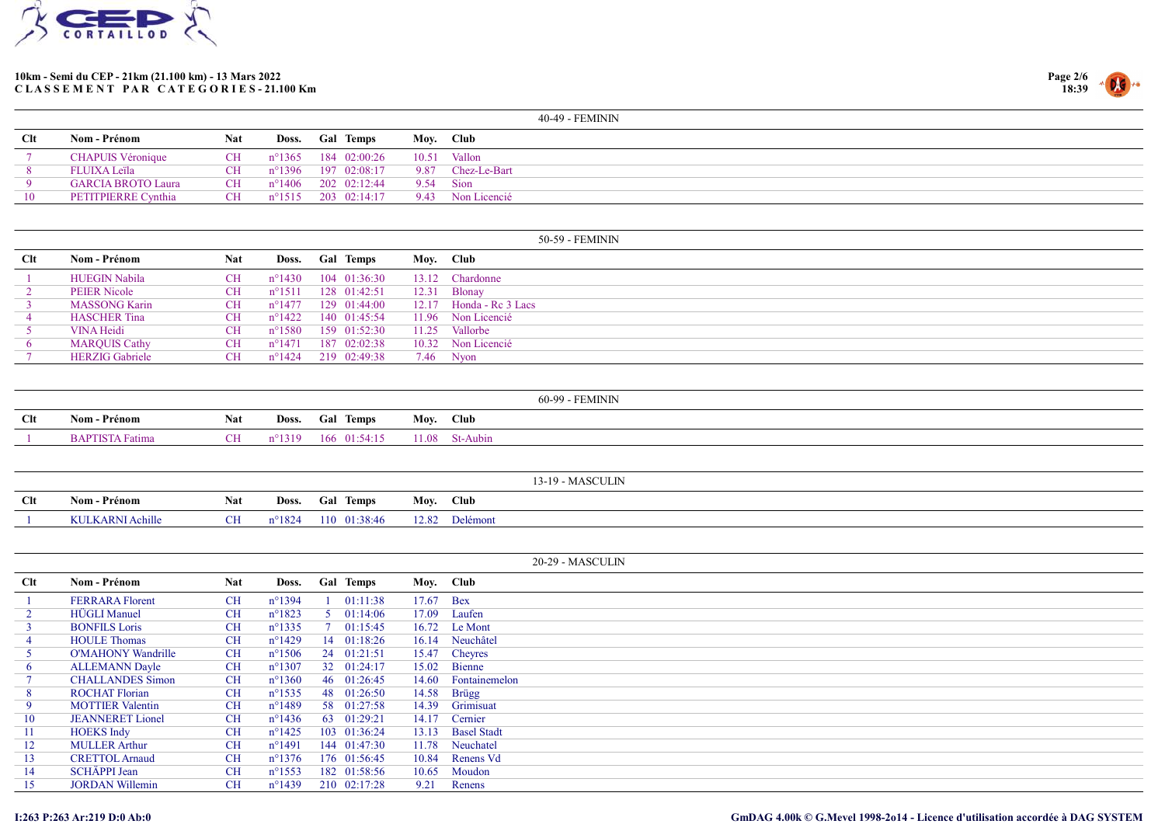



|            |                           |            |                  |                              | 40-49 - FEMININ   |
|------------|---------------------------|------------|------------------|------------------------------|-------------------|
| <b>Clt</b> | Nom - Prénom              | <b>Nat</b> | Doss.            | <b>Gal Temps</b>             | Moy. Club         |
|            | <b>CHAPUIS Véronique</b>  | CH         | $n^{\circ}$ 1365 | 184 02:00:26                 | 10.51 Vallon      |
|            | <b>FLUIXA Leïla</b>       | <b>CH</b>  | n°1396           | 197 02:08:17                 | 9.87 Chez-Le-Bart |
|            | <b>GARCIA BROTO Laura</b> | <b>CH</b>  |                  | $n^{\circ}1406$ 202 02:12:44 | 9.54 Sion         |
| 10         | PETITPIERRE Cynthia       | <b>CH</b>  |                  | $n^{\circ}1515$ 203 02:14:17 | 9.43 Non Licencié |
|            |                           |            |                  |                              |                   |
|            |                           |            |                  |                              |                   |

|     |                        |           |                  |                      |       | 50-59 - FEMININ           |
|-----|------------------------|-----------|------------------|----------------------|-------|---------------------------|
| Clt | Nom - Prénom           | Nat       | Doss.            | <b>Gal Temps</b>     |       | Moy. Club                 |
|     | <b>HUEGIN Nabila</b>   | <b>CH</b> | $n^{\circ}1430$  | 104 01:36:30         |       | 13.12 Chardonne           |
|     | <b>PEIER Nicole</b>    | <b>CH</b> | $n^{\circ}1511$  | 128 01:42:51         | 12.31 | Blonay                    |
|     | <b>MASSONG Karin</b>   | <b>CH</b> | $n^{\circ}$ 1477 | $129 \quad 01:44:00$ |       | $12.17$ Honda - Rc 3 Lacs |
|     | <b>HASCHER Tina</b>    | <b>CH</b> | $n^{\circ}1422$  | $140 \quad 01:45:54$ |       | 11.96 Non Licencié        |
|     | <b>VINA Heidi</b>      | <b>CH</b> | n°1580           | 159 01:52:30         |       | 11.25 Vallorbe            |
|     | <b>MARQUIS Cathy</b>   | <b>CH</b> | $n^{\circ}$ 1471 | 187 02:02:38         |       | 10.32 Non Licencié        |
|     | <b>HERZIG</b> Gabriele | CH        | $n^{\circ}$ 1424 | 219 02:49:38         |       | $7.46$ Nyon               |

|     |                        |            |                 |                      | 60-99 - FEMININ  |
|-----|------------------------|------------|-----------------|----------------------|------------------|
| Clt | Nom - Prénom           | <b>Nat</b> |                 | Doss. Gal Temps      | Moy. Club        |
|     | <b>BAPTISTA Fatima</b> | CH.        | $n^{\circ}1319$ | $166 \quad 01:54:15$ | $11.08$ St-Aubin |

|            |                                            |                |                 |                  |       | $3 - 19$ .  |
|------------|--------------------------------------------|----------------|-----------------|------------------|-------|-------------|
| <b>Clt</b> | <b>Nom - Prénom</b>                        | <b>Nat</b>     | Doss.           | <b>Gal Temps</b> | Mov.  | <b>Club</b> |
|            | $A$ chille<br><b>KULKARNI</b><br>. AUIIIII | $\overline{C}$ | $n^{\circ}1824$ | 110<br>01:38:46  | 12.82 | Delémont    |

|                 |                           |            |                  |    |                  |           | 20-29 - MASCULIN   |
|-----------------|---------------------------|------------|------------------|----|------------------|-----------|--------------------|
| <b>Clt</b>      | Nom - Prénom              | <b>Nat</b> | Doss.            |    | <b>Gal Temps</b> | Moy. Club |                    |
|                 | <b>FERRARA Florent</b>    | <b>CH</b>  | $n^{\circ}1394$  |    | 01:11:38         | 17.67     | Bex                |
|                 | <b>HÜGLI</b> Manuel       | <b>CH</b>  | $n^{\circ}1823$  |    | 01:14:06         | 17.09     | Laufen             |
|                 | <b>BONFILS Loris</b>      | <b>CH</b>  | $n^{\circ}$ 1335 |    | 01:15:45         | 16.72     | Le Mont            |
| 4               | <b>HOULE</b> Thomas       | <b>CH</b>  | $n^{\circ}$ 1429 | 14 | 01:18:26         | 16.14     | Neuchâtel          |
|                 | <b>O'MAHONY Wandrille</b> | <b>CH</b>  | $n^{\circ}1506$  |    | 24 01:21:51      |           | 15.47 Cheyres      |
| 6               | <b>ALLEMANN Dayle</b>     | <b>CH</b>  | $n^{\circ}1307$  |    | 32 01:24:17      | 15.02     | Bienne             |
|                 | <b>CHALLANDES Simon</b>   | <b>CH</b>  | $n^{\circ}1360$  |    | 46 01:26:45      | 14.60     | Fontainemelon      |
| 8               | <b>ROCHAT Florian</b>     | <b>CH</b>  | $n^{\circ}$ 1535 |    | 48 01:26:50      | 14.58     | Brügg              |
| 9               | <b>MOTTIER Valentin</b>   | <b>CH</b>  | $n^{\circ}$ 1489 |    | 58 01:27:58      | 14.39     | Grimisuat          |
| 10              | <b>JEANNERET</b> Lionel   | <b>CH</b>  | $n^{\circ}$ 1436 |    | 63 01:29:21      | 14.17     | Cernier            |
| 11 <sup>1</sup> | <b>HOEKS</b> Indy         | <b>CH</b>  | $n^{\circ}$ 1425 |    | 103 01:36:24     | 13.13     | <b>Basel Stadt</b> |
| 12              | <b>MULLER Arthur</b>      | <b>CH</b>  | $n^{\circ}1491$  |    | 144 01:47:30     | 11.78     | Neuchatel          |
| 13              | <b>CRETTOL Arnaud</b>     | <b>CH</b>  | $n^{\circ}1376$  |    | 176 01:56:45     | 10.84     | Renens Vd          |
| 14              | <b>SCHÄPPI Jean</b>       | <b>CH</b>  | $n^{\circ}$ 1553 |    | 182 01:58:56     | 10.65     | Moudon             |
| 15              | <b>JORDAN Willemin</b>    | <b>CH</b>  | $n^{\circ}$ 1439 |    | 210 02:17:28     | 9.21      | Renens             |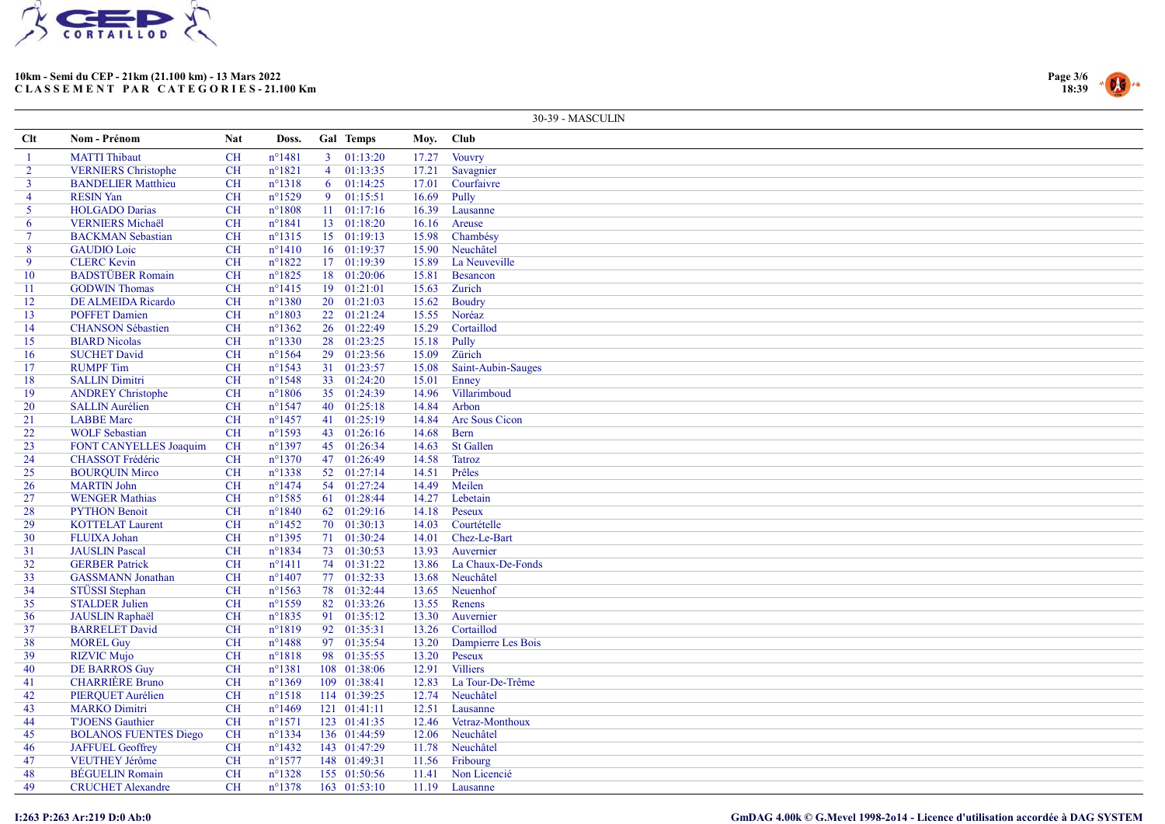



|                |                                            |            |                  |                |                              |                | 30-39 - MASCULIN      |
|----------------|--------------------------------------------|------------|------------------|----------------|------------------------------|----------------|-----------------------|
| Clt            | Nom - Prénom                               | <b>Nat</b> | Doss.            |                | Gal Temps                    | Moy.           | <b>Club</b>           |
|                | <b>MATTI</b> Thibaut                       | <b>CH</b>  | $n^{\circ}1481$  |                | $3 \quad 01:13:20$           | 17.27          | Vouvry                |
| $\overline{2}$ | <b>VERNIERS</b> Christophe                 | <b>CH</b>  | $n^{\circ}1821$  |                | 4 01:13:35                   | 17.21          | Savagnier             |
| $\mathbf{3}$   | <b>BANDELIER Matthieu</b>                  | <b>CH</b>  | $n^{\circ}1318$  | 6 <sup>1</sup> | 01:14:25                     | 17.01          | Courfaivre            |
| $\overline{4}$ | <b>RESIN Yan</b>                           | <b>CH</b>  | $n^{\circ}1529$  | 9 <sup>2</sup> | 01:15:51                     | 16.69          | Pully                 |
| 5              | <b>HOLGADO</b> Darias                      | CH         | $n^{\circ}1808$  |                | $11 \quad 01:17:16$          | 16.39          | Lausanne              |
| 6              | <b>VERNIERS Michaël</b>                    | <b>CH</b>  | $n^{\circ}1841$  |                | 13 01:18:20                  | 16.16          | Areuse                |
| $\tau$         | <b>BACKMAN</b> Sebastian                   | <b>CH</b>  | $n^{\circ}1315$  |                | 15 01:19:13                  | 15.98          | Chambésy              |
| 8              | <b>GAUDIO</b> Loic                         | <b>CH</b>  | $n^{\circ}1410$  |                | 16 01:19:37                  | 15.90          | Neuchâtel             |
| 9              | <b>CLERC</b> Kevin                         | <b>CH</b>  | $n^{\circ}1822$  |                | 17 01:19:39                  | 15.89          | La Neuveville         |
| 10             | <b>BADSTÜBER Romain</b>                    | <b>CH</b>  | $n^{\circ}1825$  |                | 18 01:20:06                  | 15.81          | Besancon              |
| 11             | <b>GODWIN Thomas</b>                       | <b>CH</b>  | $n^{\circ}1415$  |                | 19 01:21:01                  | 15.63          | Zurich                |
| 12             | DE ALMEIDA Ricardo                         | <b>CH</b>  | $n^{\circ}1380$  |                | 20 01:21:03                  | 15.62          | Boudry                |
| 13             | <b>POFFET Damien</b>                       | <b>CH</b>  | $n^{\circ}1803$  |                | 22 01:21:24                  | 15.55          | Noréaz                |
| 14             | <b>CHANSON Sébastien</b>                   | <b>CH</b>  | $n^{\circ}$ 1362 |                | 26 01:22:49                  | 15.29          | Cortaillod            |
| 15             | <b>BIARD Nicolas</b>                       | <b>CH</b>  | $n^{\circ}1330$  |                | 28 01:23:25                  | 15.18          | Pully                 |
| 16             | <b>SUCHET David</b>                        | <b>CH</b>  | $n^{\circ}1564$  |                | 29 01:23:56                  | 15.09          | Zürich                |
| 17             | <b>RUMPF</b> Tim                           | <b>CH</b>  | $n^{\circ}1543$  |                | $31$ 01:23:57                | 15.08          | Saint-Aubin-Sauges    |
| 18             | <b>SALLIN Dimitri</b>                      | <b>CH</b>  | $n^{\circ}1548$  |                | 33 01:24:20                  | 15.01          | Enney                 |
| 19             | <b>ANDREY Christophe</b>                   | <b>CH</b>  | $n^{\circ}1806$  |                | 35 01:24:39                  | 14.96          | Villarimboud          |
| 20             | <b>SALLIN Aurélien</b>                     | <b>CH</b>  | $n^{\circ}1547$  |                | 40 01:25:18                  | 14.84          | Arbon                 |
| 21             | <b>LABBE</b> Marc                          | <b>CH</b>  | $n^{\circ}$ 1457 |                | 41 01:25:19                  | 14.84          | Arc Sous Cicon        |
| 22             | <b>WOLF Sebastian</b>                      | CH         | $n^{\circ}1593$  |                | 43 01:26:16                  | 14.68          | Bern                  |
| 23             | FONT CANYELLES Joaquim                     | <b>CH</b>  | $n^{\circ}1397$  |                | 45 01:26:34                  | 14.63          | <b>St Gallen</b>      |
| 24             | <b>CHASSOT Frédéric</b>                    | <b>CH</b>  | $n^{\circ}1370$  |                | 47 01:26:49                  | 14.58          | Tatroz                |
| 25             | <b>BOURQUIN Mirco</b>                      | <b>CH</b>  | $n^{\circ}1338$  |                | 52 01:27:14                  | 14.51          | Prêles                |
| 26             | <b>MARTIN John</b>                         | <b>CH</b>  | $n^{\circ}$ 1474 |                | 54 01:27:24                  | 14.49          | Meilen                |
| 27             | <b>WENGER Mathias</b>                      | <b>CH</b>  | $n^{\circ}$ 1585 |                | 61 01:28:44                  | 14.27          | Lebetain              |
| 28             | <b>PYTHON Benoit</b>                       | <b>CH</b>  | $n^{\circ}1840$  |                | 62 01:29:16                  | 14.18          | Peseux                |
| 29             | <b>KOTTELAT Laurent</b>                    | <b>CH</b>  | $n^{\circ}$ 1452 |                | 70 01:30:13                  | 14.03          | Courtételle           |
| 30             | FLUIXA Johan                               | <b>CH</b>  | $n^{\circ}$ 1395 |                | 71 01:30:24                  | 14.01          | Chez-Le-Bart          |
| 31             | <b>JAUSLIN</b> Pascal                      | <b>CH</b>  | $n^{\circ}1834$  |                | 73 01:30:53                  | 13.93          | Auvernier             |
| 32             | <b>GERBER Patrick</b>                      | <b>CH</b>  | $n^{\circ}1411$  |                | 74 01:31:22                  | 13.86          | La Chaux-De-Fonds     |
| 33             | <b>GASSMANN</b> Jonathan                   | <b>CH</b>  | $n^{\circ}$ 1407 |                | 77 01:32:33                  | 13.68          | Neuchâtel             |
| 34             | STÜSSI Stephan                             | <b>CH</b>  | $n^{\circ}1563$  |                | 78 01:32:44                  | 13.65          | Neuenhof              |
| 35             | <b>STALDER Julien</b>                      | <b>CH</b>  | $n^{\circ}$ 1559 |                | 82 01:33:26                  | 13.55          | Renens                |
| 36             | <b>JAUSLIN Raphaël</b>                     | <b>CH</b>  | $n^{\circ}1835$  |                | 91 01:35:12                  | 13.30          | Auvernier             |
| 37             | <b>BARRELET David</b>                      | <b>CH</b>  | $n^{\circ}1819$  |                | 92 01:35:31                  | 13.26          | Cortaillod            |
| 38             | <b>MOREL Guy</b>                           | <b>CH</b>  | $n^{\circ}$ 1488 |                | 97 01:35:54                  | 13.20          | Dampierre Les Bois    |
|                |                                            | <b>CH</b>  | $n^{\circ}1818$  |                |                              | 13.20          | Peseux                |
| 39<br>40       | <b>RIZVIC Mujo</b><br><b>DE BARROS Guy</b> | <b>CH</b>  | $n^{\circ}1381$  |                | 98 01:35:55<br>108 01:38:06  | 12.91          | <b>Villiers</b>       |
|                | <b>CHARRIÈRE</b> Bruno                     |            |                  |                |                              | 12.83          |                       |
| 41             |                                            | <b>CH</b>  | $n^{\circ}1369$  |                | 109 01:38:41                 |                | La Tour-De-Trême      |
| 42             | PIERQUET Aurélien                          | <b>CH</b>  | $n^{\circ}1518$  |                | 114 01:39:25<br>121 01:41:11 | 12.74<br>12.51 | Neuchâtel<br>Lausanne |
| 43             | <b>MARKO Dimitri</b>                       | <b>CH</b>  | $n^{\circ}$ 1469 |                |                              |                |                       |
| 44             | <b>TJOENS</b> Gauthier                     | CH         | $n^{\circ}1571$  |                | 123 01:41:35                 | 12.46          | Vetraz-Monthoux       |
| 45             | <b>BOLANOS FUENTES Diego</b>               | CH         | $n^{\circ}$ 1334 |                | 136 01:44:59                 | 12.06          | Neuchâtel             |
| 46             | <b>JAFFUEL Geoffrey</b>                    | <b>CH</b>  | $n^{\circ}$ 1432 |                | 143 01:47:29                 | 11.78          | Neuchâtel             |
| 47             | VEUTHEY Jérôme                             | <b>CH</b>  | $n^{\circ}1577$  |                | 148 01:49:31                 | 11.56          | Fribourg              |
| 48             | <b>BÉGUELIN</b> Romain                     | <b>CH</b>  | $n^{\circ}$ 1328 |                | 155 01:50:56                 |                | 11.41 Non Licencié    |
| 49             | <b>CRUCHET</b> Alexandre                   | <b>CH</b>  | $n^{\circ}$ 1378 |                | 163 01:53:10                 | 11.19          | Lausanne              |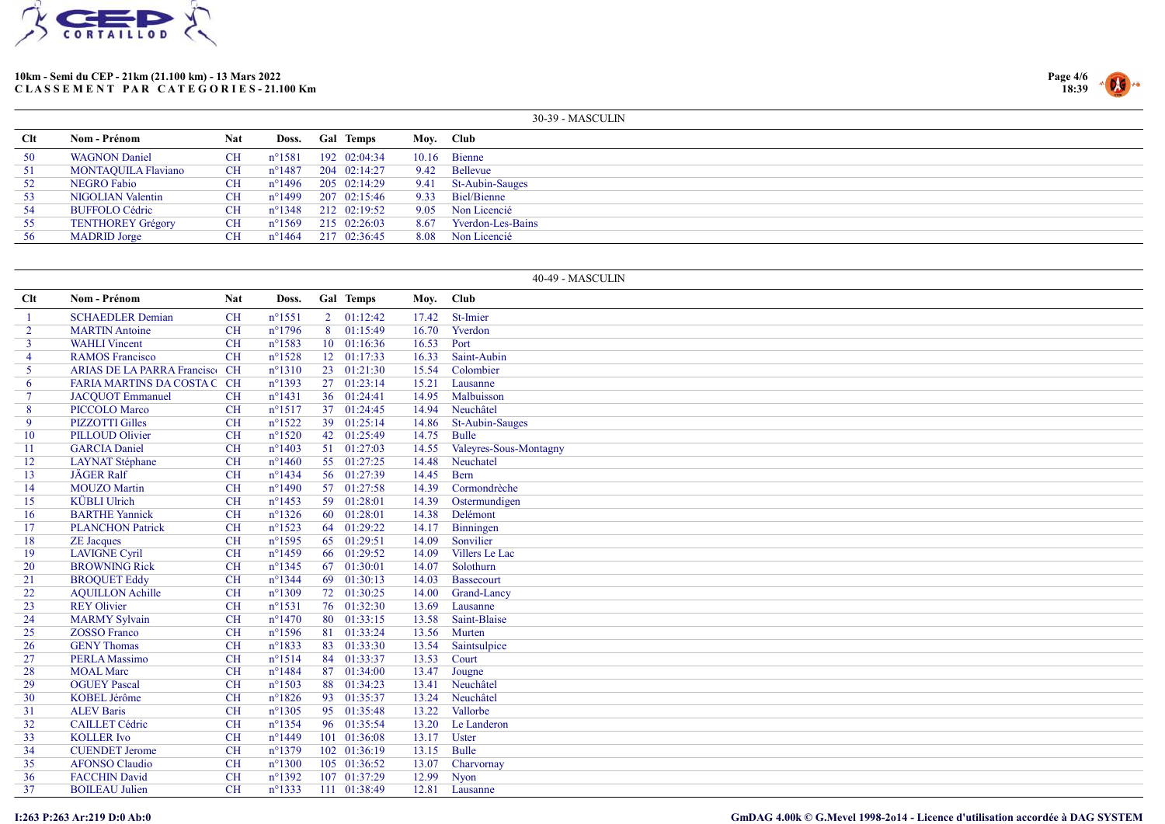



|     |                          |            |                  |                  |      | 30-39 - MASCULIN         |
|-----|--------------------------|------------|------------------|------------------|------|--------------------------|
| Clt | Nom - Prénom             | <b>Nat</b> | Doss.            | <b>Gal Temps</b> |      | Moy. Club                |
| 50  | <b>WAGNON Daniel</b>     | CН         | $n^{\circ}$ 1581 | 192 02:04:34     |      | $10.16$ Bienne           |
| 51  | MONTAQUILA Flaviano      | CH.        | $n^{\circ}$ 1487 | 204 02:14:27     |      | 9.42 Bellevue            |
| 52  | <b>NEGRO Fabio</b>       | <b>CH</b>  | $n^{\circ}$ 1496 | 205 02:14:29     | 9.41 | St-Aubin-Sauges          |
| 53  | NIGOLIAN Valentin        | <b>CH</b>  | $n^{\circ}1499$  | 207 02:15:46     |      | 9.33 Biel/Bienne         |
| 54  | <b>BUFFOLO Cédric</b>    | <b>CH</b>  | $n^{\circ}1348$  | 212 02:19:52     |      | 9.05 Non Licencié        |
| 55  | <b>TENTHOREY Grégory</b> | <b>CH</b>  | $n^{\circ}1569$  | 215 02:26:03     | 8.67 | <b>Yverdon-Les-Bains</b> |
| 56  | <b>MADRID</b> Jorge      | CН         | $n^{\circ}$ 1464 | 217 02:36:45     | 8.08 | Non Licencié             |

|                |                                |            |                  |                |                     |       | 40-49 - MASCULIN       |
|----------------|--------------------------------|------------|------------------|----------------|---------------------|-------|------------------------|
| <b>Clt</b>     | Nom - Prénom                   | <b>Nat</b> | Doss.            |                | Gal Temps           | Moy.  | <b>Club</b>            |
|                | <b>SCHAEDLER Demian</b>        | <b>CH</b>  | $n^{\circ}1551$  |                | $2 \quad 01:12:42$  | 17.42 | St-Imier               |
| $\overline{2}$ | <b>MARTIN</b> Antoine          | CH         | $n^{\circ}1796$  | 8 <sup>1</sup> | 01:15:49            | 16.70 | Yverdon                |
| $\mathbf{3}$   | <b>WAHLI</b> Vincent           | <b>CH</b>  | $n^{\circ}1583$  |                | $10 \quad 01:16:36$ | 16.53 | Port                   |
| 4              | <b>RAMOS Francisco</b>         | CH         | $n^{\circ}1528$  |                | 12 01:17:33         | 16.33 | Saint-Aubin            |
| 5 <sup>1</sup> | ARIAS DE LA PARRA Francisco CH |            | $n^{\circ}1310$  |                | 23 01:21:30         | 15.54 | Colombier              |
| 6              | FARIA MARTINS DA COSTA C CH    |            | n°1393           |                | 27 01:23:14         | 15.21 | Lausanne               |
| $\tau$         | <b>JACQUOT</b> Emmanuel        | <b>CH</b>  | $n^{\circ}1431$  |                | 36 01:24:41         | 14.95 | Malbuisson             |
| 8              | PICCOLO Marco                  | <b>CH</b>  | $n^{\circ}1517$  |                | 37 01:24:45         | 14.94 | Neuchâtel              |
| 9              | <b>PIZZOTTI Gilles</b>         | <b>CH</b>  | $n^{\circ}1522$  |                | 39 01:25:14         | 14.86 | St-Aubin-Sauges        |
| 10             | <b>PILLOUD Olivier</b>         | <b>CH</b>  | $n^{\circ}1520$  |                | 42 01:25:49         | 14.75 | Bulle                  |
| 11             | <b>GARCIA Daniel</b>           | <b>CH</b>  | $n^{\circ}1403$  |                | 51 01:27:03         | 14.55 | Valeyres-Sous-Montagny |
| 12             | <b>LAYNAT</b> Stéphane         | <b>CH</b>  | $n^{\circ}$ 1460 |                | 55 01:27:25         | 14.48 | Neuchatel              |
| 13             | <b>JÄGER Ralf</b>              | <b>CH</b>  | $n^{\circ}$ 1434 |                | 56 01:27:39         | 14.45 | Bern                   |
| 14             | <b>MOUZO</b> Martin            | <b>CH</b>  | $n^{\circ}1490$  |                | 57 01:27:58         | 14.39 | Cormondrèche           |
| 15             | <b>KÜBLI</b> Ulrich            | <b>CH</b>  | $n^{\circ}$ 1453 |                | 59 01:28:01         | 14.39 | Ostermundigen          |
| 16             | <b>BARTHE Yannick</b>          | <b>CH</b>  | $n^{\circ}1326$  |                | 60 01:28:01         | 14.38 | Delémont               |
| 17             | <b>PLANCHON Patrick</b>        | <b>CH</b>  | $n^{\circ}1523$  |                | 64 01:29:22         | 14.17 | Binningen              |
| 18             | <b>ZE</b> Jacques              | <b>CH</b>  | $n^{\circ}$ 1595 |                | 65 01:29:51         | 14.09 | Sonvilier              |
| 19             | <b>LAVIGNE Cyril</b>           | <b>CH</b>  | $n^{\circ}$ 1459 |                | 66 01:29:52         | 14.09 | Villers Le Lac         |
| 20             | <b>BROWNING Rick</b>           | <b>CH</b>  | $n^{\circ}$ 1345 |                | 67 01:30:01         | 14.07 | Solothurn              |
| 21             | <b>BROQUET Eddy</b>            | <b>CH</b>  | $n^{\circ}$ 1344 |                | 69 01:30:13         | 14.03 | Bassecourt             |
| 22             | <b>AQUILLON Achille</b>        | <b>CH</b>  | $n^{\circ}1309$  |                | 72 01:30:25         | 14.00 | Grand-Lancy            |
| 23             | <b>REY Olivier</b>             | <b>CH</b>  | $n^{\circ}1531$  |                | 76 01:32:30         | 13.69 | Lausanne               |
| 24             | <b>MARMY</b> Sylvain           | <b>CH</b>  | $n^{\circ}1470$  |                | 80 01:33:15         | 13.58 | Saint-Blaise           |
| 25             | <b>ZOSSO Franco</b>            | <b>CH</b>  | $n^{\circ}1596$  |                | 81 01:33:24         | 13.56 | Murten                 |
| 26             | <b>GENY Thomas</b>             | <b>CH</b>  | $n^{\circ}1833$  |                | $83 \quad 01:33:30$ | 13.54 | Saintsulpice           |
| 27             | <b>PERLA</b> Massimo           | <b>CH</b>  | $n^{\circ}1514$  |                | 84 01:33:37         | 13.53 | Court                  |
| 28             | <b>MOAL</b> Marc               | <b>CH</b>  | $n^{\circ}$ 1484 |                | 87 01:34:00         | 13.47 | Jougne                 |
| 29             | <b>OGUEY Pascal</b>            | <b>CH</b>  | $n^{\circ}1503$  |                | 88 01:34:23         | 13.41 | Neuchâtel              |
| 30             | <b>KOBEL Jérôme</b>            | <b>CH</b>  | $n^{\circ}1826$  |                | 93 01:35:37         | 13.24 | Neuchâtel              |
| 31             | <b>ALEV Baris</b>              | <b>CH</b>  | $n^{\circ}$ 1305 |                | 95 01:35:48         | 13.22 | Vallorbe               |
| 32             | <b>CAILLET Cédric</b>          | <b>CH</b>  | $n^{\circ}$ 1354 |                | 96 01:35:54         | 13.20 | Le Landeron            |
| 33             | <b>KOLLER Ivo</b>              | <b>CH</b>  | $n^{\circ}$ 1449 |                | 101 01:36:08        | 13.17 | <b>Uster</b>           |
| 34             | <b>CUENDET Jerome</b>          | <b>CH</b>  | $n^{\circ}1379$  |                | 102 01:36:19        | 13.15 | Bulle                  |
| 35             | <b>AFONSO Claudio</b>          | <b>CH</b>  | $n^{\circ}1300$  |                | 105 01:36:52        | 13.07 | Charvornay             |
| 36             | <b>FACCHIN David</b>           | <b>CH</b>  | $n^{\circ}1392$  |                | 107 01:37:29        | 12.99 | Nyon                   |
| 37             | <b>BOILEAU</b> Julien          | <b>CH</b>  | $n^{\circ}$ 1333 |                | 111 01:38:49        | 12.81 | Lausanne               |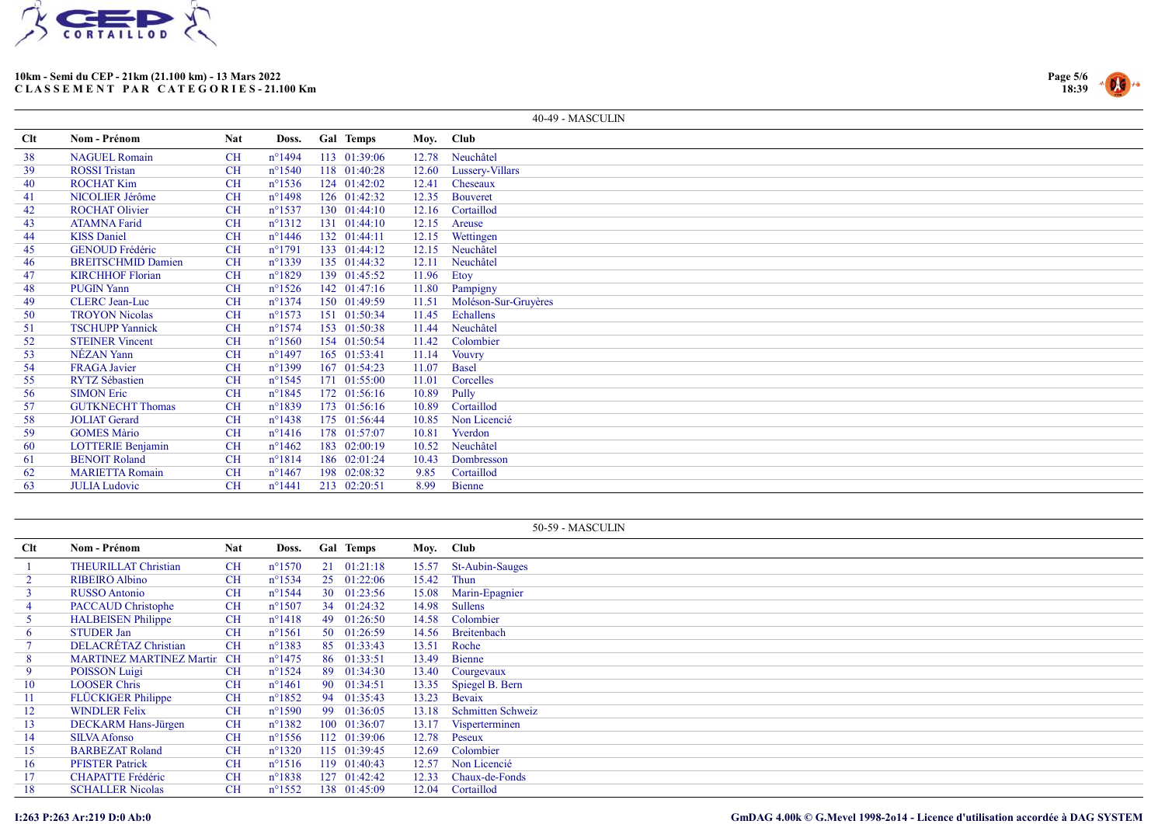



|     |                           |            |                  |                  |           | 40-49 - MASCULIN     |
|-----|---------------------------|------------|------------------|------------------|-----------|----------------------|
| Clt | Nom - Prénom              | <b>Nat</b> | Doss.            | <b>Gal Temps</b> | Moy. Club |                      |
| 38  | <b>NAGUEL Romain</b>      | <b>CH</b>  | $n^{\circ}$ 1494 | 113 01:39:06     |           | 12.78 Neuchâtel      |
| 39  | <b>ROSSI</b> Tristan      | <b>CH</b>  | $n^{\circ}1540$  | 118 01:40:28     | 12.60     | Lussery-Villars      |
| 40  | <b>ROCHAT Kim</b>         | <b>CH</b>  | $n^{\circ}1536$  | 124 01:42:02     | 12.41     | Cheseaux             |
| 41  | NICOLIER Jérôme           | <b>CH</b>  | $n^{\circ}$ 1498 | 126 01:42:32     | 12.35     | <b>Bouveret</b>      |
| 42  | <b>ROCHAT Olivier</b>     | <b>CH</b>  | $n^{\circ}1537$  | 130 01:44:10     | 12.16     | Cortaillod           |
| 43  | <b>ATAMNA Farid</b>       | <b>CH</b>  | $n^{\circ}1312$  | 131 01:44:10     | 12.15     | Areuse               |
| 44  | <b>KISS</b> Daniel        | <b>CH</b>  | $n^{\circ}$ 1446 | 132 01:44:11     | 12.15     | Wettingen            |
| 45  | <b>GENOUD Frédéric</b>    | CH         | $n^{\circ}1791$  | 133 01:44:12     | 12.15     | Neuchâtel            |
| 46  | <b>BREITSCHMID Damien</b> | <b>CH</b>  | $n^{\circ}1339$  | 135 01:44:32     | 12.11     | Neuchâtel            |
| 47  | <b>KIRCHHOF Florian</b>   | <b>CH</b>  | $n^{\circ}1829$  | 139 01:45:52     | 11.96     | Etoy                 |
| 48  | <b>PUGIN Yann</b>         | <b>CH</b>  | $n^{\circ}1526$  | 142 01:47:16     |           | 11.80 Pampigny       |
| 49  | <b>CLERC</b> Jean-Luc     | <b>CH</b>  | $n^{\circ}1374$  | 150 01:49:59     | 11.51     | Moléson-Sur-Gruyères |
| 50  | <b>TROYON Nicolas</b>     | <b>CH</b>  | $n^{\circ}1573$  | 151 01:50:34     | 11.45     | Echallens            |
| 51  | <b>TSCHUPP Yannick</b>    | <b>CH</b>  | $n^{\circ}1574$  | 153 01:50:38     | 11.44     | Neuchâtel            |
| 52  | <b>STEINER Vincent</b>    | <b>CH</b>  | $n^{\circ}1560$  | 154 01:50:54     | 11.42     | Colombier            |
| 53  | NÉZAN Yann                | <b>CH</b>  | $n^{\circ}$ 1497 | 165 01:53:41     | 11.14     | <b>Vouvry</b>        |
| 54  | <b>FRAGA</b> Javier       | <b>CH</b>  | $n^{\circ}1399$  | 167 01:54:23     | 11.07     | Basel                |
| 55  | <b>RYTZ Sébastien</b>     | <b>CH</b>  | $n^{\circ}1545$  | 171 01:55:00     | 11.01     | Corcelles            |
| 56  | <b>SIMON Eric</b>         | <b>CH</b>  | $n^{\circ}1845$  | 172 01:56:16     | 10.89     | Pully                |
| 57  | <b>GUTKNECHT Thomas</b>   | <b>CH</b>  | $n^{\circ}1839$  | 173 01:56:16     | 10.89     | Cortaillod           |
| 58  | <b>JOLIAT</b> Gerard      | <b>CH</b>  | $n^{\circ}1438$  | 175 01:56:44     | 10.85     | Non Licencié         |
| 59  | <b>GOMES Màrio</b>        | <b>CH</b>  | $n^{\circ}1416$  | 178 01:57:07     | 10.81     | Yverdon              |
| 60  | <b>LOTTERIE Benjamin</b>  | <b>CH</b>  | $n^{\circ}$ 1462 | 183 02:00:19     | 10.52     | Neuchâtel            |
| 61  | <b>BENOIT Roland</b>      | <b>CH</b>  | $n^{\circ}1814$  | 186 02:01:24     | 10.43     | Dombresson           |
| 62  | <b>MARIETTA Romain</b>    | <b>CH</b>  | $n^{\circ}$ 1467 | 198 02:08:32     | 9.85      | Cortaillod           |
| 63  | <b>JULIA Ludovic</b>      | <b>CH</b>  | $n^{\circ}1441$  | 213 02:20:51     | 8.99      | Bienne               |

|            |                             |            |                  |     |                  |           | 50-59 - MASCULIN      |
|------------|-----------------------------|------------|------------------|-----|------------------|-----------|-----------------------|
| <b>Clt</b> | <b>Nom - Prénom</b>         | <b>Nat</b> | Doss.            |     | <b>Gal Temps</b> | Moy. Club |                       |
|            | <b>THEURILLAT Christian</b> | CH         | $n^{\circ}1570$  |     | 21 01:21:18      | 15.57     | St-Aubin-Sauges       |
|            | <b>RIBEIRO Albino</b>       | <b>CH</b>  | $n^{\circ}$ 1534 |     | 25 01:22:06      | 15.42     | Thun                  |
|            | RUSSO Antonio               | <b>CH</b>  | $n^{\circ}1544$  |     | 30 01:23:56      | 15.08     | Marin-Epagnier        |
|            | <b>PACCAUD Christophe</b>   | <b>CH</b>  | $n^{\circ}1507$  |     | 34 01:24:32      | 14.98     | Sullens               |
|            | <b>HALBEISEN</b> Philippe   | CH         | $n^{\circ}1418$  | 49  | 01:26:50         | 14.58     | Colombier             |
| 6          | <b>STUDER Jan</b>           | <b>CH</b>  | $n^{\circ}1561$  |     | 50 01:26:59      | 14.56     | Breitenbach           |
|            | <b>DELACRÉTAZ Christian</b> | <b>CH</b>  | $n^{\circ}$ 1383 |     | 85 01:33:43      | 13.51     | Roche                 |
| 8          | MARTINEZ MARTINEZ Martin CH |            | $n^{\circ}$ 1475 |     | 86 01:33:51      | 13.49     | Bienne                |
|            | POISSON Luigi               | CH         | $n^{\circ}1524$  | -89 | 01:34:30         |           | 13.40 Courgevaux      |
| 10         | <b>LOOSER Chris</b>         | <b>CH</b>  | $n^{\circ}$ 1461 |     | 90 01:34:51      |           | 13.35 Spiegel B. Bern |
| 11         | <b>FLÜCKIGER Philippe</b>   | <b>CH</b>  | $n^{\circ}1852$  |     | 94 01:35:43      | 13.23     | Bevaix                |
| 12         | <b>WINDLER Felix</b>        | <b>CH</b>  | $n^{\circ}$ 1590 |     | 99 01:36:05      | 13.18     | Schmitten Schweiz     |
| 13         | DECKARM Hans-Jürgen         | <b>CH</b>  | $n^{\circ}1382$  |     | 100 01:36:07     | 13.17     | Visperterminen        |
| 14         | SILVA Afonso                | <b>CH</b>  | $n^{\circ}$ 1556 |     | 112 01:39:06     | 12.78     | Peseux                |
| 15         | <b>BARBEZAT Roland</b>      | <b>CH</b>  | $n^{\circ}$ 1320 |     | 115 01:39:45     | 12.69     | Colombier             |
| 16         | <b>PFISTER Patrick</b>      | <b>CH</b>  | $n^{\circ}1516$  |     | 119 01:40:43     | 12.57     | Non Licencié          |
| 17         | <b>CHAPATTE Frédéric</b>    | <b>CH</b>  | $n^{\circ}1838$  |     | 127 01:42:42     | 12.33     | Chaux-de-Fonds        |
| 18         | <b>SCHALLER Nicolas</b>     | <b>CH</b>  | $n^{\circ}$ 1552 |     | 138 01:45:09     | 12.04     | Cortaillod            |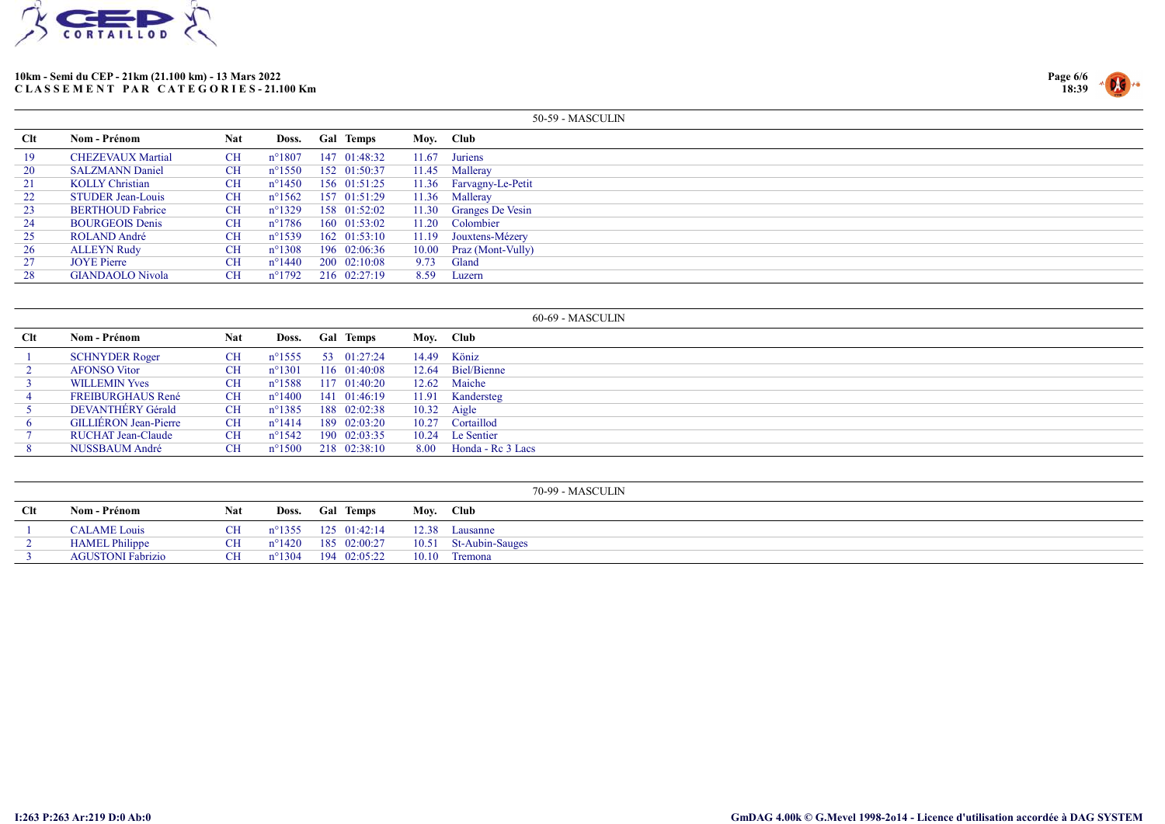



|     |                          |            |                  |                      |       | 50-59 - MASCULIN        |
|-----|--------------------------|------------|------------------|----------------------|-------|-------------------------|
| Clt | Nom - Prénom             | <b>Nat</b> | Doss.            | <b>Gal Temps</b>     |       | Moy. Club               |
| 19  | <b>CHEZEVAUX Martial</b> | <b>CH</b>  | $n^{\circ}1807$  | 147 01:48:32         | 11.67 | Juriens                 |
| 20  | <b>SALZMANN Daniel</b>   | <b>CH</b>  | $n^{\circ}1550$  | 152 01:50:37         |       | 11.45 Malleray          |
| 21  | <b>KOLLY Christian</b>   | <b>CH</b>  | $n^{\circ}$ 1450 | 156 01:51:25         |       | 11.36 Farvagny-Le-Petit |
| 22  | <b>STUDER</b> Jean-Louis | CH         | $n^{\circ}1562$  | 157 01:51:29         |       | 11.36 Malleray          |
| 23  | <b>BERTHOUD Fabrice</b>  | <b>CH</b>  | $n^{\circ}1329$  | 158 01:52:02         |       | 11.30 Granges De Vesin  |
| 24  | <b>BOURGEOIS Denis</b>   | CH         | n°1786           | 160 01:53:02         |       | 11.20 Colombier         |
| 25  | ROLAND André             | <b>CH</b>  | $n^{\circ}1539$  | $162 \quad 01:53:10$ |       | 11.19 Jouxtens-Mézery   |
| 26  | <b>ALLEYN Rudy</b>       | <b>CH</b>  | $n^{\circ}1308$  | 196 02:06:36         |       | 10.00 Praz (Mont-Vully) |
| 27  | <b>JOYE</b> Pierre       | CH         | n°1440           | 200 02:10:08         | 9.73  | Gland                   |
| 28  | <b>GIANDAOLO Nivola</b>  | CH         | $n^{\circ}1792$  | 216 02:27:19         | 8.59  | Luzern                  |

|            |                              |            |                  |                  |       | $60-69$ - MASCULIN |
|------------|------------------------------|------------|------------------|------------------|-------|--------------------|
| <b>Clt</b> | Nom - Prénom                 | <b>Nat</b> | Doss.            | <b>Gal Temps</b> |       | Moy. Club          |
|            | <b>SCHNYDER Roger</b>        | <b>CH</b>  | $n^{\circ}$ 1555 | 53 01:27:24      | 14.49 | Köniz              |
|            | <b>AFONSO</b> Vitor          | CH         | $n^{\circ}1301$  | 116 01:40:08     | 12.64 | Biel/Bienne        |
|            | <b>WILLEMIN Yves</b>         | <b>CH</b>  | $n^{\circ}$ 1588 | 117 01:40:20     |       | 12.62 Maiche       |
|            | <b>FREIBURGHAUS René</b>     | CH         | $n^{\circ}1400$  | 141 01:46:19     | 11.91 | Kandersteg         |
|            | DEVANTHÉRY Gérald            | <b>CH</b>  | $n^{\circ}1385$  | 188 02:02:38     |       | $10.32$ Aigle      |
|            | <b>GILLIERON Jean-Pierre</b> | <b>CH</b>  | $n^{\circ}1414$  | 189 02:03:20     | 10.27 | Cortaillod         |
|            | RUCHAT Jean-Claude           | CН         | $n^{\circ}1542$  | 190 02:03:35     | 10.24 | Le Sentier         |
|            | NUSSBAUM André               | <b>CH</b>  | $n^{\circ}1500$  | 218 02:38:10     | 8.00  | Honda - Re 3 Lacs  |

|     |                          |           |                 |                              |           | 70-99 - MASCULIN      |
|-----|--------------------------|-----------|-----------------|------------------------------|-----------|-----------------------|
| Clt | Nom - Prénom             | Nat       |                 | Doss. Gal Temps              | Moy. Club |                       |
|     | <b>CALAME</b> Louis      | <b>CH</b> |                 | n°1355 125 01:42:14          |           | 12.38 Lausanne        |
|     | <b>HAMEL Philippe</b>    | CН        |                 | $n^{\circ}1420$ 185 02:00:27 |           | 10.51 St-Aubin-Sauges |
|     | <b>AGUSTONI Fabrizio</b> | CH.       | $n^{\circ}1304$ | 194 02:05:22                 |           | 10.10 Tremona         |